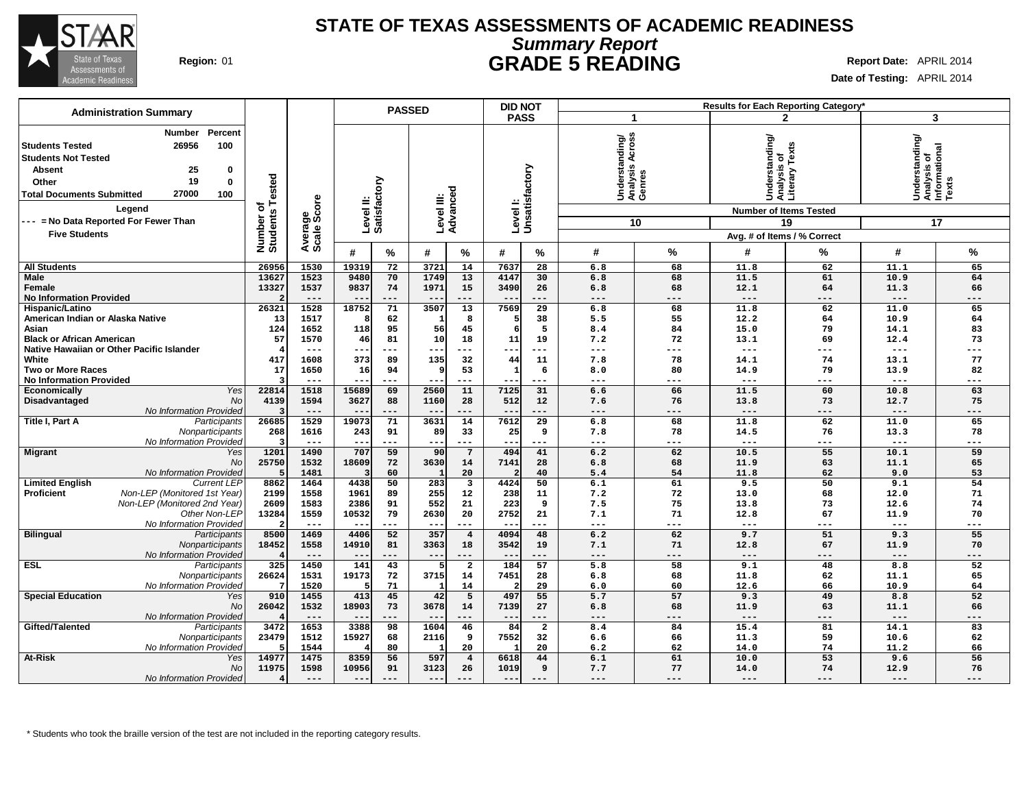

### **Summary Report STATE OF TEXAS ASSESSMENTS OF ACADEMIC READINESS Region:** 01 **GRADE 5 READING Report Date:** APRIL 2014

**Date of Testing:** APRIL 2014

| <b>Administration Summary</b>                                                                                                                                                                                                                              |                                            |                        |                                  |                 | <b>PASSED</b>          |                                  | Results for Each Reporting Category*<br><b>DID NOT</b> |                           |                                                    |                           |                                                                                  |                    |                                                            |                   |
|------------------------------------------------------------------------------------------------------------------------------------------------------------------------------------------------------------------------------------------------------------|--------------------------------------------|------------------------|----------------------------------|-----------------|------------------------|----------------------------------|--------------------------------------------------------|---------------------------|----------------------------------------------------|---------------------------|----------------------------------------------------------------------------------|--------------------|------------------------------------------------------------|-------------------|
|                                                                                                                                                                                                                                                            |                                            |                        |                                  |                 |                        |                                  |                                                        | <b>PASS</b>               | -1                                                 |                           |                                                                                  | $\mathbf{2}$       | 3                                                          |                   |
| Percent<br>Number<br>26956<br>100<br><b>Students Tested</b><br><b>Students Not Tested</b><br>25<br><b>Absent</b><br>0<br>19<br>$\mathbf 0$<br>Other<br>27000<br>100<br><b>Total Documents Submitted</b><br>Legend<br>--- = No Data Reported For Fewer Than | <b>Tested</b><br>৳<br>Number o<br>Students | Average<br>Scale Score | Level II:<br>Satisfactory        |                 | Level III:<br>Advanced |                                  |                                                        | Levell:<br>Unsatisfactory | ပ္တ<br>Understanding/<br>Analysis Across<br>Genres | 10                        | Understanding/<br>Analysis of<br>Literary Texts<br><b>Number of Items Tested</b> | 19                 | Understanding/<br> Analysis of<br> Informational<br> Texts | 17                |
| <b>Five Students</b>                                                                                                                                                                                                                                       |                                            |                        |                                  |                 |                        |                                  |                                                        |                           |                                                    |                           | Avg. # of Items / % Correct                                                      |                    |                                                            |                   |
|                                                                                                                                                                                                                                                            |                                            |                        | #                                | %               | #                      | %                                | #                                                      | %                         | #                                                  | %                         | #                                                                                | %                  | #                                                          | %                 |
| <b>All Students</b>                                                                                                                                                                                                                                        | 26956                                      | 1530                   | 19319                            | 72              | 3721                   | 14                               | 7637                                                   | 28                        | 6.8                                                | 68                        | 11.8                                                                             | 62                 | 11.1                                                       | 65                |
| <b>Male</b><br>Female<br><b>No Information Provided</b>                                                                                                                                                                                                    | 13627<br>13327                             | 1523<br>1537<br>$---$  | 9480<br>9837<br>$-$              | 70<br>74<br>--- | 1749<br>1971<br>$- -$  | 13<br>15<br>$---$                | 4147<br>3490<br>$- -$                                  | 30<br>26<br>---           | 6.8<br>6.8<br>$---$                                | 68<br>68<br>$---$         | 11.5<br>12.1<br>$\qquad \qquad - -$                                              | 61<br>64<br>$-- -$ | 10.9<br>11.3<br>$---$                                      | 64<br>66<br>$---$ |
| Hispanic/Latino                                                                                                                                                                                                                                            | 26321                                      | 1528                   | 18752                            | 71              | 3507                   | 13                               | 7569                                                   | 29                        | 6.8                                                | 68                        | 11.8                                                                             | 62                 | 11.0                                                       | 65                |
| American Indian or Alaska Native                                                                                                                                                                                                                           | 13                                         | 1517                   | £                                | 62              | 1                      | 8                                | -5                                                     | 38                        | 5.5                                                | 55                        | 12.2                                                                             | 64                 | 10.9                                                       | 64                |
| Asian                                                                                                                                                                                                                                                      | 124                                        | 1652                   | 118                              | 95              | 56                     | 45                               | 6                                                      | 5                         | 8.4                                                | 84                        | 15.0                                                                             | 79                 | 14.1                                                       | 83                |
| <b>Black or African American</b><br>Native Hawaiian or Other Pacific Islander                                                                                                                                                                              | 57                                         | 1570<br>$---$          | 46<br>$\qquad \qquad -$          | 81<br>---       | 10<br>--               | 18                               | 11<br>--                                               | 19<br>---                 | 7.2<br>$---$                                       | 72<br>$---$               | 13.1<br>$---$                                                                    | 69<br>---          | 12.4<br>$---$                                              | 73<br>---         |
| White                                                                                                                                                                                                                                                      | 417                                        | 1608                   | 373                              | 89              | 135                    | 32                               | 44                                                     | 11                        | 7.8                                                | 78                        | 14.1                                                                             | 74                 | 13.1                                                       | 77                |
| <b>Two or More Races</b>                                                                                                                                                                                                                                   | 17                                         | 1650                   | 16                               | 94              | ۹                      | 53                               | 1                                                      | 6                         | 8.0                                                | 80                        | 14.9                                                                             | 79                 | 13.9                                                       | 82                |
| <b>No Information Provided</b>                                                                                                                                                                                                                             |                                            | $---$                  | $\qquad \qquad -$                | ---             | $\sim$ $\sim$          | $---$                            |                                                        | ---                       | $---$                                              | $---$                     | $\qquad \qquad - -$                                                              | ---                | $---$                                                      | ---               |
| Yes<br>Economically                                                                                                                                                                                                                                        | 22814                                      | 1518                   | 15689                            | 69              | 2560                   | 11                               | 7125                                                   | 31                        | 6.6                                                | 66                        | 11.5                                                                             | 60                 | 10.8                                                       | 63                |
| No<br>Disadvantaged                                                                                                                                                                                                                                        | 4139                                       | 1594                   | 3627                             | 88              | 1160                   | 28                               | 512                                                    | 12                        | 7.6                                                | 76                        | 13.8                                                                             | 73                 | 12.7                                                       | 75                |
| No Information Provided                                                                                                                                                                                                                                    |                                            | $---$                  | $- -$                            | $---$           | $- -$                  | $---$                            | $- -$                                                  | ---                       | $\qquad \qquad - -$                                | $---$                     | $---$                                                                            | ---                | $---$                                                      | $---$             |
| Title I, Part A<br>Participants                                                                                                                                                                                                                            | 26685                                      | 1529                   | 19073                            | 71              | 3631                   | 14                               | 7612                                                   | 29                        | 6.8                                                | 68<br>78                  | 11.8                                                                             | 62                 | 11.0                                                       | 65                |
| Nonparticipants<br>No Information Provided                                                                                                                                                                                                                 | 268                                        | 1616<br>$---$          | 243<br>$- -$                     | 91<br>$---$     | 89<br>$- -$            | 33<br>$---$                      | 25<br>$- -$                                            | 9<br>$---$                | 7.8<br>$- - -$                                     | $---$                     | 14.5<br>$---$                                                                    | 76<br>---          | 13.3<br>$\frac{1}{2}$                                      | 78<br>---         |
| <b>Migrant</b><br>Yes                                                                                                                                                                                                                                      | 1201                                       | 1490                   | 707                              | 59              | 90                     | $\overline{7}$                   | 494                                                    | 41                        | 6.2                                                | 62                        | 10.5                                                                             | 55                 | 10.1                                                       | 59                |
| <b>No</b>                                                                                                                                                                                                                                                  | 25750                                      | 1532                   | 18609                            | 72              | 3630                   | 14                               | 7141                                                   | 28                        | 6.8                                                | 68                        | 11.9                                                                             | 63                 | 11.1                                                       | 65                |
| No Information Provided                                                                                                                                                                                                                                    |                                            | 1481                   | -3                               | 60              |                        | 20                               |                                                        | 40                        | 5.4                                                | 54                        | 11.8                                                                             | 62                 | 9.0                                                        | 53                |
| <b>Limited English</b><br><b>Current LEP</b>                                                                                                                                                                                                               | 8862                                       | 1464                   | 4438                             | 50              | 283                    | 3                                | 4424                                                   | 50                        | 6.1                                                | 61                        | 9.5                                                                              | 50                 | 9.1                                                        | 54                |
| Proficient<br>Non-LEP (Monitored 1st Year)                                                                                                                                                                                                                 | 2199                                       | 1558                   | 1961                             | 89              | 255                    | 12                               | 238                                                    | ${\bf 11}$                | 7.2                                                | 72                        | 13.0                                                                             | 68                 | 12.0                                                       | 71                |
| Non-LEP (Monitored 2nd Year)                                                                                                                                                                                                                               | 2609                                       | 1583                   | 2386                             | 91              | 552                    | 21                               | 223                                                    | 9                         | 7.5                                                | 75                        | 13.8                                                                             | 73                 | 12.6                                                       | 74                |
| Other Non-LEP                                                                                                                                                                                                                                              | 13284                                      | 1559                   | 10532                            | 79              | 2630                   | 20                               | 2752                                                   | 21                        | 7.1                                                | 71                        | 12.8                                                                             | 67                 | 11.9                                                       | 70                |
| No Information Provided                                                                                                                                                                                                                                    | 8500                                       | $--$<br>1469           | $- -$<br>4406                    | ---<br>52       | $\sim$ $\sim$<br>357   | $---$<br>$\overline{\mathbf{4}}$ | $- -$<br>4094                                          | ---<br>48                 | $\frac{1}{2}$<br>6.2                               | $\qquad \qquad - -$<br>62 | $\qquad \qquad - -$<br>9.7                                                       | ---<br>51          | $\qquad \qquad - -$<br>9.3                                 | $---$<br>55       |
| <b>Bilingual</b><br>Participants<br>Nonparticipants                                                                                                                                                                                                        | 18452                                      | 1558                   | 14910                            | 81              | 3363                   | 18                               | 3542                                                   | 19                        | 7.1                                                | 71                        | 12.8                                                                             | 67                 | 11.9                                                       | 70                |
| No Information Provided                                                                                                                                                                                                                                    |                                            | $---$                  | $\overline{\phantom{m}}$         | ---             | $---$                  | $---$                            | $\qquad \qquad -$                                      | ---                       | $\qquad \qquad - -$                                | $---$                     | $---$                                                                            | ---                | $---$                                                      | $---$             |
| <b>ESL</b><br>Participants                                                                                                                                                                                                                                 | 325                                        | 1450                   | 141                              | 43              |                        | $\overline{a}$                   | 184                                                    | 57                        | 5.8                                                | 58                        | 9.1                                                                              | 48                 | 8.8                                                        | 52                |
| Nonparticipants                                                                                                                                                                                                                                            | 26624                                      | 1531                   | 19173                            | 72              | 3715                   | 14                               | 7451                                                   | 28                        | 6.8                                                | 68                        | 11.8                                                                             | 62                 | 11.1                                                       | 65                |
| No Information Provided                                                                                                                                                                                                                                    |                                            | 1520                   | F                                | 71              |                        | 14                               |                                                        | 29                        | 6.0                                                | 60                        | 12.6                                                                             | 66                 | 10.9                                                       | 64                |
| <b>Special Education</b><br>Yes                                                                                                                                                                                                                            | 910                                        | 1455                   | 413                              | 45              | 42                     | 5                                | 497                                                    | 55                        | 5.7                                                | 57                        | 9.3                                                                              | 49                 | 8.8                                                        | 52                |
| No                                                                                                                                                                                                                                                         | 26042                                      | 1532                   | 18903                            | 73              | 3678                   | 14                               | 7139                                                   | 27                        | 6.8                                                | 68                        | 11.9                                                                             | 63                 | 11.1                                                       | 66                |
| No Information Provided<br>Gifted/Talented<br>Participants                                                                                                                                                                                                 | 3472                                       | $---$<br>1653          | $\overline{\phantom{a}}$<br>3388 | ---<br>98       | $-$<br>1604            | $---$<br>46                      | $---$<br>84                                            | ---<br>$\overline{2}$     | $---$<br>8.4                                       | ---<br>84                 | $---$<br>15.4                                                                    | ---<br>81          | $---$<br>14.1                                              | ---<br>83         |
| Nonparticipants                                                                                                                                                                                                                                            | 23479                                      | 1512                   | 15927                            | 68              | 2116                   | 9                                | 7552                                                   | 32                        | 6.6                                                | 66                        | 11.3                                                                             | 59                 | 10.6                                                       | 62                |
| No Information Provided                                                                                                                                                                                                                                    |                                            | 1544                   |                                  | 80              |                        | 20                               |                                                        | 20                        | 6.2                                                | 62                        | 14.0                                                                             | 74                 | 11.2                                                       | 66                |
| <b>At-Risk</b><br>Yes                                                                                                                                                                                                                                      | 14977                                      | 1475                   | 8359                             | 56              | 597                    | $\overline{4}$                   | 6618                                                   | 44                        | 6.1                                                | 61                        | 10.0                                                                             | 53                 | 9.6                                                        | 56                |
| No                                                                                                                                                                                                                                                         | 11975                                      | 1598                   | 10956                            | 91              | 3123                   | 26                               | 1019                                                   | 9                         | 7.7                                                | 77                        | 14.0                                                                             | 74                 | 12.9                                                       | 76                |
| <b>No Information Provided</b>                                                                                                                                                                                                                             |                                            | $---$                  | $- -$                            | $- - -$         | $---$                  | $---$                            | $---$                                                  | $- - -$                   | $---$                                              | $- - -$                   | $---$                                                                            | $- - -$            | $- - -$                                                    | $- - -$           |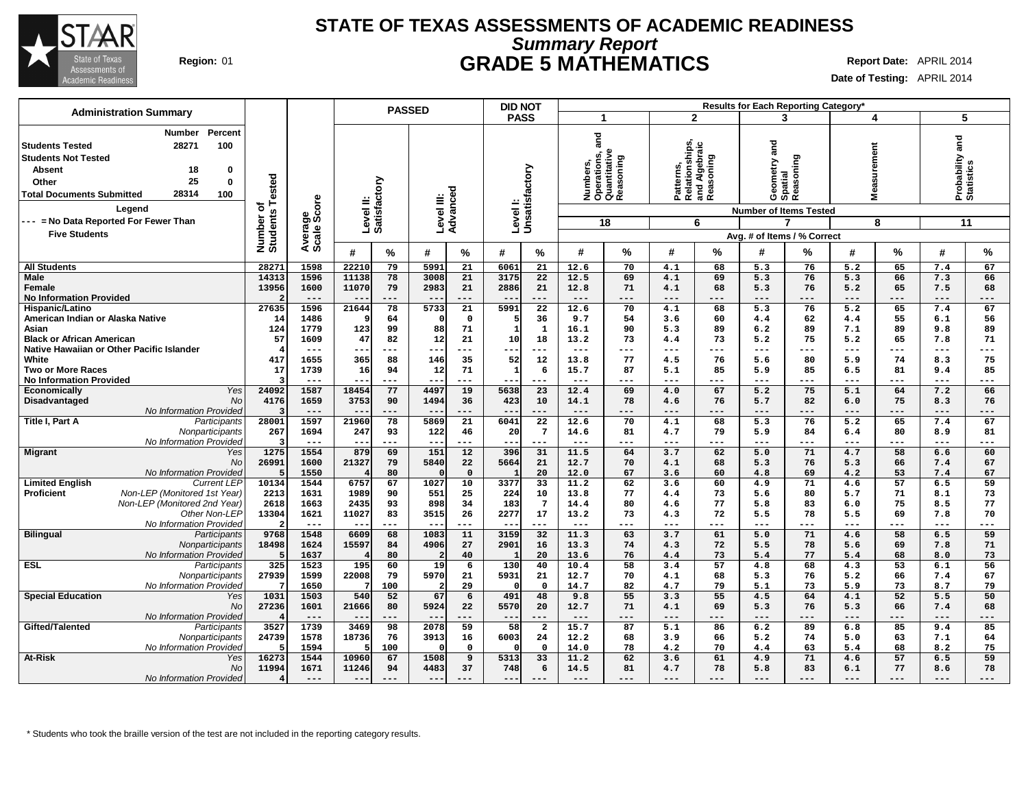

## **Summary Report STATE OF TEXAS ASSESSMENTS OF ACADEMIC READINESS Region:** 01 **GRADE 5 MATHEMATICS Report Date:** APRIL 2014

**Date of Testing:** APRIL 2014

| <b>Administration Summary</b>                                                                                                                                                                                            |                              |                       | <b>PASSED</b>                       |                                               | <b>DID NOT</b>                          |                                                               |                                                            | Results for Each Reporting Category*                                            |                                          |                                 |
|--------------------------------------------------------------------------------------------------------------------------------------------------------------------------------------------------------------------------|------------------------------|-----------------------|-------------------------------------|-----------------------------------------------|-----------------------------------------|---------------------------------------------------------------|------------------------------------------------------------|---------------------------------------------------------------------------------|------------------------------------------|---------------------------------|
|                                                                                                                                                                                                                          |                              |                       |                                     |                                               | <b>PASS</b>                             | 1                                                             | $\mathbf{2}$                                               | 3                                                                               | 4                                        | 5                               |
| Percent<br>Number<br>28271<br>100<br><b>Students Tested</b><br><b>Students Not Tested</b><br><b>Absent</b><br>18<br>$\mathbf 0$<br>25<br>$\bf{0}$<br>Other<br>28314<br><b>Total Documents Submitted</b><br>100<br>Leaend | Number of<br>Students Tested | ige<br>Score          | Level II:<br>Satisfactory           | 73<br>Level III:<br>Advanceo                  | Level I:<br>Unsatisfactory              | and<br>Numbers,<br>Operations, a<br>Quantitative<br>Reasoning | Patterns,<br>Relationships,<br>and Algebraic<br> Reasoning | and<br>Reasoning<br>metry<br>Geomet<br>Spatial<br><b>Number of Items Tested</b> | surement<br>Viea                         | Probability and<br>Statistics   |
| --- = No Data Reported For Fewer Than                                                                                                                                                                                    |                              |                       |                                     |                                               |                                         | 18                                                            | 6                                                          | 7                                                                               | 8                                        | 11                              |
| <b>Five Students</b>                                                                                                                                                                                                     |                              | Avera                 |                                     |                                               |                                         |                                                               |                                                            | Avg. # of Items / % Correct                                                     |                                          |                                 |
|                                                                                                                                                                                                                          |                              |                       | %<br>#                              | #<br>%                                        | #<br>%                                  | %<br>#                                                        | %<br>#                                                     | %<br>#                                                                          | %<br>#                                   | %<br>#                          |
| <b>All Students</b>                                                                                                                                                                                                      | 28271                        | 1598                  | 22210<br>79                         | 5991<br>21                                    | 6061<br>21                              | 12.6<br>70                                                    | 4.1<br>68                                                  | 5.3<br>76                                                                       | 5.2<br>65                                | 67<br>7.4                       |
| <b>Male</b><br>Female                                                                                                                                                                                                    | 14313<br>13956               | 1596<br>1600<br>$---$ | 11138<br>78<br>11070<br>79<br>$---$ | 3008<br>21<br>2983<br>21<br>$---$             | 3175<br>22<br>21<br>2886                | 12.5<br>69<br>71<br>12.8<br>$\frac{1}{2}$<br>---              | 69<br>4.1<br>68<br>4.1<br>$---$<br>---                     | 5.3<br>76<br>5.3<br>76<br>$---$<br>---                                          | 5.3<br>66<br>65<br>5.2<br>$---$<br>$---$ | 7.3<br>66<br>7.5<br>68<br>$---$ |
| <b>No Information Provided</b><br>Hispanic/Latino                                                                                                                                                                        | 27635                        | 1596                  | $- -$<br>21644<br>78                | $- -$<br>$\overline{5733}$<br>$\overline{21}$ | $- -$<br>---<br>5991<br>$\overline{22}$ | 12.6<br>70                                                    | 68<br>4.1                                                  | 5.3<br>76                                                                       | 65<br>5.2                                | ---<br>67<br>7.4                |
| American Indian or Alaska Native                                                                                                                                                                                         | 14                           | 1486                  | 64                                  | $\mathbf 0$<br>$\Omega$                       | 36                                      | 9.7<br>54                                                     | 60<br>3.6                                                  | 62<br>4.4                                                                       | 55<br>4.4                                | 6.1<br>56                       |
| Asian                                                                                                                                                                                                                    | 124                          | 1779                  | 123<br>99                           | 88<br>71                                      | $\mathbf{1}$<br>$\mathbf{1}$            | 90<br>16.1                                                    | 89<br>5.3                                                  | 6.2<br>89                                                                       | 89<br>7.1                                | 9.8<br>89                       |
| <b>Black or African American</b>                                                                                                                                                                                         | 57                           | 1609                  | 47<br>82                            | 12<br>21                                      | 10<br>18                                | 13.2<br>73                                                    | 73<br>4.4                                                  | 5.2<br>75                                                                       | 5.2<br>65                                | 7.8<br>71                       |
| Native Hawaiian or Other Pacific Islander                                                                                                                                                                                |                              | $- - -$               | --<br>$---$                         | ---<br>---                                    | ---<br>---                              | $- - -$<br>---                                                | ---<br>$---$                                               | $---$<br>---                                                                    | ---<br>$---$                             | ---<br>---                      |
| White                                                                                                                                                                                                                    | 417                          | 1655                  | 88<br>365                           | 35<br>146                                     | 52<br>12                                | 13.8<br>77                                                    | 76<br>4.5                                                  | 5.6<br>80                                                                       | 74<br>5.9                                | 75<br>8.3                       |
| <b>Two or More Races</b>                                                                                                                                                                                                 | 17                           | 1739<br>$- - -$       | 16<br>94<br>$- -$<br>$---$          | 12<br>71<br>$---$<br>$- -$                    | 6<br>1<br>$- - -$<br>---                | 15.7<br>87<br>$- - -$<br>---                                  | 85<br>5.1<br>$---$<br>---                                  | 5.9<br>85<br>$---$<br>---                                                       | 81<br>6.5<br>$---$<br>$---$              | 85<br>9.4<br>$---$<br>---       |
| <b>No Information Provided</b><br>Yes<br>Economically                                                                                                                                                                    | 24092                        | 1587                  | 18454<br>77                         | 4497<br>19                                    | 5638<br>$\overline{23}$                 | 12.4<br>69                                                    | 4.0<br>67                                                  | 5.2<br>75                                                                       | 5.1<br>64                                | 7.2<br>66                       |
| <b>No</b><br>Disadvantaged                                                                                                                                                                                               | 4176                         | 1659                  | 3753<br>90                          | 1494<br>36                                    | 10<br>423                               | 14.1<br>78                                                    | 76<br>4.6                                                  | 5.7<br>82                                                                       | 75<br>6.0                                | 8.3<br>76                       |
| <b>No Information Provided</b>                                                                                                                                                                                           |                              | $---$                 | $- -$<br>$---$                      | $- -$<br>---                                  | $---$<br>---                            | $---$<br>---                                                  | $---$<br>---                                               | $---$<br>---                                                                    | $---$<br>$---$                           | $---$<br>---                    |
| Title I, Part A<br>Participants                                                                                                                                                                                          | 28001                        | 1597                  | 78<br>21960                         | 5869<br>21                                    | 22<br>6041                              | 12.6<br>70                                                    | 4.1<br>68                                                  | 5.3<br>76                                                                       | 5.2<br>65                                | 67<br>7.4                       |
| Nonparticipants                                                                                                                                                                                                          | 267                          | 1694                  | 247<br>93                           | 122<br>46                                     | $\overline{7}$<br>20                    | 14.6<br>81                                                    | 79<br>4.7                                                  | 5.9<br>84                                                                       | 80<br>6.4                                | 8.9<br>81                       |
| No Information Provided                                                                                                                                                                                                  |                              | $---$                 | $- -$<br>$---$                      | $- -$<br>---                                  | $- -$<br>---                            | $---$<br>---                                                  | ---<br>$---$                                               | $---$<br>---                                                                    | $---$<br>---                             | $---$<br>---                    |
| <b>Migrant</b><br>Yes<br><b>No</b>                                                                                                                                                                                       | 1275<br>26991                | 1554<br>1600          | 879<br>69<br>79                     | 151<br>12<br>5840                             | 396<br>31<br>21                         | 11.5<br>64<br>12.7<br>70                                      | 62<br>3.7<br>4.1<br>68                                     | 71<br>5.0<br>5.3<br>76                                                          | 58<br>4.7<br>5.3<br>66                   | 60<br>6.6<br>7.4<br>67          |
| No Information Provided                                                                                                                                                                                                  |                              | 1550                  | 21327<br>80                         | 22<br>$\mathbf 0$                             | 5664<br>20                              | 12.0<br>67                                                    | 60<br>3.6                                                  | 4.8<br>69                                                                       | 53<br>4.2                                | 7.4<br>67                       |
| <b>Limited English</b><br><b>Current LEP</b>                                                                                                                                                                             | 10134                        | 1544                  | 67<br>6757                          | 1027<br>10                                    | $\overline{33}$<br>3377                 | 11.2<br>62                                                    | 60<br>3.6                                                  | 4.9<br>71                                                                       | 57<br>4.6                                | 6.5<br>59                       |
| Proficient<br>Non-LEP (Monitored 1st Year)                                                                                                                                                                               | 2213                         | 1631                  | 1989<br>90                          | 551<br>25                                     | 10<br>224                               | 13.8<br>77                                                    | 73<br>4.4                                                  | 5.6<br>80                                                                       | 71<br>5.7                                | 8.1<br>73                       |
| Non-LEP (Monitored 2nd Year)                                                                                                                                                                                             | 2618                         | 1663                  | 2435<br>93                          | 898<br>34                                     | 183<br>$7\overline{ }$                  | 14.4<br>80                                                    | 77<br>4.6                                                  | 5.8<br>83                                                                       | 75<br>6.0                                | 8.5<br>77                       |
| Other Non-LEP                                                                                                                                                                                                            | 13304                        | 1621                  | 11027<br>83                         | 3515<br>26                                    | 17<br>2277                              | 13.2<br>73                                                    | 72<br>4.3                                                  | 5.5<br>78                                                                       | 69<br>5.5                                | 70<br>7.8                       |
| No Information Provideo                                                                                                                                                                                                  |                              | $---$                 | $-\,-$<br>$---$                     | $- -$<br>---                                  | $- -$<br>---                            | $---$<br>---                                                  | ---<br>$---$                                               | $---$<br>---                                                                    | $\qquad \qquad - -$<br>---               | ---<br>---                      |
| <b>Bilingual</b><br>Participants                                                                                                                                                                                         | 9768                         | 1548                  | 6609<br>68                          | 1083<br>11                                    | 3159<br>32                              | 11.3<br>63                                                    | 61<br>3.7                                                  | 5.0<br>71                                                                       | 58<br>4.6                                | 59<br>6.5                       |
| Nonparticipants<br>No Information Provideo                                                                                                                                                                               | 18498                        | 1624<br>1637          | 15597<br>84<br>80                   | 4906<br>27<br>40<br>$\overline{2}$            | 2901<br>16<br>20                        | 13.3<br>74<br>13.6<br>76                                      | 72<br>4.3<br>73<br>4.4                                     | 5.5<br>78<br>5.4<br>77                                                          | 69<br>5.6<br>68<br>5.4                   | 7.8<br>71<br>73<br>8.0          |
| <b>ESL</b><br>Participants                                                                                                                                                                                               | 325                          | 1523                  | 60<br>195                           | 19<br>6                                       | 130<br>40                               | 10.4<br>58                                                    | $\overline{57}$<br>3.4                                     | 68<br>4.8                                                                       | $\overline{53}$<br>4.3                   | $\overline{56}$<br>6.1          |
| Nonparticipants                                                                                                                                                                                                          | 27939                        | 1599                  | 22008<br>79                         | 5970<br>21                                    | 5931<br>21                              | 12.7<br>70                                                    | 68<br>4.1                                                  | 5.3<br>76                                                                       | 5.2<br>66                                | 67<br>7.4                       |
| No Information Provideo                                                                                                                                                                                                  |                              | 1650                  | 100                                 | 29<br>$\overline{2}$                          | $\mathbf{o}$<br>$\Omega$                | 82<br>14.7                                                    | 79<br>4.7                                                  | 5.1<br>73                                                                       | 73<br>5.9                                | 8.7<br>79                       |
| <b>Special Education</b><br>Yes                                                                                                                                                                                          | 1031                         | 1503                  | 52<br>540                           | 67<br>6                                       | 48<br>491                               | 9.8<br>55                                                     | 55<br>3.3                                                  | 64<br>4.5                                                                       | 52<br>4.1                                | 50<br>5.5                       |
| <b>No</b>                                                                                                                                                                                                                | 27236                        | 1601                  | 21666<br>80                         | 5924<br>22                                    | 5570<br>20                              | 12.7<br>71                                                    | 69<br>4.1                                                  | 5.3<br>76                                                                       | 5.3<br>66                                | 7.4<br>68                       |
| No Information Provided<br>Gifted/Talented                                                                                                                                                                               | 3527                         | $---$<br>1739         | $- -$<br>$- - -$<br>98<br>3469      | ---<br>$ -$<br>59<br>2078                     | ---<br>$- -$<br>58<br>$\overline{a}$    | $---$<br>---<br>15.7<br>87                                    | $- - -$<br>---<br>5.1<br>86                                | $---$<br>---<br>6.2<br>89                                                       | $---$<br>---<br>6.8<br>85                | $---$<br>---<br>85              |
| Participants<br>Nonparticipants                                                                                                                                                                                          | 24739                        | 1578                  | 18736<br>76                         | 3913<br>16                                    | 6003<br>24                              | 12.2<br>68                                                    | 66<br>3.9                                                  | 5.2<br>74                                                                       | 5.0<br>63                                | 9.4<br>7.1<br>64                |
| No Information Provideo                                                                                                                                                                                                  |                              | 1594                  | 100                                 | $\mathsf{o}$<br>$\Omega$                      | $\mathbf 0$<br>$\Omega$                 | 14.0<br>78                                                    | 70<br>4.2                                                  | 4.4<br>63                                                                       | 68<br>5.4                                | 75<br>8.2                       |
| <b>At-Risk</b><br>Yes                                                                                                                                                                                                    | 16273                        | 1544                  | 10960<br>67                         | 1508<br>9                                     | 5313<br>33                              | 11.2<br>62                                                    | 61<br>3.6                                                  | 71<br>4.9                                                                       | 57<br>4.6                                | 59<br>6.5                       |
| <b>No</b>                                                                                                                                                                                                                | 11994                        | 1671                  | 11246<br>94                         | 37<br>4483                                    | 6<br>748                                | 14.5<br>81                                                    | 78<br>4.7                                                  | 5.8<br>83                                                                       | 6.1<br>77                                | 78<br>8.6                       |
| <b>No Information Provided</b>                                                                                                                                                                                           |                              | $---$                 | $---$<br>$---$                      | $- -$<br>$---$                                | $- -$                                   | ---                                                           | ---<br>---                                                 | $---$                                                                           | ---<br>---                               | $---$<br>---                    |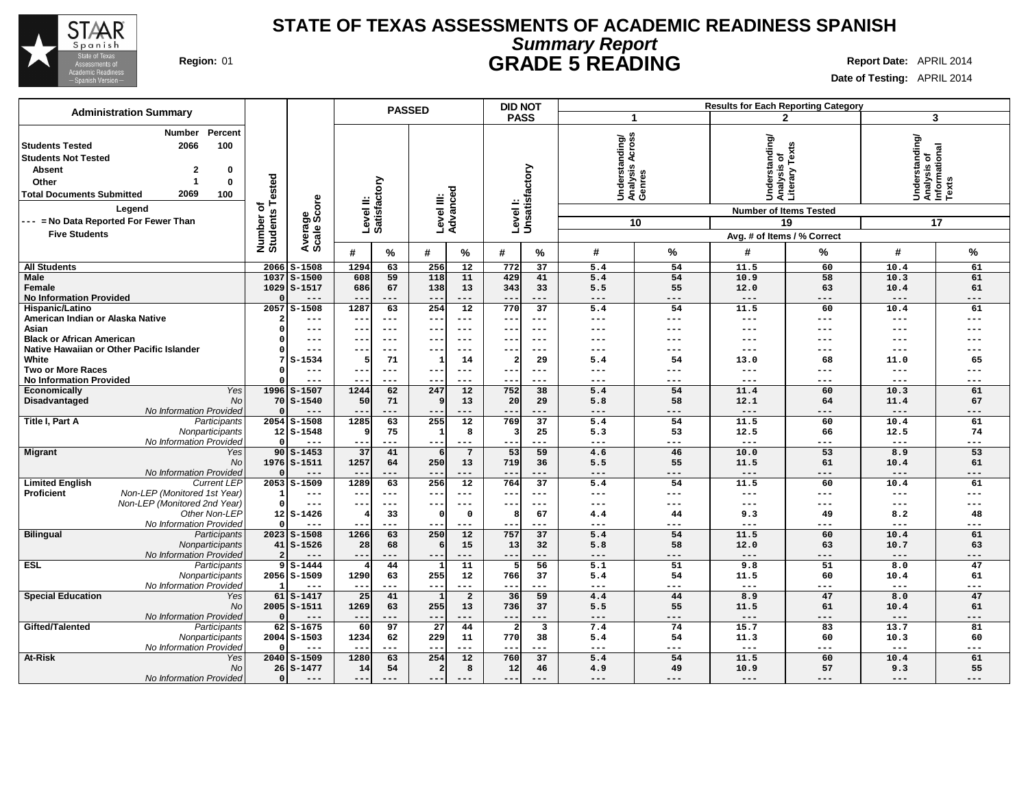

### **Summary Report STATE OF TEXAS ASSESSMENTS OF ACADEMIC READINESS SPANISH Region:** 01 **GRADE 5 READING Report Date:** APRIL 2014

|                                                                                                                                                             | <b>Administration Summary</b>                                                              |                                             |                             |                          |                           | <b>PASSED</b>          |                                        |                         | <b>DID NOT</b><br>Results for Each Reporting Category |                                                       |                           |                                                                                  |              |                                                            |             |
|-------------------------------------------------------------------------------------------------------------------------------------------------------------|--------------------------------------------------------------------------------------------|---------------------------------------------|-----------------------------|--------------------------|---------------------------|------------------------|----------------------------------------|-------------------------|-------------------------------------------------------|-------------------------------------------------------|---------------------------|----------------------------------------------------------------------------------|--------------|------------------------------------------------------------|-------------|
|                                                                                                                                                             |                                                                                            |                                             |                             |                          |                           |                        |                                        | <b>PASS</b>             |                                                       | -1                                                    |                           |                                                                                  | $\mathbf{2}$ |                                                            | 3           |
| <b>Students Tested</b><br><b>Students Not Tested</b><br><b>Absent</b><br>Other<br><b>Total Documents Submitted</b><br>--- = No Data Reported For Fewer Than | Percent<br>Number<br>2066<br>100<br>$\mathbf{2}$<br>0<br>$\bf{0}$<br>2069<br>100<br>Legend | <b>Tested</b><br>৳<br>Number of<br>Students | Average<br>Scale Score      |                          | Level II:<br>Satisfactory | Level III:<br>Advanced |                                        |                         | Levell:<br>Unsatisfactory                             | Across<br>Understanding/<br>Analysis Across<br>Genres | 10                        | Understanding/<br>Analysis of<br>Literary Texts<br><b>Number of Items Tested</b> | 19           | Understanding/<br> Analysis of<br> Informational<br> Texts | 17          |
| <b>Five Students</b>                                                                                                                                        |                                                                                            |                                             |                             |                          |                           |                        |                                        |                         |                                                       |                                                       |                           |                                                                                  |              |                                                            |             |
|                                                                                                                                                             |                                                                                            |                                             |                             |                          |                           |                        |                                        |                         |                                                       |                                                       |                           | Avg. # of Items / % Correct                                                      |              |                                                            |             |
|                                                                                                                                                             |                                                                                            |                                             |                             | #                        | %                         | #                      | $\%$                                   | #                       | %                                                     | #                                                     | %                         | #                                                                                | %            | #                                                          | %           |
| <b>All Students</b>                                                                                                                                         |                                                                                            | 2066                                        | $S - 1508$                  | 1294                     | 63                        | 256                    | 12                                     | 772                     | 37                                                    | 5.4                                                   | 54                        | 11.5                                                                             | 60           | 10.4                                                       | 61          |
| Male<br>Female                                                                                                                                              |                                                                                            | 1037<br>1029                                | $S - 1500$<br>$S-1517$      | 608<br>686               | 59<br>67                  | 118<br>138             | 11<br>13                               | 429<br>343              | 41<br>33                                              | 5.4<br>5.5                                            | 54<br>55                  | 10.9<br>12.0                                                                     | 58<br>63     | 10.3<br>10.4                                               | 61<br>61    |
| <b>No Information Provided</b>                                                                                                                              |                                                                                            |                                             | $---$                       | $- -$                    | ---<br>63                 | $- -$                  | $---$                                  | $- -$<br>770            | ---<br>$\overline{37}$                                | $\qquad \qquad - -$                                   | $---$                     | $---$                                                                            | ---          | $---$                                                      | $---$       |
| Hispanic/Latino<br>American Indian or Alaska Native                                                                                                         |                                                                                            | 2057                                        | $S - 1508$<br>$---$         | 1287<br>$- -$            | ---                       | 254<br>$- -$           | $\overline{12}$<br>$\qquad \qquad - -$ | $---$                   | $--$                                                  | 5.4<br>$---$                                          | 54<br>$\qquad \qquad - -$ | 11.5<br>$---$                                                                    | 60<br>---    | 10.4<br>$---$                                              | 61<br>---   |
| Asian                                                                                                                                                       |                                                                                            |                                             | $---$                       | $- -$                    | $---$                     | --                     | $---$                                  | $--$                    | $--$                                                  | ---                                                   | $---$                     | ---                                                                              | ---          | ---                                                        | ---         |
| <b>Black or African American</b>                                                                                                                            |                                                                                            |                                             | ---                         | $\overline{\phantom{m}}$ | $---$                     | --                     |                                        | --                      | $--$                                                  | ---                                                   | ---                       | ---                                                                              |              |                                                            |             |
|                                                                                                                                                             | Native Hawaiian or Other Pacific Islander                                                  |                                             | $--$                        | $- -$                    | ---                       | --                     | $--$                                   | $- -$                   | ---                                                   | ---                                                   | $---$                     | $---$                                                                            | ---          | $-- -$                                                     | ---         |
| White                                                                                                                                                       |                                                                                            |                                             | $S - 1534$                  |                          | 71                        |                        | 14                                     | $\overline{\mathbf{2}}$ | 29                                                    | 5.4                                                   | 54                        | 13.0                                                                             | 68           | 11.0                                                       | 65          |
| <b>Two or More Races</b>                                                                                                                                    |                                                                                            |                                             | $---$                       | $\overline{\phantom{m}}$ | $---$                     | --                     | $---$                                  |                         | ---                                                   | $---$                                                 | $---$                     | $---$                                                                            | ---          | $---$                                                      | ---         |
| <b>No Information Provided</b>                                                                                                                              |                                                                                            |                                             | $---$                       | $- -$                    | ---                       | --                     | ---                                    | $\qquad \qquad -$       | ---                                                   | $---$                                                 | $--$                      | $---$                                                                            | ---          | $---$                                                      | ---         |
| Economically<br>Disadvantaged                                                                                                                               | Yes<br>No                                                                                  |                                             | 1996 S-1507<br>$70S - 1540$ | 1244<br>50               | 62<br>71                  | 247<br>q               | $\overline{12}$<br>13                  | 752<br>20               | $\overline{38}$<br>29                                 | 5.4<br>5.8                                            | 54<br>58                  | 11.4<br>12.1                                                                     | 60<br>64     | 10.3<br>11.4                                               | 61<br>67    |
|                                                                                                                                                             | No Information Provided                                                                    |                                             | ---                         |                          | ---                       |                        |                                        |                         | ---                                                   | $---$                                                 | ---                       | $---$                                                                            | ---          | $---$                                                      | ---         |
| Title I, Part A                                                                                                                                             | Participants                                                                               | 2054                                        | $S - 1508$                  | 1285                     | 63                        | 255                    | 12                                     | 769                     | 37                                                    | 5.4                                                   | 54                        | 11.5                                                                             | 60           | 10.4                                                       | 61          |
|                                                                                                                                                             | Nonparticipants                                                                            |                                             | $12S - 1548$                | ٩                        | 75                        |                        | 8                                      | 3                       | 25                                                    | 5.3                                                   | 53                        | 12.5                                                                             | 66           | 12.5                                                       | 74          |
|                                                                                                                                                             | No Information Provided                                                                    |                                             | $---$                       | $- -$                    | ---                       | $- -$                  | $\qquad \qquad - -$                    |                         | ---                                                   | $---$                                                 | $---$                     | $\qquad \qquad - -$                                                              | ---          | $\qquad \qquad - -$                                        | ---         |
| <b>Migrant</b>                                                                                                                                              | Yes                                                                                        |                                             | $90$ S-1453                 | 37                       | 41                        | 6                      | $\overline{7}$                         | 53                      | 59                                                    | 4.6                                                   | 46                        | 10.0                                                                             | 53           | 8.9                                                        | 53          |
|                                                                                                                                                             | <b>No</b>                                                                                  |                                             | 1976 S-1511                 | 1257                     | 64                        | 250                    | 13                                     | 719                     | 36                                                    | 5.5                                                   | 55                        | 11.5                                                                             | 61           | 10.4                                                       | 61          |
| <b>Limited English</b>                                                                                                                                      | No Information Provided<br><b>Current LEP</b>                                              | 2053                                        | $---$<br>$S-1509$           | 1289                     | ---<br>63                 | $- -$<br>256           | $---$<br>$\overline{12}$               | $- -$<br>764            | ---<br>$\overline{37}$                                | $---$<br>5.4                                          | $---$<br>54               | $---$<br>11.5                                                                    | ---<br>60    | $---$<br>10.4                                              | $---$<br>61 |
| Proficient                                                                                                                                                  | Non-LEP (Monitored 1st Year)                                                               |                                             | $---$                       | $- -$                    | ---                       | --                     | $---$                                  | $--$                    | $--$                                                  | $---$                                                 | $\qquad \qquad - -$       | $\qquad \qquad - -$                                                              | ---          | $---$                                                      | ---         |
|                                                                                                                                                             | Non-LEP (Monitored 2nd Year)                                                               | $\Omega$                                    | $---$                       | $- -$                    | $---$                     | $- -$                  | $---$                                  | $- -$                   | $---$                                                 | $\frac{1}{2}$                                         | $\frac{1}{2}$             | $\frac{1}{2}$                                                                    | ---          | $\frac{1}{2}$                                              | $---$       |
|                                                                                                                                                             | Other Non-LEF                                                                              |                                             | $12 S-1426$                 |                          | 33                        | $\Omega$               | $\Omega$                               | 8                       | 67                                                    | 4.4                                                   | 44                        | 9.3                                                                              | 49           | 8.2                                                        | 48          |
|                                                                                                                                                             | No Information Provideo                                                                    |                                             | $---$                       |                          | ---                       | --                     | $---$                                  |                         | ---                                                   | $---$                                                 | $--$                      | $---$                                                                            | ---          | $---$                                                      | ---         |
| <b>Bilingual</b>                                                                                                                                            | Participants                                                                               |                                             | $2023$ $S-1508$             | 1266                     | 63                        | 250                    | 12                                     | 757                     | 37                                                    | 5.4                                                   | 54                        | 11.5                                                                             | 60           | 10.4                                                       | 61          |
|                                                                                                                                                             | Nonparticipants                                                                            | 41                                          | $S - 1526$                  | 28                       | 68                        | 6                      | 15                                     | 13                      | 32                                                    | 5.8                                                   | 58                        | 12.0                                                                             | 63           | 10.7                                                       | 63          |
| <b>ESL</b>                                                                                                                                                  | No Information Provideo<br>Participants                                                    |                                             | $---$<br>$9S - 1444$        | $- -$                    | ---<br>44                 | $\sim$ $\sim$          | $---$<br>$\overline{11}$               | $- -$<br>5              | ---<br>$\overline{56}$                                | $---$<br>$\overline{5.1}$                             | $---$<br>51               | $---$<br>9.8                                                                     | ---<br>51    | $---$<br>8.0                                               | $---$<br>47 |
|                                                                                                                                                             | Nonparticipants                                                                            |                                             | 2056 S-1509                 | 1290                     | 63                        | 255                    | 12                                     | 766                     | 37                                                    | 5.4                                                   | 54                        | 11.5                                                                             | 60           | 10.4                                                       | 61          |
|                                                                                                                                                             | No Information Provided                                                                    |                                             | $---$                       | $- -$                    | ---                       | $- -$                  | $- - -$                                | $- -$                   | ---                                                   | $\frac{1}{2}$                                         | $---$                     | $\frac{1}{2}$                                                                    | ---          | $- - -$                                                    | $- - -$     |
| <b>Special Education</b>                                                                                                                                    | Yes                                                                                        | 61                                          | $S-1417$                    | 25                       | 41                        |                        | $\overline{a}$                         | 36                      | 59                                                    | 4.4                                                   | 44                        | 8.9                                                                              | 47           | 8.0                                                        | 47          |
|                                                                                                                                                             | <b>No</b>                                                                                  |                                             | 2005 S-1511                 | 1269                     | 63                        | 255                    | 13                                     | 736                     | 37                                                    | 5.5                                                   | 55                        | 11.5                                                                             | 61           | 10.4                                                       | 61          |
|                                                                                                                                                             | No Information Provided                                                                    |                                             | $---$                       | $- -$                    | ---                       | $- -$                  | $---$                                  | $- -$                   | ---                                                   | $---$                                                 | $---$                     | $---$                                                                            | ---          | $\qquad \qquad - -$                                        | $---$       |
| Gifted/Talented                                                                                                                                             | Participants                                                                               | 62                                          | $S - 1675$                  | 60                       | 97                        | 27                     | 44                                     | $\overline{2}$          | $\overline{\mathbf{3}}$                               | 7.4                                                   | 74                        | 15.7                                                                             | 83           | 13.7                                                       | 81          |
|                                                                                                                                                             | Nonparticipants                                                                            |                                             | $2004$ $S-1503$             | 1234                     | 62                        | 229                    | 11                                     | 770                     | 38                                                    | 5.4                                                   | 54                        | 11.3                                                                             | 60           | 10.3                                                       | 60          |
| At-Risk                                                                                                                                                     | No Information Provided<br>Yes                                                             |                                             | $---$<br>2040 S-1509        | 1280                     | ---<br>63                 | $- -$<br>254           | $---$<br>12                            | $- -$<br>760            | ---<br>37                                             | $---$<br>5.4                                          | ---<br>54                 | $---$<br>11.5                                                                    | ---<br>60    | $---$<br>10.4                                              | ---<br>61   |
|                                                                                                                                                             | No                                                                                         |                                             | $26 S-1477$                 | 14                       | 54                        | $\overline{a}$         | 8                                      | 12                      | 46                                                    | 4.9                                                   | 49                        | 10.9                                                                             | 57           | 9.3                                                        | 55          |
|                                                                                                                                                             | No Information Provided                                                                    |                                             | ---                         | $---$                    |                           | $- -$                  |                                        | $- -$                   | ---                                                   | $---$                                                 | $---$                     | $---$                                                                            | ---          | $---$                                                      | $---$       |
|                                                                                                                                                             |                                                                                            |                                             |                             |                          |                           |                        |                                        |                         |                                                       |                                                       |                           |                                                                                  |              |                                                            |             |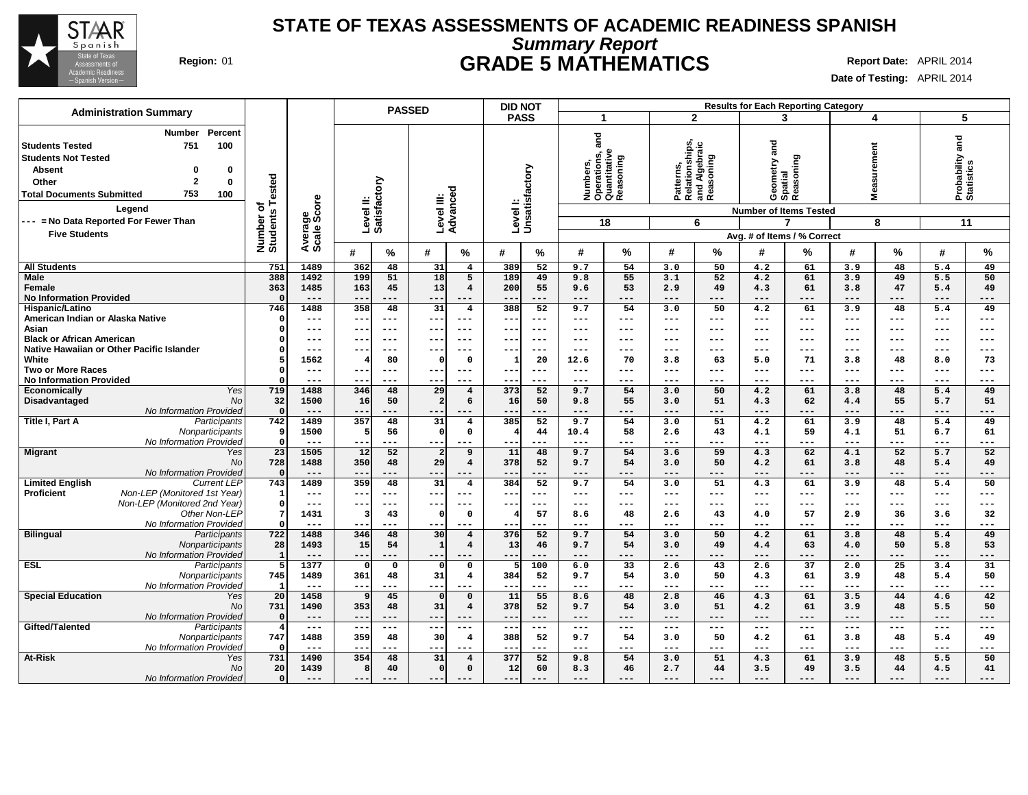

## **Summary Report STATE OF TEXAS ASSESSMENTS OF ACADEMIC READINESS SPANISH Region:** 01 **GRADE 5 MATHEMATICS Report Date:** APRIL 2014

| <b>Administration Summary</b>                                                                                                                                                                         |                              |                       |                                         | <b>PASSED</b>                                  | <b>DID NOT</b>                                       |                                                               |                                                           | <b>Results for Each Reporting Category</b> |                                        |                                      |
|-------------------------------------------------------------------------------------------------------------------------------------------------------------------------------------------------------|------------------------------|-----------------------|-----------------------------------------|------------------------------------------------|------------------------------------------------------|---------------------------------------------------------------|-----------------------------------------------------------|--------------------------------------------|----------------------------------------|--------------------------------------|
|                                                                                                                                                                                                       |                              |                       |                                         |                                                | <b>PASS</b>                                          | -1                                                            | $\overline{2}$                                            | 3                                          | 4                                      | 5                                    |
| Percent<br>Number<br>751<br>100<br>Students Tested<br><b>Students Not Tested</b><br><b>Absent</b><br>0<br>0<br>$\mathbf{2}$<br>Other<br>$\mathbf 0$<br>753<br><b>Total Documents Submitted</b><br>100 | Number of<br>Students Tested | ige<br>Score          | Level II:<br>Satisfactory               | ত<br>Level III:<br>Advancec                    | Level I:<br>Unsatisfactory                           | and<br>Numbers,<br>Operations, a<br>Quantitative<br>Reasoning | Patterns,<br>Relationships,<br>and Algebraic<br>Reasoning | and<br>Reasoning<br>Geometry a<br>Spatial  | surement<br>Ë<br>Ξ                     | and<br>Probability a<br>Statistics   |
| Legend                                                                                                                                                                                                |                              |                       |                                         |                                                |                                                      |                                                               |                                                           | <b>Number of Items Tested</b>              |                                        |                                      |
| --- = No Data Reported For Fewer Than                                                                                                                                                                 |                              |                       |                                         |                                                |                                                      | 18                                                            | 6                                                         |                                            | 8                                      | 11                                   |
| <b>Five Students</b>                                                                                                                                                                                  |                              | Average               |                                         |                                                |                                                      |                                                               |                                                           | Avg. # of Items / % Correct                |                                        |                                      |
|                                                                                                                                                                                                       |                              |                       | $\%$<br>#                               | %<br>#                                         | #<br>℅                                               | ℅<br>#                                                        | %<br>#                                                    | ℅<br>#                                     | %<br>#                                 | %<br>#                               |
| <b>All Students</b>                                                                                                                                                                                   | 751                          | 1489                  | 362<br>48                               | 31<br>$\overline{4}$                           | 389<br>52                                            | 9.7<br>54                                                     | 50<br>3.0                                                 | 4.2<br>61                                  | 3.9<br>48                              | 49<br>5.4                            |
| Male<br>Female<br><b>No Information Provided</b>                                                                                                                                                      | 388<br>363<br>$\Omega$       | 1492<br>1485<br>$---$ | 199<br>51<br>163<br>45<br>$--$<br>$---$ | 18<br>5<br>13<br>$\overline{4}$<br>$--$<br>--- | 189<br>49<br>55<br>200<br>$\qquad \qquad -$<br>$---$ | 55<br>9.8<br>9.6<br>53<br>$---$<br>---                        | 52<br>3.1<br>2.9<br>49<br>$---$<br>---                    | 4.2<br>61<br>4.3<br>61<br>$---$<br>---     | 3.9<br>49<br>3.8<br>47<br>$---$<br>--- | 50<br>5.5<br>5.4<br>49<br>---<br>--- |
| Hispanic/Latino                                                                                                                                                                                       | 746                          | 1488                  | 358<br>48                               | 31<br>$\overline{\mathbf{4}}$                  | 388<br>52                                            | 9.7<br>54                                                     | 50<br>3.0                                                 | 4.2<br>61                                  | 3.9<br>48                              | 5.4<br>49                            |
| American Indian or Alaska Native                                                                                                                                                                      | $\Omega$                     | ---                   | $- -$<br>$---$                          | $--$<br>$---$                                  | $ -$<br>---                                          | $- - -$<br>---                                                | ---<br>$---$                                              | $---$<br>---                               | $---$<br>$---$                         | ---<br>$---$                         |
| Asian                                                                                                                                                                                                 | $\Omega$                     | ---                   | --<br>$--$                              | $---$<br>$- -$                                 | --<br>---                                            | $---$<br>---                                                  | ---<br>$---$                                              | $---$<br>---                               | $---$<br>$---$                         | ---<br>---                           |
| <b>Black or African American</b>                                                                                                                                                                      | 0                            | $---$                 | $- -$<br>$--$                           | $---$<br>$- -$                                 | $--$<br>$--$                                         | $---$<br>---                                                  | $\frac{1}{2}$<br>---                                      | $---$<br>---                               | $---$<br>$---$                         | ---<br>$---$                         |
| Native Hawaiian or Other Pacific Islander                                                                                                                                                             | 0                            | $--$                  | $- - \cdot$<br>$--$                     | $---$<br>$- - \cdot$                           | --<br>$--$                                           | $--$<br>---                                                   | ---<br>$- - -$                                            | $-- -$<br>---                              | $---$<br>$--$                          | $---$<br>---                         |
| White                                                                                                                                                                                                 | 5<br>$\Omega$                | 1562                  | 80<br>4                                 | $\mathbf 0$<br>$\mathbf 0$                     | 20<br>1                                              | 12.6<br>70                                                    | 63<br>3.8                                                 | 71<br>5.0<br>$---$                         | 48<br>3.8                              | 73<br>8.0                            |
| <b>Two or More Races</b><br><b>No Information Provided</b>                                                                                                                                            | $\Omega$                     | $---$<br>---          | $---$<br>$---$                          | $---$<br>---<br>$- -$                          | $---$<br>$--$<br>--<br>$--$                          | $- - -$<br>---<br>$--$<br>---                                 | $\qquad \qquad -$<br>---<br>---<br>$---$                  | $---$<br>$--$                              | $---$<br>$---$<br>$---$<br>---         | ---<br>$---$<br>---<br>---           |
| Yes<br>Economically                                                                                                                                                                                   | 719                          | 1488                  | 346<br>48                               | 29<br>$\overline{4}$                           | 373<br>52                                            | 9.7<br>54                                                     | 50<br>3.0                                                 | 61<br>4.2                                  | 3.8<br>48                              | 5.4<br>49                            |
| Disadvantaged<br>No                                                                                                                                                                                   | 32                           | 1500                  | 16<br>50                                | $\overline{2}$<br>6                            | 16<br>50                                             | 9.8<br>55                                                     | 51<br>3.0                                                 | 4.3<br>62                                  | 55<br>4.4                              | 5.7<br>51                            |
| No Information Provided                                                                                                                                                                               | $\mathbf 0$                  | $---$                 |                                         |                                                | ---<br>--                                            | $---$<br>---                                                  | ---<br>$---$                                              | $---$<br>---                               | $---$<br>---                           | ---<br>---                           |
| Title I, Part A<br>Participants                                                                                                                                                                       | 742                          | 1489                  | 48<br>357                               | 31<br>$\overline{\mathbf{4}}$                  | 52<br>385                                            | 9.7<br>54                                                     | 51<br>3.0                                                 | 61<br>4.2                                  | 3.9<br>48                              | 49<br>5.4                            |
| Nonparticipants                                                                                                                                                                                       | 9                            | 1500                  | 5<br>56                                 | $\mathbf 0$<br>$\mathbf 0$                     | 44                                                   | 10.4<br>58                                                    | 2.6<br>43                                                 | 4.1<br>59                                  | 4.1<br>51                              | 6.7<br>61                            |
| No Information Provided<br>Yes                                                                                                                                                                        | $\mathbf 0$<br>23            | $---$<br>1505         | $--$<br>---<br>12<br>52                 | $--$<br>---<br>$\overline{2}$<br>9             | --<br>$--$<br>11<br>48                               | $---$<br>---<br>9.7<br>54                                     | ---<br>$\qquad \qquad -$<br>59<br>3.6                     | $--$<br>---<br>62<br>4.3                   | $---$<br>---<br>52<br>4.1              | ---<br>---<br>5.7<br>52              |
| <b>Migrant</b><br>No                                                                                                                                                                                  | 728                          | 1488                  | 350<br>48                               | 29<br>$\overline{4}$                           | 52<br>378                                            | 9.7<br>54                                                     | 50<br>3.0                                                 | 61<br>4.2                                  | 3.8<br>48                              | 5.4<br>49                            |
| No Information Provided                                                                                                                                                                               | $\mathbf 0$                  | $---$                 | $- -$<br>$---$                          | $- -$<br>---                                   | $---$<br>--                                          | $---$<br>---                                                  | $---$<br>---                                              | $---$<br>---                               | $---$<br>$---$                         | ---<br>---                           |
| <b>Limited English</b><br><b>Current LEP</b>                                                                                                                                                          | 743                          | 1489                  | 359<br>48                               | 31<br>$\overline{\mathbf{4}}$                  | 384<br>52                                            | 9.7<br>54                                                     | 51<br>3.0                                                 | 4.3<br>61                                  | 3.9<br>48                              | 50<br>5.4                            |
| <b>Proficient</b><br>Non-LEP (Monitored 1st Year)                                                                                                                                                     | 1                            | $---$                 | $\qquad \qquad -$<br>$---$              | $- -$<br>$---$                                 | $--$<br>$- -$                                        | $- - -$<br>---                                                | ---<br>$---$                                              | $---$<br>---                               | $---$<br>$---$                         | ---<br>$---$                         |
| Non-LEP (Monitored 2nd Year)                                                                                                                                                                          | $\mathbf 0$                  | $---$                 | $- -$<br>$---$                          | $--$<br>$---$                                  | ---<br>---                                           | $---$<br>---                                                  | $---$<br>$---$                                            | $---$<br>---                               | $\qquad \qquad - -$<br>$---$           | ---<br>$---$                         |
| Other Non-LEP<br>No Information Provided                                                                                                                                                              | -7<br>$\Omega$               | 1431<br>$---$         | 3<br>43<br>---                          | $\mathbf 0$<br>$\mathbf 0$<br>---<br>$- -$     | 57<br>$\qquad \qquad -$<br>$--$                      | 48<br>8.6<br>$--$<br>---                                      | 43<br>2.6<br>$---$<br>---                                 | 57<br>4.0<br>$--$<br>---                   | 2.9<br>36<br>$---$<br>$---$            | 32<br>3.6<br>---<br>---              |
| <b>Bilingual</b><br>Participants                                                                                                                                                                      | 722                          | 1488                  | 346<br>48                               | 30<br>$\overline{4}$                           | 376<br>52                                            | 54<br>9.7                                                     | 50<br>3.0                                                 | 61<br>4.2                                  | 48<br>3.8                              | 49<br>5.4                            |
| Nonparticipants                                                                                                                                                                                       | 28                           | 1493                  | 15<br>54                                | $\vert$ 1<br>$\overline{4}$                    | 13<br>46                                             | 9.7<br>54                                                     | 3.0<br>49                                                 | 4.4<br>63                                  | 4.0<br>50                              | 5.8<br>53                            |
| No Information Provided                                                                                                                                                                               | -1                           | $---$                 | $--$                                    | $--$<br>---                                    | $---$<br>--                                          | $---$<br>---                                                  | ---<br>$---$                                              | $---$<br>---                               | $---$<br>---                           | ---<br>---                           |
| <b>ESL</b><br>Participants                                                                                                                                                                            | 5                            | 1377                  | $\mathbf 0$<br>0                        | $\mathbf 0$<br>$\Omega$                        | 100                                                  | $\overline{33}$<br>6.0                                        | 2.6<br>43                                                 | 37<br>2.6                                  | 25<br>2.0                              | 31<br>3.4                            |
| Nonparticipants                                                                                                                                                                                       | 745                          | 1489                  | 361<br>48                               | 31<br>$\overline{4}$                           | 384<br>52                                            | 9.7<br>54                                                     | 50<br>3.0                                                 | 4.3<br>61                                  | 3.9<br>48                              | 5.4<br>50                            |
| No Information Provided<br><b>Special Education</b><br>Yes                                                                                                                                            | $\mathbf{1}$<br>20           | $---$<br>1458         | $- -$<br>45<br>9                        | ---<br>---<br>$\mathbf 0$<br>$\Omega$          | ---<br>--<br>11<br>55                                | $---$<br>---<br>8.6<br>48                                     | $---$<br>---<br>2.8<br>46                                 | $---$<br>---<br>4.3<br>61                  | $---$<br>---<br>3.5<br>44              | ---<br>---<br>42<br>4.6              |
| No                                                                                                                                                                                                    | 731                          | 1490                  | 353<br>48                               | 31<br>$\overline{4}$                           | 52<br>378                                            | 9.7<br>54                                                     | 51<br>3.0                                                 | 4.2<br>61                                  | 3.9<br>48                              | 5.5<br>50                            |
| No Information Provided                                                                                                                                                                               | $\mathbf 0$                  | $---$                 | $- -$<br>$---$                          | $---$<br>$- - -$                               | $---$<br>$- -$                                       | $---$<br>---                                                  | ---<br>$---$                                              | $---$<br>---                               | $---$<br>$---$                         | $---$<br>$---$                       |
| Gifted/Talented<br>Participants                                                                                                                                                                       | $\overline{\mathbf{4}}$      | $---$                 | ---<br>$---$                            | ---<br>$---$                                   | $---$<br>$--$                                        | $\sim$ $\sim$ $\sim$<br>---                                   | $- -$<br>$\qquad \qquad -$                                | $---$<br>---                               | $---$<br>$---$                         | $---$<br>$---$                       |
| Nonparticipants                                                                                                                                                                                       | 747                          | 1488                  | 359<br>48                               | $\overline{4}$<br>30                           | 52<br>388                                            | 9.7<br>54                                                     | 50<br>3.0                                                 | 4.2<br>61                                  | 48<br>3.8                              | 49<br>5.4                            |
| No Information Provided                                                                                                                                                                               | - 0                          | $---$                 | $- -$<br>$---$                          | $- - -$<br>---                                 | $--$<br>$- -$                                        | $- - -$<br>---                                                | ---<br>$---$                                              | $---$<br>---                               | $---$<br>$---$                         | ---<br>$---$                         |
| <b>At-Risk</b><br>Yes<br>No                                                                                                                                                                           | 731                          | 1490                  | 354<br>48                               | 31<br>$\overline{4}$                           | 377<br>52                                            | 54<br>9.8                                                     | 51<br>3.0<br>44                                           | 4.3<br>61                                  | 48<br>3.9                              | 50<br>5.5                            |
| No Information Provided                                                                                                                                                                               | 20<br>$\Omega$               | 1439<br>$---$         | 8<br>40<br>$---$<br>$---$               | 0 <br>$\mathbf 0$<br>$---$<br>$---$            | 12<br>60<br>$--$<br>$---$                            | 8.3<br>46<br>$---$<br>---                                     | 2.7<br>$---$<br>$---$                                     | 3.5<br>49<br>$---$<br>---                  | 44<br>3.5<br>$---$<br>$---$            | 41<br>4.5<br>---<br>$---$            |
|                                                                                                                                                                                                       |                              |                       |                                         |                                                |                                                      |                                                               |                                                           |                                            |                                        |                                      |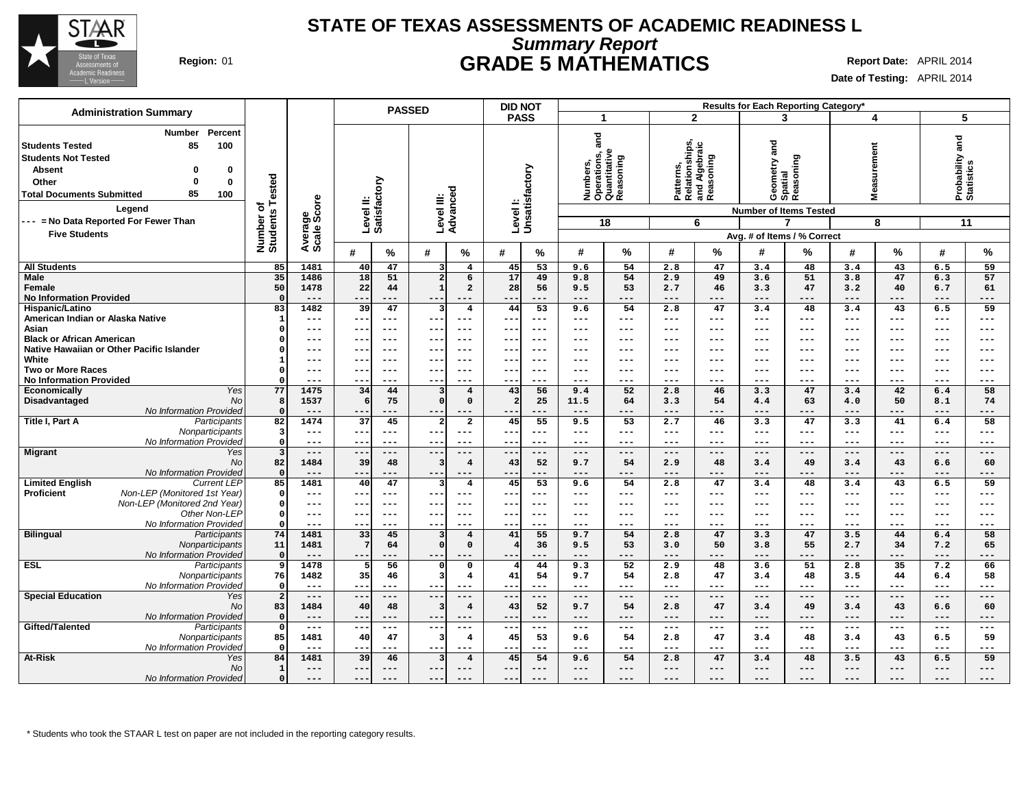

### **Summary Report STATE OF TEXAS ASSESSMENTS OF ACADEMIC READINESS L Region:** 01 **GRADE 5 MATHEMATICS Report Date:** APRIL 2014

| <b>Date of Testing:</b> APRIL 2014 |  |
|------------------------------------|--|
|------------------------------------|--|

| <b>Administration Summary</b>                                                                                                                                                                                        |                               |                | <b>PASSED</b>                            |                                                    | <b>DID NOT</b>                |                                                               |                                                           | Results for Each Reporting Category*       |                                         |                               |
|----------------------------------------------------------------------------------------------------------------------------------------------------------------------------------------------------------------------|-------------------------------|----------------|------------------------------------------|----------------------------------------------------|-------------------------------|---------------------------------------------------------------|-----------------------------------------------------------|--------------------------------------------|-----------------------------------------|-------------------------------|
|                                                                                                                                                                                                                      |                               |                |                                          |                                                    | <b>PASS</b>                   | -1                                                            | $\mathbf{2}$                                              | 3                                          | 4                                       | 5                             |
| Percent<br><b>Number</b><br>85<br>100<br><b>Students Tested</b><br><b>Students Not Tested</b><br><b>Absent</b><br>$\Omega$<br>0<br>Other<br>$\Omega$<br>$\mathbf 0$<br>85<br><b>Total Documents Submitted</b><br>100 | Number of<br>Students Tested  |                | Level II:<br>Satisfactory                | Level III:<br>Advanced                             | Levell:<br>Unsatisfactory     | and<br>Numbers,<br>Operations, a<br>Quantitative<br>Reasoning | Patterns,<br>Relationships,<br>and Algebraic<br>Reasoning | and<br>Geometry ar<br>Spatial<br>Reasoning | surement<br>Ñ<br>Sa                     | Probability and<br>Statistics |
| Legend                                                                                                                                                                                                               |                               | ige<br>Score   |                                          |                                                    |                               |                                                               |                                                           | <b>Number of Items Tested</b>              |                                         |                               |
| --- = No Data Reported For Fewer Than                                                                                                                                                                                |                               |                |                                          |                                                    |                               | 18                                                            | 6                                                         | $\overline{7}$                             | 8                                       | 11                            |
| <b>Five Students</b>                                                                                                                                                                                                 |                               | Avera<br>Scale |                                          |                                                    |                               |                                                               |                                                           | Avg. # of Items / % Correct                |                                         |                               |
|                                                                                                                                                                                                                      |                               |                | #<br>$\%$                                | #<br>%                                             | #<br>℅                        | #<br>%                                                        | %<br>#                                                    | #<br>℅                                     | $\%$<br>#                               | %<br>#                        |
|                                                                                                                                                                                                                      |                               |                |                                          |                                                    |                               |                                                               |                                                           |                                            |                                         |                               |
| <b>All Students</b>                                                                                                                                                                                                  | 85<br>35                      | 1481<br>1486   | 40<br>47<br>18<br>51                     | $\overline{\mathbf{4}}$<br>$\overline{2}$          | 53<br>45<br>17<br>49          | 9.6<br>54<br>54<br>9.8                                        | 47<br>2.8<br>2.9<br>49                                    | 3.4<br>48<br>51                            | 3.4<br>43<br>47                         | 59<br>6.5<br>57<br>6.3        |
| <b>Male</b><br>Female                                                                                                                                                                                                | 50                            | 1478           | 22<br>44                                 | 6<br>$\mathbf{1}$<br>$\overline{a}$                | 28<br>56                      | 53<br>9.5                                                     | 46<br>2.7                                                 | 3.6<br>47<br>3.3                           | 3.8<br>40<br>3.2                        | 61<br>6.7                     |
| <b>No Information Provided</b>                                                                                                                                                                                       | $\Omega$                      | $---$          | $- -$<br>$---$                           | $---$<br>$- - -$                                   | $- -$<br>$---$                | $---$<br>$---$                                                | $---$<br>---                                              | $---$<br>---                               | $---$<br>$---$                          | $---$<br>---                  |
| Hispanic/Latino                                                                                                                                                                                                      | 83                            | 1482           | 39<br>47                                 | $\overline{4}$<br>3                                | 53<br>44                      | 9.6<br>54                                                     | 47<br>2.8                                                 | 3.4<br>48                                  | 3.4<br>43                               | 6.5<br>59                     |
| American Indian or Alaska Native                                                                                                                                                                                     | $\mathbf{1}$<br>$\Omega$      | ---            | ---<br>$---$                             | ---<br>$---$                                       | ---<br>$--$                   | $\qquad \qquad - -$<br>$---$                                  | $\qquad \qquad - -$<br>---                                | $---$<br>$---$                             | $---$<br>$\qquad \qquad - -$            | ---<br>$---$                  |
| Asian<br><b>Black or African American</b>                                                                                                                                                                            | O                             | ---<br>---     | $- -$<br>$---$<br>$--$                   | $---$<br>$- -$<br>$-- -$                           | $---$<br>$- -$<br>---         | $\frac{1}{2}$<br>---<br>$- - -$<br>---                        | $---$<br>$\frac{1}{2}$<br>$---$                           | $---$<br>$---$<br>---                      | $---$<br>$---$<br>$--$<br>$---$         | $---$<br>$---$<br>$-- -$      |
| Native Hawaiian or Other Pacific Islander                                                                                                                                                                            |                               | ---            | --<br>--<br>$--$                         | --<br>---                                          | --<br>--<br>---               | $---$<br>---                                                  | ---<br>---<br>---                                         | $---$<br>$---$<br>---                      | ---<br>$---$                            | $---$<br>$---$<br>$---$       |
| White                                                                                                                                                                                                                | -1                            | ---            | $--$<br>--                               | $---$<br>$- -$                                     | ---<br>---                    | $---$<br>---                                                  | $---$<br>---                                              | $--$<br>---                                | ---<br>$---$                            | $---$<br>$---$                |
| <b>Two or More Races</b>                                                                                                                                                                                             | $\Omega$                      | ---            | $- -$<br>$---$                           | $-- -$<br>$- - \cdot$                              | --<br>---                     | $- - -$<br>---                                                | $---$<br>---                                              | $---$<br>---                               | $---$<br>$---$                          | ---<br>$---$                  |
| <b>No Information Provided</b>                                                                                                                                                                                       |                               | ---            | $- -$<br>$---$                           | $- - -$<br>$---$                                   | --<br>---                     | $- - -$<br>---                                                | $---$<br>$\frac{1}{2}$                                    | $---$<br>---                               | $---$<br>$---$                          | $---$<br>$---$                |
| Yes<br><b>Economically</b>                                                                                                                                                                                           | 77                            | 1475           | 34<br>44                                 | $\overline{4}$<br>3                                | 43<br>56                      | 52<br>9.4                                                     | 46<br>2.8                                                 | 47<br>3.3                                  | 3.4<br>42                               | 58<br>6.4                     |
| <b>No</b><br>Disadvantaged                                                                                                                                                                                           | 8                             | 1537           | 75<br>6                                  | $\Omega$<br>$\mathbf{o}$                           | 25<br>-2                      | 11.5<br>64                                                    | 54<br>3.3                                                 | 63<br>4.4                                  | 50<br>4.0                               | 74<br>8.1                     |
| No Information Provided                                                                                                                                                                                              | $\Omega$                      | $---$          | $- -$<br>$---$                           | $- -$<br>---                                       | --<br>$---$                   | $---$<br>---                                                  | ---<br>$---$                                              | $---$<br>---                               | $---$<br>$---$                          | $---$<br>$---$                |
| Title I, Part A<br>Participants<br>Nonparticipants                                                                                                                                                                   | 82<br>$\overline{\mathbf{3}}$ | 1474<br>$---$  | 37<br>45<br>$\qquad \qquad - -$<br>$- -$ | $\overline{a}$<br>$\overline{2}$<br>---<br>---     | 55<br>45<br>$---$<br>--       | 9.5<br>53<br>$\qquad \qquad - -$<br>$---$                     | 46<br>2.7<br>$\qquad \qquad - -$<br>---                   | 47<br>3.3<br>$\qquad \qquad - -$<br>---    | 3.3<br>41<br>$\qquad \qquad - -$<br>--- | 58<br>6.4<br>$---$<br>---     |
| No Information Provided                                                                                                                                                                                              | $\Omega$                      | ---            | $- -$<br>$---$                           | $- -$<br>---                                       | $---$<br>$- -$                | $- - -$<br>$---$                                              | $---$<br>$---$                                            | $---$<br>---                               | $\qquad \qquad -$<br>$\frac{1}{2}$      | $---$<br>$---$                |
| <b>Migrant</b><br>Yes                                                                                                                                                                                                | $\overline{\mathbf{3}}$       | $---$          | $\qquad \qquad -$<br>$---$               | $--$<br>$---$                                      | $- -$<br>$---$                | $- - -$<br>$---$                                              | $---$<br>$---$                                            | $---$<br>$---$                             | $---$<br>$---$                          | $---$<br>$---$                |
| No                                                                                                                                                                                                                   | 82                            | 1484           | 39<br>48                                 | $\overline{4}$<br>3                                | 52<br>43                      | 9.7<br>54                                                     | 2.9<br>48                                                 | 49<br>3.4                                  | 43<br>3.4                               | 60<br>6.6                     |
| No Information Provided                                                                                                                                                                                              | $\mathbf{0}$                  | $---$<br>1481  | $- -$<br>$---$<br>47                     | ---<br>– – ·                                       | $---$<br>--<br>53             | $---$<br>---<br>54                                            | $---$<br>---<br>47                                        | $---$<br>---                               | ---<br>---                              | $---$<br>---                  |
| <b>Limited English</b><br><b>Current LEP</b><br>Proficient<br>Non-LEP (Monitored 1st Year)                                                                                                                           | 85<br>- 0                     | ---            | 40<br>$- -$<br>$---$                     | $\overline{\mathbf{4}}$<br>3<br>$- - -$<br>$---$   | 45<br>--<br>---               | 9.6<br>$- - -$<br>---                                         | 2.8<br>---<br>$\frac{1}{2}$                               | 48<br>3.4<br>$---$<br>---                  | 43<br>3.4<br>$---$<br>$---$             | 59<br>6.5<br>$---$<br>$---$   |
| Non-LEP (Monitored 2nd Year)                                                                                                                                                                                         | $\Omega$                      | ---            | --<br>$---$                              | $---$<br>--                                        | $---$<br>---                  | $\qquad \qquad - -$<br>---                                    | $---$<br>---                                              | $---$<br>---                               | $---$<br>$---$                          | $---$<br>$---$                |
| Other Non-LEP                                                                                                                                                                                                        | $\Omega$                      | ---            | $- -$<br>$---$                           | --<br>$---$                                        | --<br>---                     | $---$<br>---                                                  | $---$<br>---                                              | $---$<br>---                               | $---$<br>---                            | $---$<br>$---$                |
| No Information Provided                                                                                                                                                                                              | $\Omega$                      | ---            | $- -$<br>$- - -$                         | $--$<br>$---$                                      | ---<br>$---$                  | $- - -$<br>---                                                | $\qquad \qquad - -$<br>$---$                              | $---$<br>---                               | $\qquad \qquad - -$<br>$---$            | $\qquad \qquad - -$<br>$---$  |
| <b>Bilingual</b><br>Participants                                                                                                                                                                                     | 74                            | 1481           | 33<br>45                                 | $\overline{4}$<br>3                                | 41<br>55                      | 54<br>9.7                                                     | 47<br>2.8                                                 | 47<br>3.3                                  | 3.5<br>44                               | 58<br>6.4                     |
| <b>Nonparticipants</b>                                                                                                                                                                                               | 11                            | 1481           | 7<br>64                                  | $\circ$<br>$\mathbf 0$                             | 36                            | 9.5<br>53                                                     | 50<br>3.0                                                 | 3.8<br>55                                  | 2.7<br>34                               | 7.2<br>65                     |
| No Information Provided                                                                                                                                                                                              | $\Omega$                      | ---            | $- -$                                    | ---<br>---                                         | --<br>---                     | $---$<br>---                                                  | ---<br>---                                                | $---$<br>---                               | $---$<br>---                            | $---$<br>---                  |
| ESL<br>Participants                                                                                                                                                                                                  | 9                             | 1478           | $\overline{56}$<br>-5                    | $\mathbf 0$<br>$\Omega$                            | 44                            | $\overline{52}$<br>9.3                                        | 48<br>2.9                                                 | $\overline{51}$<br>3.6                     | $\overline{35}$<br>2.8                  | 66<br>7.2                     |
| Nonparticipants<br>No Information Provided                                                                                                                                                                           | 76<br>$\Omega$                | 1482           | 35<br>46<br>$- -$<br>---                 | 3<br>4                                             | 41<br>54                      | 9.7<br>54                                                     | 2.8<br>47                                                 | 3.4<br>48<br>---                           | 3.5<br>44<br>$---$                      | 58<br>6.4<br>$---$            |
| <b>Special Education</b><br>Yes                                                                                                                                                                                      | $\overline{2}$                | ---<br>$---$   | $---$<br>$- -$                           | ---<br>---<br>$---$<br>$\qquad \qquad -$           | $---$<br>--<br>$- -$<br>$---$ | $\qquad \qquad - -$<br>---<br>$\qquad \qquad - -$<br>$---$    | $---$<br>---<br>$---$<br>---                              | $---$<br>$---$<br>---                      | $---$<br>$---$<br>$---$                 | ---<br>$---$<br>$---$         |
| No                                                                                                                                                                                                                   | 83                            | 1484           | 40<br>48                                 | $\overline{4}$<br>3                                | 52<br>43                      | 9.7<br>54                                                     | 2.8<br>47                                                 | 3.4<br>49                                  | 43<br>3.4                               | 60<br>6.6                     |
| No Information Provided                                                                                                                                                                                              | $\mathbf 0$                   | $---$          | $- -$<br>$- - -$                         | $- -$<br>$---$                                     | $- -$<br>$---$                | $- - -$<br>$---$                                              | $---$<br>---                                              | $---$<br>---                               | $---$<br>$---$                          | $---$<br>---                  |
| Gifted/Talented<br>Participants                                                                                                                                                                                      | $\Omega$                      | ---            | --<br>$---$                              | $- -$<br>$-- -$                                    | $---$<br>--                   | $\qquad \qquad - -$<br>---                                    | $--$<br>---                                               | $---$<br>$---$                             | $---$<br>$---$                          | $---$<br>$---$                |
| Nonparticipants                                                                                                                                                                                                      | 85                            | 1481           | 47<br>40                                 | $\overline{\mathbf{3}}$<br>$\overline{\mathbf{4}}$ | 53<br>45                      | 9.6<br>54                                                     | 47<br>2.8                                                 | 48<br>3.4                                  | 43<br>3.4                               | 6.5<br>59                     |
| No Information Provided                                                                                                                                                                                              | $\Omega$                      | $- - -$        | $- -$<br>$---$                           | $- -$<br>$-- -$                                    | --<br>---                     | $---$<br>---                                                  | ---<br>$---$                                              | $---$<br>---                               | $---$<br>$- - -$                        | $---$<br>---                  |
| At-Risk<br>Yes                                                                                                                                                                                                       | 84                            | 1481           | 39<br>46                                 | $\overline{\mathbf{3}}$<br>$\overline{4}$          | 45<br>54                      | 9.6<br>54                                                     | 47<br>2.8                                                 | 48<br>3.4                                  | 43<br>3.5                               | 59<br>6.5                     |
| <b>No</b>                                                                                                                                                                                                            | $\mathbf{1}$                  | ---            | $---$<br>$---$                           | ---<br>$---$                                       | ---<br>$---$                  | $\qquad \qquad - -$<br>$---$                                  | ---<br>$---$                                              | $\qquad \qquad - -$<br>---                 | $---$<br>$---$                          | $---$<br>---                  |
| No Information Provided                                                                                                                                                                                              | $\Omega$                      | ---            | $---$<br>$---$                           | $- -$<br>$---$                                     | ---<br>$---$                  | $---$<br>$---$                                                | $---$<br>---                                              | $---$<br>---                               | $---$<br>$---$                          | $---$<br>$---$                |

\* Students who took the STAAR L test on paper are not included in the reporting category results.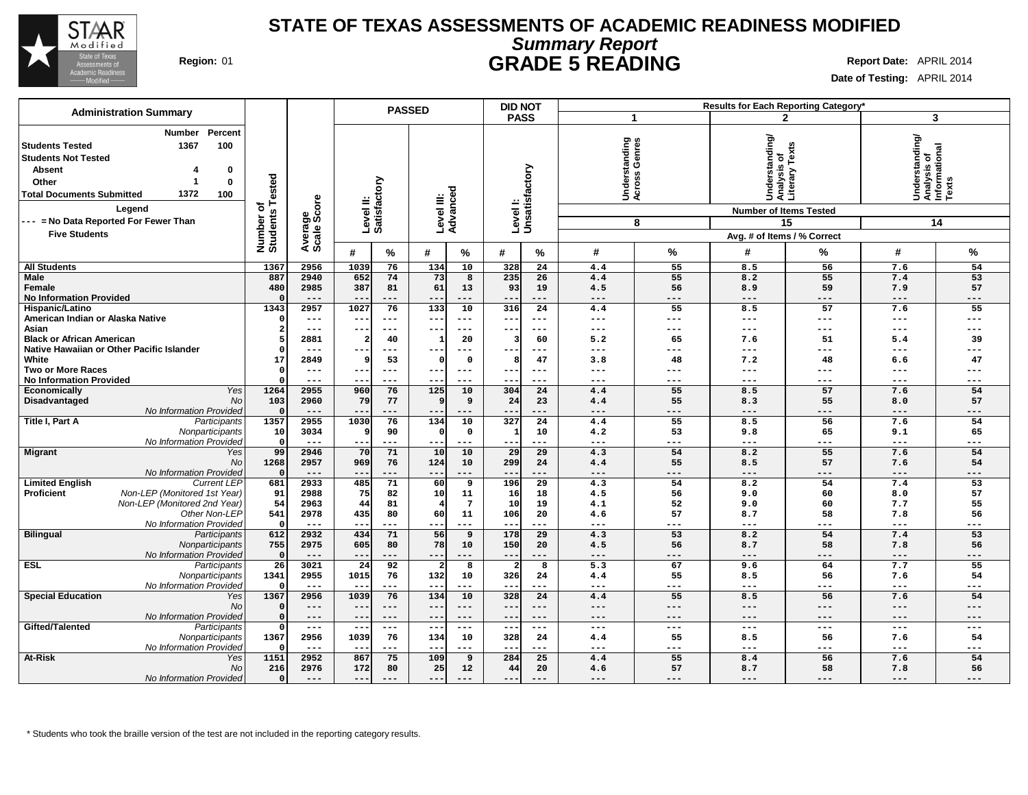

## **Summary Report STATE OF TEXAS ASSESSMENTS OF ACADEMIC READINESS MODIFIED Region:** 01 **GRADE 5 READING Report Date:** APRIL 2014

**Date of Testing:** APRIL 2014

| <b>Administration Summary</b>                                                                                                                                                                                                                                |                                      |                        |                 |                           | <b>PASSED</b>          |                     | <b>DID NOT</b><br><b>Results for Each Reporting Category*</b> |                           |                                        |                           |                                                                                     |                                                |                                                              |           |
|--------------------------------------------------------------------------------------------------------------------------------------------------------------------------------------------------------------------------------------------------------------|--------------------------------------|------------------------|-----------------|---------------------------|------------------------|---------------------|---------------------------------------------------------------|---------------------------|----------------------------------------|---------------------------|-------------------------------------------------------------------------------------|------------------------------------------------|--------------------------------------------------------------|-----------|
|                                                                                                                                                                                                                                                              |                                      |                        |                 |                           |                        |                     | <b>PASS</b>                                                   |                           | $\mathbf 1$                            |                           |                                                                                     | $\mathbf{2}$                                   | 3                                                            |           |
| Percent<br>Number<br>1367<br>100<br>  Students Tested<br><b>Students Not Tested</b><br><b>Absent</b><br>0<br>$\bf{0}$<br>Other<br>1372<br>100<br><b>Total Documents Submitted</b><br>Legend<br>--- = No Data Reported For Fewer Than<br><b>Five Students</b> | Tested<br>৳<br>Number o'<br>Students | Average<br>Scale Score |                 | Level II:<br>Satisfactory | Level III:<br>Advanced |                     |                                                               | Levell:<br>Unsatisfactory | tanding<br>Genres<br>Underst<br>Across | 8                         | Understanding/<br>đ<br><b>Number of Items Tested</b><br>Avg. # of Items / % Correct | Texts<br>Analysis <b>o</b><br>Literary T<br>15 | Understanding/<br> Analysis of<br>  Informational<br>  Texts | 14        |
|                                                                                                                                                                                                                                                              |                                      |                        | #               | %                         | #                      | %                   | #                                                             | %                         | #                                      | %                         | #                                                                                   | %                                              | #                                                            | %         |
|                                                                                                                                                                                                                                                              | 1367                                 | 2956                   | 1039            |                           | 134                    | 10                  | 328                                                           | 24                        | 4.4                                    | 55                        | 8.5                                                                                 | 56                                             | 7.6                                                          | 54        |
| <b>All Students</b><br>Male                                                                                                                                                                                                                                  | 887                                  | 2940                   | 652             | 76<br>74                  | 73                     | $\overline{8}$      | 235                                                           | 26                        | 4.4                                    | 55                        | 8.2                                                                                 | 55                                             | 7.4                                                          | 53        |
| Female                                                                                                                                                                                                                                                       | 480                                  | 2985                   | 387             | 81                        | 61                     | 13                  | 93                                                            | 19                        | 4.5                                    | 56                        | 8.9                                                                                 | 59                                             | 7.9                                                          | 57        |
| <b>No Information Provided</b>                                                                                                                                                                                                                               |                                      | $---$                  | $- -$           | ---                       | $- -$                  | $---$               | $- -$                                                         | $---$                     | $---$                                  | $---$                     | $---$                                                                               | $---$                                          | $---$                                                        | $---$     |
| Hispanic/Latino                                                                                                                                                                                                                                              | 1343                                 | 2957                   | 1027            | 76                        | 133                    | 10                  | 316                                                           | 24                        | 4.4                                    | 55                        | 8.5                                                                                 | 57                                             | 7.6                                                          | 55        |
| American Indian or Alaska Native                                                                                                                                                                                                                             |                                      | $---$                  | $- -$           | ---                       | ---                    | $---$               | --                                                            | $--$                      | $---$                                  | $---$                     | ---                                                                                 | ---                                            | $---$                                                        | ---       |
| Asian                                                                                                                                                                                                                                                        | 2                                    | ---                    | $- -$           | ---                       | --                     | $---$               | $- -$                                                         | $--$                      | $---$                                  | $---$                     | ---                                                                                 | ---                                            | $---$                                                        | ---       |
| <b>Black or African American</b>                                                                                                                                                                                                                             |                                      | 2881                   |                 | 40                        |                        | 20                  |                                                               | 60                        | 5.2                                    | 65                        | 7.6                                                                                 | 51                                             | 5.4                                                          | 39        |
| Native Hawaiian or Other Pacific Islander                                                                                                                                                                                                                    |                                      | $---$                  |                 |                           |                        |                     |                                                               | $--$                      | $--$                                   | ---                       | ---                                                                                 | ---                                            | $--$                                                         |           |
| White                                                                                                                                                                                                                                                        | 17                                   | 2849                   | 9               | 53                        | O                      | $\mathbf 0$         | 8                                                             | 47                        | 3.8                                    | 48                        | 7.2                                                                                 | 48                                             | 6.6                                                          | 47        |
| <b>Two or More Races</b>                                                                                                                                                                                                                                     | $\Omega$                             | $---$                  | $- -$           | $---$                     | $- -$                  | $\qquad \qquad - -$ | $--$                                                          | $- - -$                   | $- - -$                                | $---$                     | ---                                                                                 | ---                                            | $---$                                                        | ---       |
| <b>No Information Provided</b>                                                                                                                                                                                                                               |                                      | $---$                  | $- -$           | $---$                     | $-$                    | $- - -$             | ---                                                           | $---$                     | $- - -$                                | $---$                     | ---                                                                                 | ---                                            | $---$                                                        | ---       |
| Yes<br>Economically                                                                                                                                                                                                                                          | 1264                                 | 2955                   | 960             | 76                        | 125                    | 10                  | 304                                                           | 24                        | 4.4                                    | 55                        | 8.5                                                                                 | 57                                             | 7.6                                                          | 54        |
| <b>No</b><br>Disadvantaged                                                                                                                                                                                                                                   | 103                                  | 2960                   | 79              | 77                        | 9                      | 9                   | 24                                                            | 23                        | 4.4                                    | 55                        | 8.3                                                                                 | 55                                             | 8.0                                                          | 57        |
| No Information Provided                                                                                                                                                                                                                                      |                                      | $---$                  | $- -$           | ---                       | $ -$                   | $---$               | $--$                                                          | ---                       | $---$                                  | $---$                     | ---                                                                                 | ---                                            | $---$                                                        | ---       |
| Title I, Part A<br>Participants                                                                                                                                                                                                                              | 1357                                 | 2955                   | 1030            | 76                        | 134                    | 10                  | 327                                                           | 24                        | 4.4                                    | 55                        | 8.5                                                                                 | 56                                             | 7.6                                                          | 54        |
| Nonparticipants                                                                                                                                                                                                                                              | 10                                   | 3034                   | q               | 90                        | $\Omega$               | $\mathbf 0$         | 1                                                             | 10                        | 4.2                                    | 53                        | 9.8                                                                                 | 65                                             | 9.1                                                          | 65        |
| No Information Provided                                                                                                                                                                                                                                      | $\Omega$                             | $---$                  | $- -$           | ---                       | $- -$                  | $---$               | $- - -$                                                       | ---                       | $---$                                  | $---$                     | ---                                                                                 | ---                                            | $- -$                                                        | ---       |
| <b>Migrant</b><br>Yes                                                                                                                                                                                                                                        | 99                                   | 2946                   | 70              | 71                        | 10                     | 10                  | 29                                                            | 29                        | 4.3                                    | 54                        | 8.2                                                                                 | 55                                             | 7.6                                                          | 54        |
| <b>No</b>                                                                                                                                                                                                                                                    | 1268                                 | 2957                   | 969             | 76                        | 124                    | 10                  | 299                                                           | 24                        | 4.4                                    | 55                        | 8.5                                                                                 | 57                                             | 7.6                                                          | 54        |
| No Information Provided                                                                                                                                                                                                                                      | $\Omega$                             | $---$                  | $- -$           | ---                       | $- -$                  | $---$               | $- -$                                                         | ---                       | $---$                                  | ---                       | ---                                                                                 | ---                                            | $---$                                                        | ---       |
| <b>Current LEP</b><br><b>Limited English</b>                                                                                                                                                                                                                 | 681                                  | 2933                   | 485             | 71                        | 60                     | 9                   | 196                                                           | 29                        | 4.3                                    | 54                        | 8.2                                                                                 | 54                                             | 7.4                                                          | 53        |
| Non-LEP (Monitored 1st Year)<br><b>Proficient</b>                                                                                                                                                                                                            | 91                                   | 2988                   | 75              | 82                        | 10                     | 11                  | 16                                                            | 18                        | 4.5                                    | 56                        | 9.0                                                                                 | 60                                             | 8.0                                                          | 57        |
| Non-LEP (Monitored 2nd Year)                                                                                                                                                                                                                                 | 54                                   | 2963                   | 44              | 81                        |                        | $7\phantom{.0}$     | 10                                                            | 19                        | 4.1                                    | 52                        | 9.0                                                                                 | 60                                             | 7.7                                                          | 55        |
| Other Non-LEP                                                                                                                                                                                                                                                | 541                                  | 2978                   | 435             | 80                        | 60                     | 11                  | 106                                                           | 20                        | 4.6                                    | 57                        | 8.7                                                                                 | 58                                             | 7.8                                                          | 56        |
| No Information Provided                                                                                                                                                                                                                                      | $\Omega$                             | $---$                  | $- -$           | ---                       | $- -$                  | $---$               | $- - -$                                                       | $---$                     | $---$                                  | $---$                     | ---                                                                                 | ---                                            | $\qquad \qquad - -$                                          | ---       |
| <b>Bilingual</b><br>Participants                                                                                                                                                                                                                             | 612                                  | 2932                   | 434             | 71                        | 56                     | 9                   | 178                                                           | 29                        | 4.3                                    | 53                        | 8.2                                                                                 | 54                                             | 7.4                                                          | 53        |
| Nonparticipants                                                                                                                                                                                                                                              | 755                                  | 2975                   | 605             | 80                        | 78                     | 10                  | 150                                                           | 20                        | 4.5                                    | 56                        | 8.7                                                                                 | 58                                             | 7.8                                                          | 56        |
| No Information Provideo                                                                                                                                                                                                                                      | $\Omega$                             | $---$                  | $--$            | ---                       | $- -$                  | $---$               | $---$                                                         | $---$                     | $\qquad \qquad - -$                    | $---$                     | $---$                                                                               | ---                                            | $\qquad \qquad - -$                                          | $---$     |
| <b>ESL</b><br>Participants                                                                                                                                                                                                                                   | 26                                   | 3021                   | $\overline{24}$ | 92                        | 2                      | 8                   | $\overline{2}$                                                | 8                         | 5.3                                    | 67                        | 9.6                                                                                 | 64                                             | 7.7                                                          | 55        |
| Nonparticipants                                                                                                                                                                                                                                              | 1341                                 | 2955                   | 1015            | 76                        | 132                    | 10                  | 326                                                           | 24                        | 4.4                                    | 55                        | 8.5                                                                                 | 56                                             | 7.6                                                          | 54        |
| No Information Provided                                                                                                                                                                                                                                      |                                      | $---$                  |                 | ---                       | $- -$                  | $---$               | --                                                            | ---                       | $\qquad \qquad - -$                    | $\qquad \qquad - -$       | ---                                                                                 | ---                                            | $- -$                                                        | ---       |
| <b>Special Education</b><br>Yes                                                                                                                                                                                                                              | 1367                                 | 2956                   | 1039            | 76                        | 134                    | 10                  | 328                                                           | 24                        | 4.4                                    | 55                        | 8.5                                                                                 | 56                                             | 7.6                                                          | 54        |
| No                                                                                                                                                                                                                                                           |                                      | $---$                  | $- -$           | $---$                     | $- -$                  | $---$<br>$---$      | $---$                                                         | $---$                     | $---$                                  | $---$                     | ---                                                                                 | ---                                            | $---$                                                        | $---$     |
| No Information Provided                                                                                                                                                                                                                                      | $\Omega$                             | ---                    | $- -$           | ---                       | $ -$                   |                     | ---                                                           | $---$                     | ---                                    | ---                       | ---                                                                                 | ---                                            | $---$                                                        | ---       |
| Gifted/Talented<br>Participants                                                                                                                                                                                                                              | 1367                                 | $---$<br>2956          | $- -$           | ---                       | $\sim$ $\sim$          | $---$<br>10         | $\overline{\phantom{m}}$                                      | $--$                      | $---$                                  | $\qquad \qquad - -$<br>55 | ---                                                                                 | ---                                            | $---$                                                        | ---<br>54 |
| Nonparticipants                                                                                                                                                                                                                                              |                                      | $---$                  | 1039            | 76<br>---                 | 134<br>$ -$            | $- - -$             | 328                                                           | 24<br>---                 | 4.4<br>$- - -$                         | ---                       | 8.5<br>---                                                                          | 56<br>---                                      | 7.6<br>$- - -$                                               | ---       |
| No Information Provideo<br>At-Risk                                                                                                                                                                                                                           | 1151                                 | 2952                   | 867             | 75                        | 109                    | 9                   | 284                                                           | 25                        | 4.4                                    | 55                        | 8.4                                                                                 | 56                                             |                                                              | 54        |
| Yes                                                                                                                                                                                                                                                          |                                      |                        |                 |                           |                        |                     |                                                               |                           |                                        |                           |                                                                                     |                                                | 7.6                                                          |           |
| <b>No</b>                                                                                                                                                                                                                                                    | 216                                  | 2976                   | 172             | 80<br>$- - -$             | 25                     | $12 \overline{ }$   | 44<br>$- - -$                                                 | 20                        | 4.6<br>$- - -$                         | 57                        | 8.7                                                                                 | 58<br>$- - -$                                  | 7.8                                                          | 56<br>--- |
| No Information Provided                                                                                                                                                                                                                                      | $\Omega$                             | $---$                  | $---$           |                           | $---$                  | $- - -$             |                                                               | $- - -$                   |                                        | $- - -$                   | ---                                                                                 |                                                | $- - -$                                                      |           |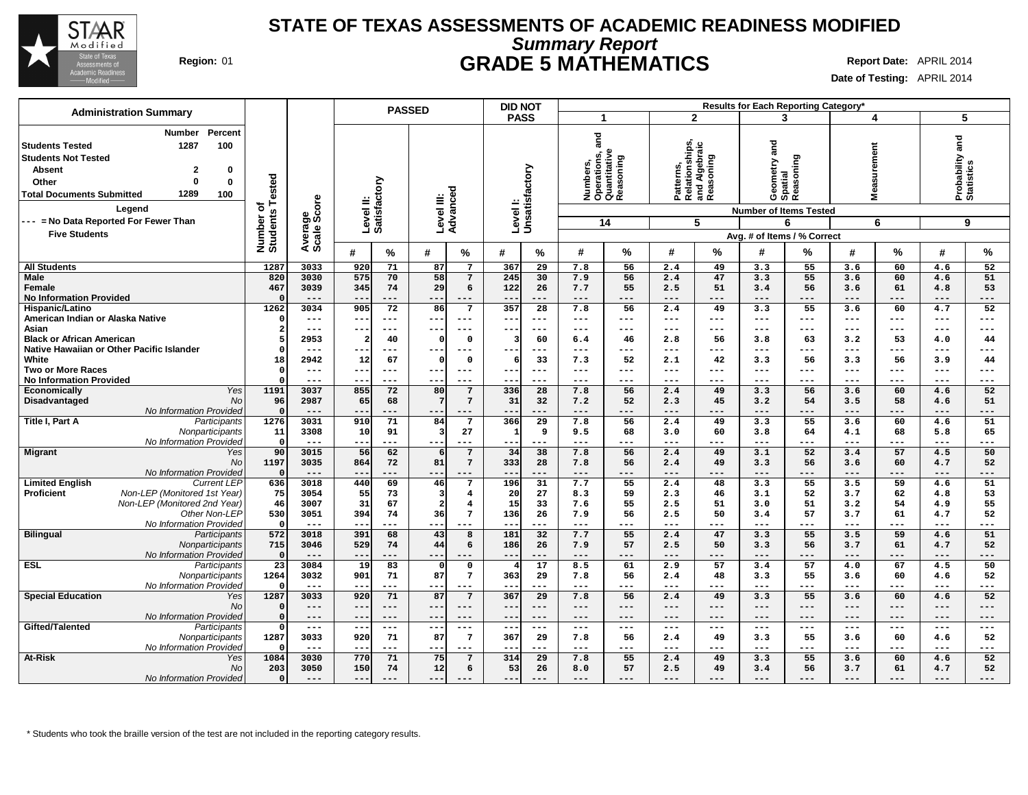

## **Summary Report STATE OF TEXAS ASSESSMENTS OF ACADEMIC READINESS MODIFIED Region:** 01 **GRADE 5 MATHEMATICS Report Date:** APRIL 2014

**Date of Testing:** APRIL 2014

|                                                                                                                                                                                                                |                              |                        | <b>PASSED</b>                      |                                           | <b>DID NOT</b>                 |                                                                        |                                                           | Results for Each Reporting Category*               |                                    |                                   |
|----------------------------------------------------------------------------------------------------------------------------------------------------------------------------------------------------------------|------------------------------|------------------------|------------------------------------|-------------------------------------------|--------------------------------|------------------------------------------------------------------------|-----------------------------------------------------------|----------------------------------------------------|------------------------------------|-----------------------------------|
| <b>Administration Summary</b>                                                                                                                                                                                  |                              |                        |                                    |                                           | <b>PASS</b>                    | $\mathbf 1$                                                            | $\mathbf{2}$                                              | 3                                                  | 4                                  | 5                                 |
| Percent<br><b>Number</b><br>100<br><b>Students Tested</b><br>1287<br><b>Students Not Tested</b><br><b>Absent</b><br>2<br>0<br>$\Omega$<br>$\bf{0}$<br>Other<br>1289<br><b>Total Documents Submitted</b><br>100 | Number of<br>Students Tested |                        | Level II:<br>Satisfactory          | Level III:<br>Advanceo                    | Unsatisfactory                 | and<br>Numbers,<br>Operations, a<br>Quantitative<br>Reasoning<br>oning | Patterns,<br>Relationships,<br>and Algebraic<br>Reasoning | <b>Pare</b><br>Geometry an<br>Spatial<br>Reasoning | urement<br>ō,<br>Ñ<br>Mea          | and<br>Probability and Statistics |
| Legend                                                                                                                                                                                                         |                              | Average<br>Scale Score |                                    |                                           | Level I:                       |                                                                        |                                                           | <b>Number of Items Tested</b>                      |                                    |                                   |
| --- = No Data Reported For Fewer Than                                                                                                                                                                          |                              |                        |                                    |                                           |                                | 14                                                                     | 5                                                         | 6                                                  | 6                                  | 9                                 |
| <b>Five Students</b>                                                                                                                                                                                           |                              |                        |                                    |                                           |                                |                                                                        |                                                           | Avg. # of Items / % Correct                        |                                    |                                   |
|                                                                                                                                                                                                                |                              |                        | %<br>#                             | #<br>%                                    | #<br>%                         | %<br>#                                                                 | %<br>#                                                    | %<br>#                                             | $\frac{0}{0}$<br>#                 | %<br>#                            |
| <b>All Students</b>                                                                                                                                                                                            | 1287                         | 3033                   | 920<br>71                          | 87<br>$7\phantom{.0}$                     | 367<br>29                      | 7.8<br>56                                                              | 2.4<br>49                                                 | 3.3<br>55                                          | 3.6<br>60                          | 4.6<br>52                         |
| <b>Male</b>                                                                                                                                                                                                    | 820                          | 3030                   | 575<br>70                          | 58<br>7                                   | 245<br>30                      | 7.9<br>56                                                              | 47<br>2.4                                                 | 3.3<br>55                                          | 60<br>3.6                          | 51<br>4.6                         |
| Female<br><b>No Information Provided</b>                                                                                                                                                                       | 467<br>$\Omega$              | 3039<br>$---$          | 74<br>345<br>$--$<br>$---$         | 29<br>6<br>$--$<br>$---$                  | 26<br>122<br>$---$<br>---      | 7.7<br>55<br>$\qquad \qquad - -$<br>---                                | 51<br>2.5<br>$---$<br>$---$                               | 3.4<br>56<br>$\qquad \qquad - -$<br>---            | 61<br>3.6<br>$---$<br>$---$        | 53<br>4.8<br>$---$<br>---         |
| Hispanic/Latino                                                                                                                                                                                                | 1262                         | 3034                   | 905<br>72                          | 86<br>$7\phantom{1}$                      | 357<br>28                      | 7.8<br>56                                                              | 49<br>2.4                                                 | 55<br>3.3                                          | 60<br>3.6                          | 52<br>4.7                         |
| American Indian or Alaska Native                                                                                                                                                                               | $\Omega$                     | $- - -$                | --<br>$- - -$                      | $- - -$<br>$- -$                          | ---<br>---                     | $---$<br>---                                                           | ---<br>$---$                                              | $---$<br>$- - -$                                   | $---$<br>---                       | ---<br>---                        |
| Asian                                                                                                                                                                                                          | $\overline{2}$               | $---$                  | $- -$<br>$---$                     | $---$<br>$- -$                            | $- - -$<br>---                 | $\frac{1}{2}$<br>---                                                   | $\frac{1}{2}$<br>---                                      | $---$<br>$---$                                     | $\cdots$<br>$\frac{1}{2}$          | $---$<br>$---$                    |
| <b>Black or African American</b>                                                                                                                                                                               |                              | 2953                   | 40<br>2                            | $\mathbf 0$<br>0                          | 60<br>$\overline{\mathbf{3}}$  | 6.4<br>46                                                              | 2.8<br>56                                                 | 3.8<br>63                                          | 3.2<br>53                          | 4.0<br>44                         |
| Native Hawaiian or Other Pacific Islander<br>White                                                                                                                                                             | $\Omega$<br>18               | $- - -$<br>2942        | $- - -$<br>--<br>12<br>67          | $---$<br>$\mathbf 0$<br>0                 | $- - -$<br>---<br>33<br>6      | $---$<br>---<br>7.3<br>52                                              | ---<br>$---$<br>2.1<br>42                                 | $- - -$<br>$--$<br>3.3<br>56                       | $---$<br>---<br>3.3<br>56          | ---<br>$---$<br>3.9<br>44         |
| <b>Two or More Races</b>                                                                                                                                                                                       | $\Omega$                     | $---$                  | --<br>$--$                         | $---$                                     | $- -$<br>---                   | $---$<br>---                                                           | ---<br>$---$                                              | $---$<br>---                                       | $---$<br>$---$                     | ---<br>---                        |
| <b>No Information Provided</b>                                                                                                                                                                                 |                              | $---$                  | $- -$<br>$---$                     | $---$<br>$- -$                            | $- -$<br>---                   | $---$<br>---                                                           | ---<br>---                                                | $---$<br>---                                       | $---$<br>---                       | ---<br>$---$                      |
| Yes<br><b>Economically</b>                                                                                                                                                                                     | 1191                         | 3037                   | 855<br>72                          | 80<br>7                                   | 336<br>28                      | 7.8<br>56                                                              | 49<br>2.4                                                 | 3.3<br>56                                          | 60<br>3.6                          | 52<br>4.6                         |
| Disadvantaged<br><b>No</b>                                                                                                                                                                                     | 96                           | 2987                   | 65<br>68                           | $7\phantom{.0}$<br>7                      | 31<br>32                       | 7.2<br>52                                                              | 2.3<br>45                                                 | 3.2<br>54                                          | 3.5<br>58                          | 51<br>4.6                         |
| No Information Provided<br>Title I, Part A                                                                                                                                                                     | $\Omega$<br>1276             |                        | $- -$<br>71                        | 84<br>$7\phantom{.0}$                     | 29                             | $---$                                                                  | 49                                                        | ---<br>55                                          | $---$<br>60                        | ---<br>---<br>51                  |
| Participants<br>Nonparticipants                                                                                                                                                                                | 11                           | 3031<br>3308           | 910<br>91<br>10                    | $\overline{3}$<br>27                      | 366<br>9<br>$\mathbf{1}$       | 7.8<br>56<br>9.5<br>68                                                 | 2.4<br>60<br>3.0                                          | 3.3<br>3.8<br>64                                   | 3.6<br>4.1<br>68                   | 4.6<br>65<br>5.8                  |
| No Information Provided                                                                                                                                                                                        | $\Omega$                     | $- - -$                | ---<br>$- - -$                     | $- -$<br>---                              | $- -$<br>---                   | $- - -$<br>---                                                         | ---<br>$- - -$                                            | $- - -$<br>---                                     | $- - -$<br>---                     | $- - -$<br>---                    |
| <b>Migrant</b><br>Yes                                                                                                                                                                                          | 90                           | 3015                   | 56<br>62                           | $7\phantom{.0}$<br>6                      | 38<br>34                       | 7.8<br>56                                                              | 49<br>2.4                                                 | 52<br>3.1                                          | 57<br>3.4                          | 50<br>4.5                         |
| <b>No</b>                                                                                                                                                                                                      | 1197                         | 3035                   | 864<br>72                          | 81<br>$7\phantom{.0}$                     | 28<br>333                      | 56<br>7.8                                                              | 49<br>2.4                                                 | 3.3<br>56                                          | 60<br>3.6                          | 52<br>4.7                         |
| No Information Provided<br><b>Current LEP</b>                                                                                                                                                                  | $\Omega$<br>636              | $---$<br>3018          | $- -$<br>$---$<br>69<br>440        | --<br>$---$<br>46<br>7                    | ---<br>$ -$<br>196<br>31       | $---$<br>---<br>7.7<br>55                                              | ---<br>$---$<br>48<br>2.4                                 | $---$<br>---<br>3.3<br>55                          | $---$<br>---<br>3.5<br>59          | ---<br>$---$<br>51<br>4.6         |
| <b>Limited English</b><br>Non-LEP (Monitored 1st Year)<br><b>Proficient</b>                                                                                                                                    | 75                           | 3054                   | 55<br>73                           | 3<br>$\overline{4}$                       | 27<br>20                       | 8.3<br>59                                                              | 2.3<br>46                                                 | 3.1<br>52                                          | 62<br>3.7                          | 53<br>4.8                         |
| Non-LEP (Monitored 2nd Year)                                                                                                                                                                                   | 46                           | 3007                   | 31<br>67                           | $\overline{a}$<br>$\overline{\mathbf{4}}$ | 15<br>33                       | 55<br>7.6                                                              | 51<br>2.5                                                 | 51<br>3.0                                          | 54<br>3.2                          | 55<br>4.9                         |
| Other Non-LEP                                                                                                                                                                                                  | 530                          | 3051                   | 394<br>74                          | 36<br>$7\phantom{.0}$                     | 136<br>26                      | 7.9<br>56                                                              | 2.5<br>50                                                 | 3.4<br>57                                          | 3.7<br>61                          | 52<br>4.7                         |
| No Information Provideo                                                                                                                                                                                        | $\mathbf 0$                  | $- - -$                | $- -$<br>$---$                     | $- - -$<br>$---$                          | $- -$<br>---                   | $---$<br>---                                                           | $---$<br>---                                              | $---$<br>---                                       | $---$<br>---                       | $---$<br>$---$                    |
| <b>Bilingual</b><br>Participants                                                                                                                                                                               | 572                          | 3018                   | 391<br>68                          | 43<br>8                                   | 181<br>32                      | 7.7<br>55                                                              | 2.4<br>47                                                 | 3.3<br>55                                          | 3.5<br>59                          | 51<br>4.6                         |
| Nonparticipants<br>No Information Provideo                                                                                                                                                                     | 715<br>$\Omega$              | 3046<br>$---$          | 529<br>74<br>$- -$<br>---          | 44<br>6<br>---                            | 186<br>26<br>$ -$<br>---       | 57<br>7.9<br>$---$<br>---                                              | 2.5<br>50<br>$---$<br>---                                 | 3.3<br>56<br>$---$<br>---                          | 61<br>3.7<br>$---$<br>---          | 52<br>4.7<br>$---$<br>---         |
| <b>ESL</b><br>Participants                                                                                                                                                                                     | $\overline{23}$              | 3084                   | 83<br>19                           | $\mathbf{0}$<br>οl                        | 17<br>$\overline{4}$           | 8.5<br>61                                                              | 57<br>2.9                                                 | 57<br>3.4                                          | 67<br>4.0                          | 4.5<br>50                         |
| Nonparticipants                                                                                                                                                                                                | 1264                         | 3032                   | 901<br>71                          | 87<br>$7\phantom{.0}$                     | 363<br>29                      | 7.8<br>56                                                              | 2.4<br>48                                                 | 3.3<br>55                                          | 60<br>3.6                          | 4.6<br>52                         |
| No Information Provided                                                                                                                                                                                        | $\Omega$                     |                        | $--$                               | --<br>---                                 | $\qquad \qquad -$<br>---       | $---$<br>---                                                           | $---$<br>---                                              | $---$<br>---                                       | $---$<br>---                       | ---<br>---                        |
| <b>Special Education</b><br>Yes                                                                                                                                                                                | 1287                         | 3033                   | 920<br>71                          | 87<br>$7\phantom{.0}$                     | 367<br>29                      | 7.8<br>56                                                              | 49<br>2.4                                                 | 55<br>3.3                                          | 3.6<br>60                          | 52<br>4.6                         |
| No<br>No Information Provided                                                                                                                                                                                  | $\Omega$<br>$\Omega$         | $---$<br>$- - -$       | $- -$<br>$---$<br>$- -$<br>$- - -$ | $---$<br>$- -$<br>$- -$<br>$---$          | $---$<br>$---$<br>$- -$<br>--- | $---$<br>$---$<br>$- - -$<br>$---$                                     | ---<br>$---$<br>$---$<br>---                              | $---$<br>$---$<br>$---$<br>$- - -$                 | $---$<br>$---$<br>$- - -$<br>$---$ | $---$<br>---<br>---<br>$---$      |
| Gifted/Talented<br>Participants                                                                                                                                                                                |                              | $\qquad \qquad - -$    | $--$<br>$---$                      | ---<br>$\qquad \qquad - -$                | $--$<br>$- - -$                | $\qquad \qquad - -$<br>$---$                                           | $\qquad \qquad - -$<br>---                                | $\qquad \qquad - -$<br>$---$                       | $---$<br>$\qquad \qquad -$         | $---$<br>$---$                    |
| Nonparticipants                                                                                                                                                                                                | 1287                         | 3033                   | 920<br>71                          | $7\phantom{.0}$<br>87                     | 367<br>29                      | 56<br>7.8                                                              | 49<br>2.4                                                 | 3.3<br>55                                          | 60<br>3.6                          | 52<br>4.6                         |
| No Information Provideo                                                                                                                                                                                        |                              | $---$                  | $\qquad \qquad -$<br>$---$         | $--$<br>$---$                             | $- -$<br>---                   | $--$<br>---                                                            | ---<br>$---$                                              | $---$<br>$---$                                     | $\qquad \qquad - -$<br>---         | ---<br>$---$                      |
| <b>At-Risk</b><br>Yes                                                                                                                                                                                          | 1084                         | 3030                   | 770<br>71                          | 75<br>7                                   | 314<br>29                      | 55<br>7.8                                                              | 49<br>2.4                                                 | 55<br>3.3                                          | 60<br>3.6                          | 52<br>4.6                         |
| <b>No</b>                                                                                                                                                                                                      | 203                          | 3050                   | 150<br>74                          | 12<br>6                                   | 53<br>26                       | 57<br>8.0                                                              | 49<br>2.5                                                 | 3.4<br>56                                          | 61<br>3.7                          | 52<br>4.7                         |
| No Information Provided                                                                                                                                                                                        | $\mathbf 0$                  | $---$                  | $- -$<br>$---$                     | ---                                       | $---$                          | $---$<br>---                                                           | ---<br>---                                                | ---                                                | $---$<br>---                       | $---$<br>---                      |

\* Students who took the braille version of the test are not included in the reporting category results.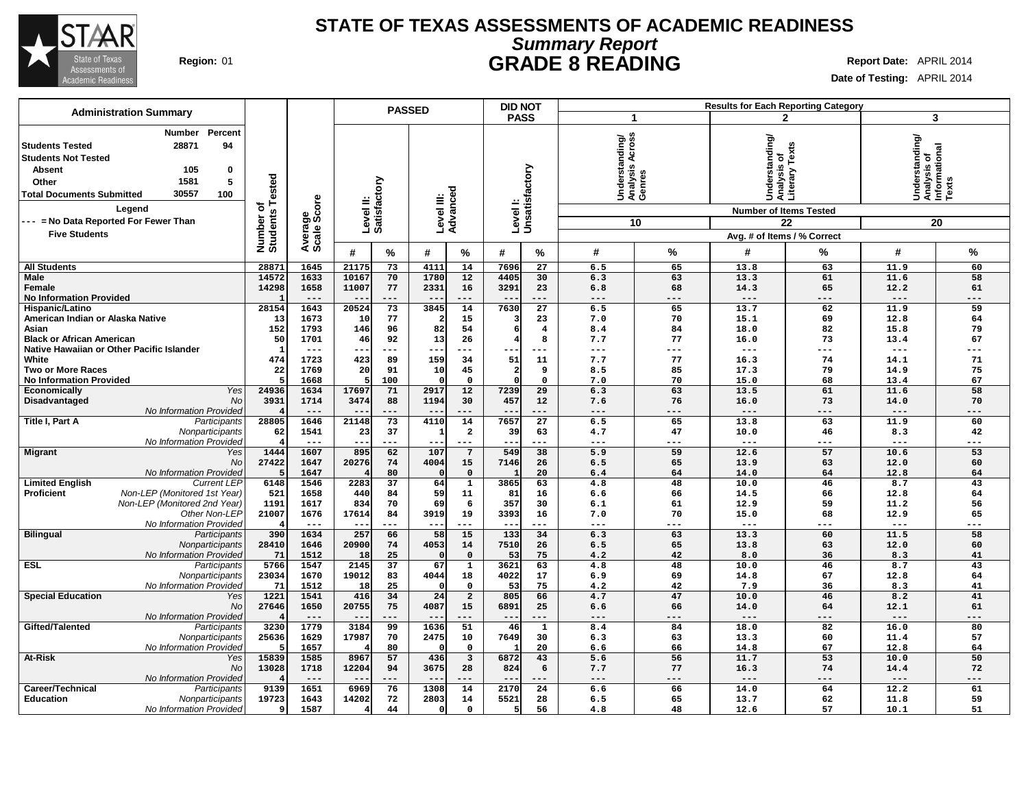

## **Summary Report STATE OF TEXAS ASSESSMENTS OF ACADEMIC READINESS Region:** 01 **GRADE 8 READING Report Date:** APRIL 2014

| <b>Administration Summary</b>                                                                                                                                                                                                                      |                                            |                        |                           |                 | <b>PASSED</b>          |                             | <b>DID NOT</b> |                            |                                                       |                 |                                                                                  | <b>Results for Each Reporting Category</b> |                                                            |                 |
|----------------------------------------------------------------------------------------------------------------------------------------------------------------------------------------------------------------------------------------------------|--------------------------------------------|------------------------|---------------------------|-----------------|------------------------|-----------------------------|----------------|----------------------------|-------------------------------------------------------|-----------------|----------------------------------------------------------------------------------|--------------------------------------------|------------------------------------------------------------|-----------------|
|                                                                                                                                                                                                                                                    |                                            |                        |                           |                 |                        |                             | <b>PASS</b>    |                            | $\mathbf 1$                                           |                 |                                                                                  | $\overline{2}$                             |                                                            | 3               |
| Percent<br>Number<br>28871<br>94<br><b>Students Tested</b><br><b>Students Not Tested</b><br>105<br>0<br><b>Absent</b><br>5<br>1581<br>Other<br>30557<br>100<br><b>Total Documents Submitted</b><br>Legend<br>--- = No Data Reported For Fewer Than | <b>Tested</b><br>৳<br>Number o<br>Students | Average<br>Scale Score | Level II:<br>Satisfactory |                 | Level III:<br>Advanced |                             |                | Level I:<br>Unsatisfactory | Across<br>Understanding/<br>Analysis Across<br>Genres | 10              | Understanding/<br>Analysis of<br>Literary Texts<br><b>Number of Items Tested</b> | 22                                         | Understanding/<br> Analysis of<br> Informational<br> Texts | 20              |
| <b>Five Students</b>                                                                                                                                                                                                                               |                                            |                        |                           |                 |                        |                             |                |                            |                                                       |                 |                                                                                  | Avg. # of Items / % Correct                |                                                            |                 |
|                                                                                                                                                                                                                                                    |                                            |                        | #                         | %               | #                      | %                           | #              | %                          | #                                                     | %               | #                                                                                | %                                          | #                                                          | %               |
| <b>All Students</b>                                                                                                                                                                                                                                | 28871                                      | 1645                   | 2117                      | 73              | 4111                   | 14                          | 7696           | 27                         | 6.5                                                   | 65              | 13.8                                                                             | 63                                         | 11.9                                                       | 60              |
| <b>Male</b><br>Female<br><b>No Information Provided</b>                                                                                                                                                                                            | 14572<br>14298                             | 1633<br>1658<br>$---$  | 10167<br>11007            | 70<br>77<br>--- | 1780<br>2331<br>$- -$  | 12<br>16<br>$- - -$         | 4405<br>3291   | 30<br>23<br>---            | 6.3<br>6.8<br>$---$                                   | 63<br>68<br>--- | 13.3<br>14.3<br>$- - -$                                                          | 61<br>65<br>---                            | 11.6<br>12.2<br>$---$                                      | 58<br>61<br>--- |
| Hispanic/Latino                                                                                                                                                                                                                                    | 28154                                      | 1643                   | 20524                     | 73              | 3845                   | 14                          | 7630           | 27                         | 6.5                                                   | 65              | 13.7                                                                             | 62                                         | 11.9                                                       | 59              |
| American Indian or Alaska Native                                                                                                                                                                                                                   | 13                                         | 1673                   | 10                        | 77              | 2                      | 15                          |                | 23                         | 7.0                                                   | 70              | 15.1                                                                             | 69                                         | 12.8                                                       | 64              |
| Asian                                                                                                                                                                                                                                              | 152                                        | 1793                   | 146                       | 96              | 82                     | 54                          | 6              | $\overline{4}$             | 8.4                                                   | 84              | 18.0                                                                             | 82                                         | 15.8                                                       | 79              |
| <b>Black or African American</b>                                                                                                                                                                                                                   | 50                                         | 1701                   | 46                        | 92              | 13                     | 26                          | $\overline{4}$ | 8                          | 7.7                                                   | 77              | 16.0<br>$---$                                                                    | 73                                         | 13.4                                                       | 67              |
| Native Hawaiian or Other Pacific Islander<br>White                                                                                                                                                                                                 | -1<br>474                                  | $- - -$<br>1723        | $- -$<br>423              | ---<br>89       | --<br>159              | $---$<br>34                 | 51             | ---<br>11                  | $---$<br>7.7                                          | ---<br>77       | 16.3                                                                             | ---<br>74                                  | $- - -$<br>14.1                                            | ---<br>71       |
| <b>Two or More Races</b>                                                                                                                                                                                                                           | 22                                         | 1769                   | 20                        | 91              | 10                     | 45                          | $\overline{2}$ | 9                          | 8.5                                                   | 85              | 17.3                                                                             | 79                                         | 14.9                                                       | 75              |
| <b>No Information Provided</b>                                                                                                                                                                                                                     | 5                                          | 1668                   |                           | 100             | c                      | $\Omega$                    | $\Omega$       | 0                          | 7.0                                                   | 70              | 15.0                                                                             | 68                                         | 13.4                                                       | 67              |
| Yes<br>Economically                                                                                                                                                                                                                                | 24936                                      | 1634                   | 17697                     | 71              | 2917                   | 12                          | 7239           | 29                         | 6.3                                                   | 63              | 13.5                                                                             | 61                                         | 11.6                                                       | 58              |
| Disadvantaged<br>No<br>No Information Provided                                                                                                                                                                                                     | 3931                                       | 1714<br>$---$          | 3474<br>$-$               | 88<br>---       | 1194<br>$- -$          | 30<br>$---$                 | 457<br>$- -$   | 12<br>---                  | 7.6<br>$---$                                          | 76<br>$---$     | 16.0<br>$---$                                                                    | 73<br>---                                  | 14.0<br>$---$                                              | 70<br>$---$     |
| Title I, Part A<br>Participants                                                                                                                                                                                                                    | 28805                                      | 1646                   | 21148                     | 73              | 4110                   | 14                          | 7657           | 27                         | 6.5                                                   | 65              | 13.8                                                                             | 63                                         | 11.9                                                       | 60              |
| Nonparticipants                                                                                                                                                                                                                                    | 62                                         | 1541                   | 23                        | 37              | - 1                    | $\overline{\mathbf{2}}$     | 39             | 63                         | 4.7                                                   | 47              | 10.0                                                                             | 46                                         | 8.3                                                        | 42              |
| No Information Provided                                                                                                                                                                                                                            |                                            | $- - -$                |                           | ---             |                        | $---$                       |                | ---                        | $- - -$                                               | $- - -$         | $---$                                                                            | ---                                        | $---$                                                      | ---             |
| <b>Migrant</b><br>Yes                                                                                                                                                                                                                              | 1444                                       | 1607                   | 895                       | 62              | 107                    | $7\phantom{.0}$             | 549            | 38                         | 5.9                                                   | 59              | 12.6                                                                             | 57                                         | 10.6                                                       | 53              |
| No                                                                                                                                                                                                                                                 | 27422                                      | 1647                   | 20276                     | 74              | 4004                   | 15                          | 7146           | 26                         | 6.5                                                   | 65              | 13.9                                                                             | 63                                         | 12.0                                                       | 60              |
| No Information Provided                                                                                                                                                                                                                            |                                            | 1647                   |                           | 80              |                        | $\mathbf 0$                 | $\mathbf{1}$   | 20                         | 6.4                                                   | 64              | 14.0                                                                             | 64                                         | 12.8                                                       | 64              |
| <b>Limited English</b><br><b>Current LEP</b><br>Non-LEP (Monitored 1st Year)<br>Proficient                                                                                                                                                         | 6148<br>521                                | 1546<br>1658           | 2283<br>440               | 37<br>84        | 64<br>59               | $\mathbf{1}$<br>11          | 3865<br>81     | 63<br>16                   | 4.8<br>6.6                                            | 48<br>66        | 10.0<br>14.5                                                                     | 46<br>66                                   | 8.7<br>12.8                                                | 43<br>64        |
| Non-LEP (Monitored 2nd Year)                                                                                                                                                                                                                       | 1191                                       | 1617                   | 834                       | 70              | 69                     | 6                           | 357            | 30                         | 6.1                                                   | 61              | 12.9                                                                             | 59                                         | 11.2                                                       | 56              |
| Other Non-LEP                                                                                                                                                                                                                                      | 21007                                      | 1676                   | 17614                     | 84              | 3919                   | 19                          | 3393           | 16                         | 7.0                                                   | 70              | 15.0                                                                             | 68                                         | 12.9                                                       | 65              |
| No Information Provided                                                                                                                                                                                                                            |                                            | $---$                  |                           | ---             | $-$                    | $---$                       |                | ---                        | $- - -$                                               | ---             | $- - -$                                                                          | ---                                        | $- - -$                                                    | ---             |
| <b>Bilingual</b><br>Participants                                                                                                                                                                                                                   | 390                                        | 1634                   | 257                       | 66              | 58                     | 15                          | 133            | 34                         | 6.3                                                   | 63              | 13.3                                                                             | 60                                         | 11.5                                                       | 58              |
| Nonparticipants                                                                                                                                                                                                                                    | 28410                                      | 1646                   | 20900                     | 74              | 4053                   | 14                          | 7510           | 26                         | 6.5                                                   | 65              | 13.8                                                                             | 63                                         | 12.0                                                       | 60              |
| No Information Provided<br>ESL<br>Participants                                                                                                                                                                                                     | 71<br>5766                                 | 1512<br>1547           | 18<br>2145                | 25<br>37        | 67                     | $\mathbf 0$<br>$\mathbf{1}$ | 53<br>3621     | 75<br>63                   | 4.2<br>4.8                                            | 42<br>48        | 8.0<br>10.0                                                                      | 36<br>46                                   | 8.3<br>8.7                                                 | 41<br>43        |
| Nonparticipants                                                                                                                                                                                                                                    | 23034                                      | 1670                   | 19012                     | 83              | 4044                   | 18                          | 4022           | 17                         | 6.9                                                   | 69              | 14.8                                                                             | 67                                         | 12.8                                                       | 64              |
| No Information Provided                                                                                                                                                                                                                            | 71                                         | 1512                   | 18                        | 25              |                        | $\mathbf 0$                 | 53             | 75                         | 4.2                                                   | 42              | 7.9                                                                              | 36                                         | 8.3                                                        | 41              |
| <b>Special Education</b><br>Yes                                                                                                                                                                                                                    | 1221                                       | 1541                   | 416                       | 34              | 24                     | $\overline{a}$              | 805            | 66                         | 4.7                                                   | 47              | 10.0                                                                             | 46                                         | 8.2                                                        | 41              |
| No                                                                                                                                                                                                                                                 | 27646                                      | 1650                   | 20755                     | 75              | 4087                   | 15                          | 6891           | 25                         | 6.6                                                   | 66              | 14.0                                                                             | 64                                         | 12.1                                                       | 61              |
| No Information Provided                                                                                                                                                                                                                            |                                            | $---$                  | $ -$                      | ---             | $- -$                  | $---$                       | $- -$          | $---$                      | $---$                                                 | ---             | $---$                                                                            | ---                                        | $---$                                                      | $---$           |
| Gifted/Talented<br>Participants                                                                                                                                                                                                                    | 3230                                       | 1779                   | 3184                      | 99              | 1636                   | 51                          | 46             | 1                          | 8.4                                                   | 84              | 18.0                                                                             | 82                                         | 16.0                                                       | 80              |
| Nonparticipants<br>No Information Provided                                                                                                                                                                                                         | 25636<br>5                                 | 1629<br>1657           | 17987                     | 70<br>80        | 2475                   | 10<br>$\Omega$              | 7649           | 30<br>20                   | 6.3<br>6.6                                            | 63<br>66        | 13.3<br>14.8                                                                     | 60<br>67                                   | 11.4<br>12.8                                               | 57<br>64        |
| <b>At-Risk</b><br>Yes                                                                                                                                                                                                                              | 15839                                      | 1585                   | 8967                      | 57              | 436                    | $\overline{\mathbf{3}}$     | 6872           | 43                         | 5.6                                                   | 56              | 11.7                                                                             | 53                                         | 10.0                                                       | 50              |
| No                                                                                                                                                                                                                                                 | 13028                                      | 1718                   | 12204                     | 94              | 3675                   | 28                          | 824            | 6                          | 7.7                                                   | 77              | 16.3                                                                             | 74                                         | 14.4                                                       | 72              |
| No Information Provided                                                                                                                                                                                                                            |                                            | $---$                  | $ -$                      | ---             | $\qquad \qquad -$      | $---$                       | $- -$          | ---                        | $---$                                                 | $---$           | $---$                                                                            | ---                                        | $---$                                                      | $---$           |
| Career/Technical<br>Participants                                                                                                                                                                                                                   | 9139                                       | 1651                   | 6969                      | 76              | 1308                   | 14                          | 2170           | 24                         | 6.6                                                   | 66              | 14.0                                                                             | 64                                         | 12.2                                                       | 61              |
| Education<br>Nonparticipants                                                                                                                                                                                                                       | 19723                                      | 1643                   | 14202                     | 72              | 2803                   | 14                          | 5521           | 28                         | 6.5                                                   | 65              | 13.7                                                                             | 62                                         | 11.8                                                       | 59              |
| No Information Provided                                                                                                                                                                                                                            | 9                                          | 1587                   |                           | 44              | 0                      | $\mathsf{o}\,$              | 5              | 56                         | 4.8                                                   | 48              | 12.6                                                                             | 57                                         | 10.1                                                       | 51              |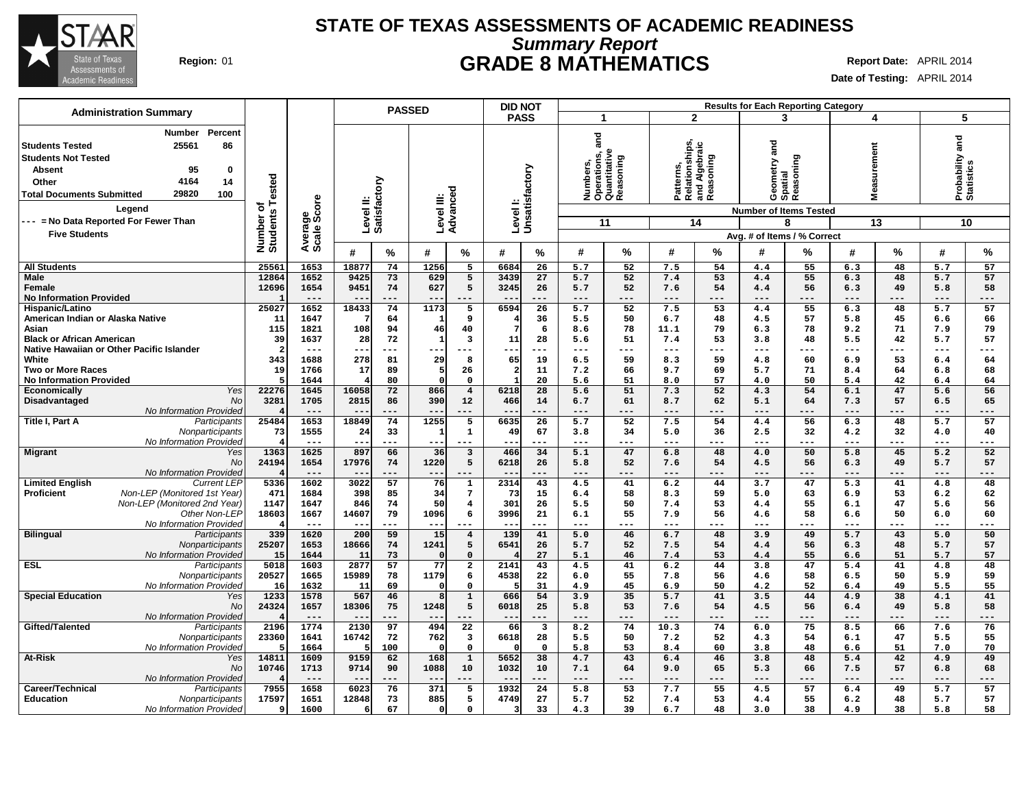

# **Summary Report STATE OF TEXAS ASSESSMENTS OF ACADEMIC READINESS Region:** 01 **GRADE 8 MATHEMATICS Report Date:** APRIL 2014

|                                                                                                                                                                                                                                                    |                              |                        |                           | <b>PASSED</b> |                        |                                | <b>DID NOT</b>            |                               |                |                                                                        |                                                           |                 |                                           | <b>Results for Each Reporting Category</b> |                  |           |                               |             |
|----------------------------------------------------------------------------------------------------------------------------------------------------------------------------------------------------------------------------------------------------|------------------------------|------------------------|---------------------------|---------------|------------------------|--------------------------------|---------------------------|-------------------------------|----------------|------------------------------------------------------------------------|-----------------------------------------------------------|-----------------|-------------------------------------------|--------------------------------------------|------------------|-----------|-------------------------------|-------------|
| <b>Administration Summary</b>                                                                                                                                                                                                                      |                              |                        |                           |               |                        |                                | <b>PASS</b>               |                               | $\mathbf{1}$   |                                                                        | $\mathbf{2}$                                              |                 | 3                                         |                                            |                  | 4         | 5                             |             |
| Percent<br>Number<br>25561<br>86<br><b>Students Tested</b><br><b>Students Not Tested</b><br><b>Absent</b><br>95<br>0<br>4164<br>14<br>Other<br>29820<br>100<br><b>Total Documents Submitted</b><br>Legend<br>--- = No Data Reported For Fewer Than | Number of<br>Students Tested | Average<br>Scale Score | Level II:<br>Satisfactory |               | Level III:<br>Advancec | ত                              | Levell:<br>Unsatisfactory |                               | and<br>ā<br>흍  | perations, a<br>:uantitative<br>oning<br>Opera<br>Quant<br>Reasc<br>11 | Patterns,<br>Relationships,<br>and Algebraic<br>Reasoning | 14              | and<br>Geometry a<br>Spatial<br>Reasoning | <b>Number of Items Tested</b><br>8         | surement<br>Viea | 13        | Probability and<br>Statistics | 10          |
| <b>Five Students</b>                                                                                                                                                                                                                               |                              |                        |                           |               |                        |                                |                           |                               |                |                                                                        |                                                           |                 |                                           | Avg. # of Items / % Correct                |                  |           |                               |             |
|                                                                                                                                                                                                                                                    |                              |                        | #                         | %             | #                      | %                              | #                         | %                             | #              | %                                                                      | #                                                         | %               | #                                         | %                                          | #                | %         | #                             | $\%$        |
| <b>All Students</b>                                                                                                                                                                                                                                | 25561                        | 1653                   | 18877                     | 74            | 1256                   | $5\overline{5}$                | 6684                      | 26                            | 5.7            | 52                                                                     | 7.5                                                       | 54              | 4.4                                       | 55                                         | 6.3              | 48        | 5.7                           | 57          |
| <b>Male</b>                                                                                                                                                                                                                                        | 12864                        | 1652                   | 9425                      | 73            | 629                    | $5\overline{5}$                | 3439                      | $\overline{27}$               | 5.7            | 52                                                                     | 7.4                                                       | 53              | 4.4                                       | 55                                         | 6.3              | 48        | 5.7                           | 57          |
| Female<br><b>No Information Provided</b>                                                                                                                                                                                                           | 12696                        | 1654<br>$---$          | 9451<br>$- -$             | 74<br>---     | 627                    | 5                              | 3245                      | 26<br>---                     | 5.7<br>$---$   | 52<br>---                                                              | 7.6<br>$---$                                              | 54<br>---       | 4.4<br>$---$                              | 56<br>---                                  | 6.3<br>$---$     | 49<br>--- | 5.8<br>---                    | 58<br>---   |
| Hispanic/Latino                                                                                                                                                                                                                                    | 25027                        | 1652                   | 18433                     | 74            | 1173                   | 5                              | 6594                      | 26                            | 5.7            | $\overline{52}$                                                        | 7.5                                                       | $\overline{53}$ | 4.4                                       | $\overline{55}$                            | 6.3              | 48        | 5.7                           | 57          |
| American Indian or Alaska Native                                                                                                                                                                                                                   | 11                           | 1647                   | 7                         | 64            | 1                      | 9                              |                           | 36                            | 5.5            | 50                                                                     | 6.7                                                       | 48              | 4.5                                       | 57                                         | 5.8              | 45        | 6.6                           | 66          |
| Asian                                                                                                                                                                                                                                              | 115                          | 1821                   | 108                       | 94            | 46                     | 40                             |                           | 6                             | 8.6            | 78                                                                     | 11.1                                                      | 79              | 6.3                                       | 78                                         | 9.2              | 71        | 7.9                           | 79          |
| <b>Black or African American</b><br>Native Hawaiian or Other Pacific Islander                                                                                                                                                                      | 39<br>$\overline{2}$         | 1637<br>$---$          | 28<br>$---$               | 72<br>---     | $\mathbf{1}$           | $\overline{\mathbf{3}}$<br>--- | 11<br>---                 | 28<br>$---$                   | 5.6<br>$- - -$ | 51<br>---                                                              | 7.4<br>$\qquad \qquad - -$                                | 53<br>---       | 3.8<br>$---$                              | 48<br>---                                  | 5.5<br>$- - -$   | 42<br>--- | 5.7<br>---                    | 57<br>$---$ |
| White                                                                                                                                                                                                                                              | 343                          | 1688                   | 278                       | 81            | 29                     | 8                              | 65                        | 19                            | 6.5            | 59                                                                     | 8.3                                                       | 59              | 4.8                                       | 60                                         | 6.9              | 53        | 6.4                           | 64          |
| <b>Two or More Races</b>                                                                                                                                                                                                                           | 19                           | 1766                   | 17                        | 89            | 5                      | 26                             | $\overline{2}$            | 11                            | 7.2            | 66                                                                     | 9.7                                                       | 69              | 5.7                                       | 71                                         | 8.4              | 64        | 6.8                           | 68          |
| <b>No Information Provided</b>                                                                                                                                                                                                                     | 5                            | 1644                   | 4                         | 80            |                        | $\mathbf 0$                    | $\mathbf{1}$              | 20                            | 5.6            | 51                                                                     | 8.0                                                       | 57              | 4.0                                       | 50                                         | 5.4              | 42        | 6.4                           | 64          |
| Economically<br>Yes                                                                                                                                                                                                                                | 22276                        | 1645                   | 16058                     | 72            | 866                    | $\overline{\mathbf{4}}$        | 6218                      | 28                            | 5.6            | 51                                                                     | 7.3                                                       | 52              | 4.3                                       | 54                                         | 6.1              | 47<br>57  | 5.6                           | 56          |
| Disadvantaged<br>No<br>No Information Provided                                                                                                                                                                                                     | 3281                         | 1705<br>$---$          | 2815                      | 86            | 390                    | 12<br>---                      | 466                       | 14<br>---                     | 6.7<br>$---$   | 61<br>---                                                              | 8.7                                                       | 62<br>---       | 5.1<br>$---$                              | 64<br>---                                  | 7.3<br>$---$     | ---       | 6.5<br>$---$                  | 65<br>---   |
| Title I, Part A<br>Participants                                                                                                                                                                                                                    | 25484                        | 1653                   | 18849                     | 74            | 1255                   | 5                              | 6635                      | 26                            | 5.7            | 52                                                                     | 7.5                                                       | 54              | 4.4                                       | 56                                         | 6.3              | 48        | 5.7                           | 57          |
| Nonparticipants                                                                                                                                                                                                                                    | 73                           | 1555                   | 24                        | 33            | $\mathbf{1}$           | $\mathbf{1}$                   | 49                        | 67                            | 3.8            | 34                                                                     | 5.0                                                       | 36              | 2.5                                       | 32                                         | 4.2              | 32        | 4.0                           | 40          |
| No Information Provided                                                                                                                                                                                                                            |                              | $---$                  | $- -$                     | $---$         | $- -$                  | ---                            | --                        | $- - -$                       | $---$          | $---$                                                                  | $---$                                                     | ---             | $---$                                     | ---                                        | $- - -$          | ---       | ---                           | $---$       |
| <b>Migrant</b><br>Yes<br>No                                                                                                                                                                                                                        | 1363<br>24194                | 1625<br>1654           | 897<br>17976              | 66<br>74      | 36<br>1220             | $\overline{\mathbf{3}}$<br>5   | 466<br>6218               | 34<br>26                      | 5.1<br>5.8     | 47<br>52                                                               | 6.8<br>7.6                                                | 48<br>54        | 4.0<br>4.5                                | 50<br>56                                   | 5.8<br>6.3       | 45<br>49  | 5.2<br>5.7                    | 52<br>57    |
| No Information Provided                                                                                                                                                                                                                            |                              | $---$                  | $- -$                     | ---           | $- -$                  |                                | $ -$                      | ---                           | $---$          | ---                                                                    | $---$                                                     | ---             | $---$                                     | ---                                        | $---$            | ---       | $---$                         | ---         |
| <b>Limited English</b><br><b>Current LEP</b>                                                                                                                                                                                                       | 5336                         | 1602                   | 3022                      | 57            | 76                     | $\mathbf{1}$                   | 2314                      | 43                            | 4.5            | 41                                                                     | 6.2                                                       | 44              | 3.7                                       | 47                                         | 5.3              | 41        | 4.8                           | 48          |
| Non-LEP (Monitored 1st Year)<br><b>Proficient</b>                                                                                                                                                                                                  | 471                          | 1684                   | 398                       | 85            | 34                     | $7\phantom{.0}$                | 73                        | 15                            | 6.4            | 58                                                                     | 8.3                                                       | 59              | 5.0                                       | 63                                         | 6.9              | 53        | 6.2                           | 62          |
| Non-LEP (Monitored 2nd Year)                                                                                                                                                                                                                       | 1147                         | 1647                   | 846                       | 74            | 50                     | $\overline{4}$                 | 301                       | 26                            | 5.5            | 50                                                                     | 7.4                                                       | 53              | 4.4                                       | 55                                         | 6.1              | 47        | 5.6                           | 56          |
| Other Non-LEP<br>No Information Provided                                                                                                                                                                                                           | 18603                        | 1667<br>$- - -$        | 14607<br>$- -$            | 79            | 1096<br>$- -$          | 6                              | 3996                      | 21                            | 6.1<br>$---$   | 55                                                                     | 7.9<br>---                                                | 56<br>---       | 4.6                                       | 58                                         | 6.6<br>---       | 50        | 6.0<br>---                    | 60<br>---   |
| <b>Bilingual</b><br>Participants                                                                                                                                                                                                                   | 339                          | 1620                   | 200                       | 59            | 15                     | $\overline{\mathbf{4}}$        | 139                       | 41                            | 5.0            | 46                                                                     | 6.7                                                       | 48              | 3.9                                       | 49                                         | 5.7              | 43        | 5.0                           | 50          |
| Nonparticipants                                                                                                                                                                                                                                    | 25207                        | 1653                   | 18666                     | 74            | 1241                   | 5                              | 6541                      | 26                            | 5.7            | 52                                                                     | 7.5                                                       | 54              | 4.4                                       | 56                                         | 6.3              | 48        | 5.7                           | 57          |
| No Information Provided                                                                                                                                                                                                                            | 15                           | 1644                   | 11                        | 73            |                        | $\mathbf 0$                    |                           | 27                            | 5.1            | 46                                                                     | 7.4                                                       | 53              | 4.4                                       | 55                                         | 6.6              | 51        | 5.7                           | 57          |
| <b>ESL</b><br>Participants                                                                                                                                                                                                                         | 5018                         | 1603                   | 2877                      | 57            | 77                     | $\overline{\mathbf{2}}$        | 2141                      | 43<br>22                      | 4.5            | 41<br>55                                                               | 6.2                                                       | 44<br>56        | 3.8                                       | 47<br>58                                   | 5.4              | 41<br>50  | 4.8                           | 48<br>59    |
| Nonparticipants<br>No Information Provided                                                                                                                                                                                                         | 20527<br>16                  | 1665<br>1632           | 15989<br>11               | 78<br>69      | 1179<br>$\Omega$       | 6<br>$\mathbf{o}$              | 4538                      | 31                            | 6.0<br>4.9     | 45                                                                     | 7.8<br>6.9                                                | 50              | 4.6<br>4.2                                | 52                                         | 6.5<br>6.4       | 49        | 5.9<br>5.5                    | 55          |
| <b>Special Education</b><br>Yes                                                                                                                                                                                                                    | 1233                         | 1578                   | 567                       | 46            | 8                      | $\mathbf 1$                    | 666                       | 54                            | 3.9            | 35                                                                     | 5.7                                                       | 41              | 3.5                                       | 44                                         | 4.9              | 38        | 4.1                           | 41          |
| No                                                                                                                                                                                                                                                 | 24324                        | 1657                   | 18306                     | 75            | 1248                   | 5                              | 6018                      | 25                            | 5.8            | 53                                                                     | 7.6                                                       | 54              | 4.5                                       | 56                                         | 6.4              | 49        | 5.8                           | 58          |
| No Information Provided                                                                                                                                                                                                                            |                              | $---$                  | $\qquad \qquad -$         | .             | $- -$                  | ---                            | $- -$                     | ---                           | $---$          | ---                                                                    | $---$                                                     | ---             | $---$                                     | ---                                        | ---              | ---       | ---                           | ---         |
| Gifted/Talented<br>Participants                                                                                                                                                                                                                    | 2196<br>23360                | 1774<br>1641           | 2130<br>16742             | 97<br>72      | 494<br>762             | 22<br>$\overline{\mathbf{3}}$  | 66<br>6618                | $\overline{\mathbf{3}}$<br>28 | 8.2<br>5.5     | 74<br>50                                                               | 10.3<br>7.2                                               | 74<br>52        | 6.0<br>4.3                                | 75<br>54                                   | 8.5<br>6.1       | 66<br>47  | 7.6<br>5.5                    | 76<br>55    |
| Nonparticipants<br>No Information Provided                                                                                                                                                                                                         | 5                            | 1664                   | 5                         | 100           | $\Omega$               | $\mathbf 0$                    |                           | $\mathbf{o}$                  | 5.8            | 53                                                                     | 8.4                                                       | 60              | 3.8                                       | 48                                         | 6.6              | 51        | 7.0                           | 70          |
| At-Risk<br>Yes                                                                                                                                                                                                                                     | 14811                        | 1609                   | 9159                      | 62            | 168                    | $\mathbf 1$                    | 5652                      | 38                            | 4.7            | 43                                                                     | 6.4                                                       | 46              | 3.8                                       | 48                                         | 5.4              | 42        | 4.9                           | 49          |
| No                                                                                                                                                                                                                                                 | 10746                        | 1713                   | 9714                      | 90            | 1088                   | 10                             | 1032                      | 10                            | 7.1            | 64                                                                     | 9.0                                                       | 65              | 5.3                                       | 66                                         | 7.5              | 57        | 6.8                           | 68          |
| No Information Provided                                                                                                                                                                                                                            |                              | $---$                  | $- -$                     | ---           |                        | ---                            | $ -$                      | $---$                         | $---$          | ---                                                                    | $---$                                                     | ---             | $- - -$                                   | ---                                        | $---$            | ---       | $---$                         | ---         |
| Career/Technical<br>Participants<br><b>Education</b>                                                                                                                                                                                               | 7955<br>17597                | 1658<br>1651           | 6023<br>12848             | 76<br>73      | 371<br>885             | 5<br>5                         | 1932<br>4749              | 24<br>27                      | 5.8<br>5.7     | 53<br>52                                                               | 7.7<br>7.4                                                | 55<br>53        | 4.5<br>4.4                                | 57<br>55                                   | 6.4<br>6.2       | 49<br>48  | 5.7<br>5.7                    | 57<br>57    |
| Nonparticipants<br>No Information Provided                                                                                                                                                                                                         | 9                            | 1600                   | 6                         | 67            | $\mathbf 0$            | $\mathsf{o}$                   | $\overline{\mathbf{3}}$   | 33                            | 4.3            | 39                                                                     | 6.7                                                       | 48              | 3.0                                       | 38                                         | 4.9              | 38        | 5.8                           | 58          |
|                                                                                                                                                                                                                                                    |                              |                        |                           |               |                        |                                |                           |                               |                |                                                                        |                                                           |                 |                                           |                                            |                  |           |                               |             |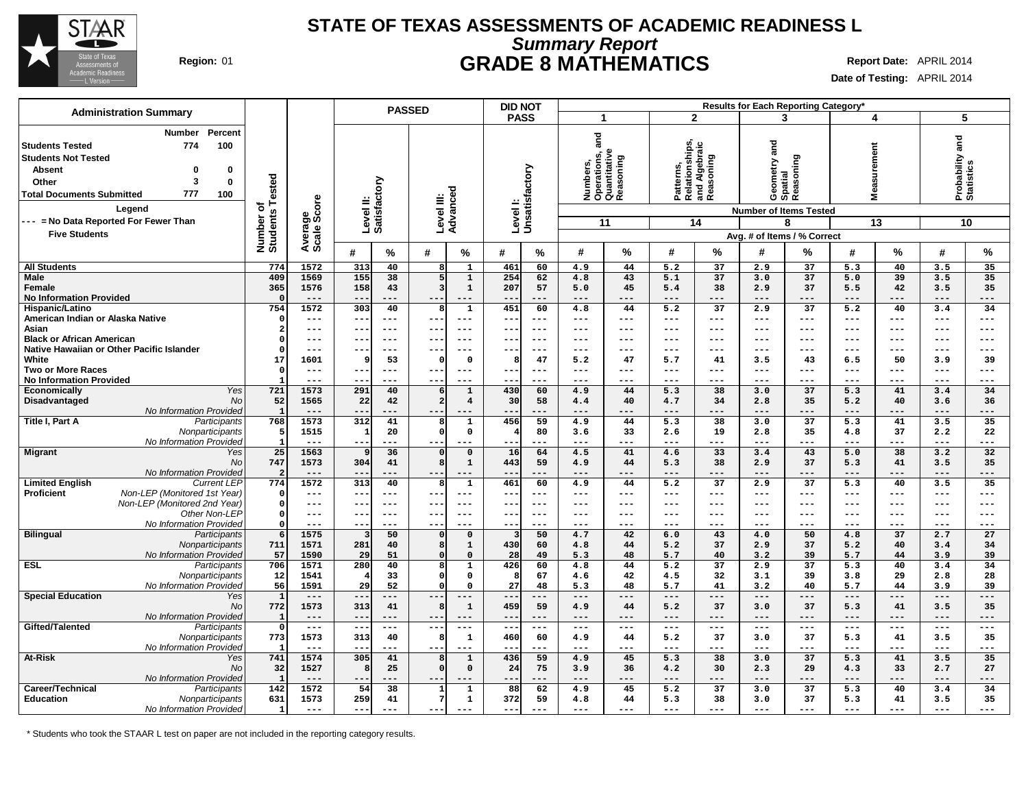

### **Summary Report STATE OF TEXAS ASSESSMENTS OF ACADEMIC READINESS L Region:** 01 **GRADE 8 MATHEMATICS Report Date:** APRIL 2014

**Date of Testing:** APRIL 2014

|                                                                                                                                                                                                                                                                                      |                              |                        |                           |                      | <b>PASSED</b>           |                             | <b>DID NOT</b>             |                 |                                                                                        |             |                                                            |                     |                           | Results for Each Reporting Category*                                                                      |                  |                     |                               |                                             |
|--------------------------------------------------------------------------------------------------------------------------------------------------------------------------------------------------------------------------------------------------------------------------------------|------------------------------|------------------------|---------------------------|----------------------|-------------------------|-----------------------------|----------------------------|-----------------|----------------------------------------------------------------------------------------|-------------|------------------------------------------------------------|---------------------|---------------------------|-----------------------------------------------------------------------------------------------------------|------------------|---------------------|-------------------------------|---------------------------------------------|
| <b>Administration Summary</b>                                                                                                                                                                                                                                                        |                              |                        |                           |                      |                         |                             | <b>PASS</b>                |                 | $\mathbf 1$                                                                            |             | $\mathbf{2}$                                               |                     |                           | 3                                                                                                         |                  | 4                   | 5                             |                                             |
| Percent<br><b>Number</b><br><b>Students Tested</b><br>774<br>100<br><b>Students Not Tested</b><br><b>Absent</b><br>0<br>0<br>3<br>$\mathbf{0}$<br>Other<br>777<br><b>Total Documents Submitted</b><br>100<br>Legend<br>--- = No Data Reported For Fewer Than<br><b>Five Students</b> | Number of<br>Students Tested | Average<br>Scale Score | Level II:<br>Satisfactory |                      |                         | ত<br>Level III:<br>Advancec | Levell:<br>Unsatisfactory  |                 | and<br>perations, a<br>uantitative<br>ŗñ,<br>ā<br>흍<br>Numb<br>Opera<br>Ouant<br>Reasc | oning<br>11 | Patterns,<br>Relationships,<br>and Algebraic<br> Reasoning | 14                  |                           | Geometry and<br>Spatial<br>Reasoning<br><b>Number of Items Tested</b><br>8<br>Avg. # of Items / % Correct | surement<br>Viea | 13                  | Probability and<br>Statistics | 10                                          |
|                                                                                                                                                                                                                                                                                      |                              |                        | #                         | $\%$                 | #                       | %                           | #                          | ℅               | #                                                                                      | %           | #                                                          | %                   | $\#$                      | %                                                                                                         | #                | %                   | #                             | $\%$                                        |
| <b>All Students</b>                                                                                                                                                                                                                                                                  | 774                          | 1572                   | 313                       | 40                   | 8                       | $\mathbf{1}$                | 461                        | 60              | 4.9                                                                                    | 44          | 5.2                                                        | 37                  | 2.9                       | 37                                                                                                        | 5.3              | 40                  | 3.5                           | 35                                          |
| <b>Male</b>                                                                                                                                                                                                                                                                          | 409                          | 1569                   | 155                       | $\overline{38}$      | 5                       | $\mathbf{1}$                | 254                        | 62              | 4.8                                                                                    | 43          | 5.1                                                        | 37                  | 3.0                       | 37                                                                                                        | 5.0              | 39                  | 3.5                           | 35                                          |
| Female                                                                                                                                                                                                                                                                               | 365                          | 1576                   | 158                       | 43                   | $\overline{\mathbf{3}}$ | $\mathbf{1}$                | 207                        | 57              | 5.0                                                                                    | 45          | 5.4                                                        | 38                  | 2.9                       | 37                                                                                                        | 5.5              | 42                  | 3.5                           | 35                                          |
| <b>No Information Provided</b>                                                                                                                                                                                                                                                       | - 0                          | $---$                  | $- -$                     |                      |                         | ---                         |                            | ---             | $---$                                                                                  | ---         | $---$                                                      | ---                 | $---$                     | ---                                                                                                       | $---$            | ---                 | ---                           | ---                                         |
| Hispanic/Latino                                                                                                                                                                                                                                                                      | 754                          | 1572                   | 303                       | 40                   | 8                       | 1                           | 451                        | 60              | 4.8                                                                                    | 44          | 5.2                                                        | $\overline{37}$     | 2.9                       | 37                                                                                                        | 5.2              | 40                  | 3.4                           | 34                                          |
| American Indian or Alaska Native<br>Asian                                                                                                                                                                                                                                            | $\Omega$<br>$\overline{2}$   | ---<br>---             | $\overline{\phantom{m}}$  | $---$<br>$--$        | $--$                    | $---$<br>$--$               | ---                        | ---<br>$--$     | $\qquad \qquad -$<br>$--$                                                              | ---<br>---  | $\qquad \qquad - -$<br>$---$                               | ---<br>---          | $\qquad \qquad -$<br>$--$ | $---$<br>---                                                                                              | $---$<br>---     | $---$<br>---        | $---$<br>---                  | ---<br>---                                  |
| <b>Black or African American</b>                                                                                                                                                                                                                                                     | $\Omega$                     | ---                    | --                        | $--$                 | $- -$                   | ---                         | --<br>--                   | ---             | ---                                                                                    | ---         | $---$                                                      | ---                 | $--$                      | ---                                                                                                       | ---              | ---                 | ---                           | ---                                         |
| Native Hawaiian or Other Pacific Islander                                                                                                                                                                                                                                            | $\Omega$                     | $---$                  | --                        | $---$                | --                      | $---$                       | ---                        | $---$           | $\qquad \qquad -$                                                                      | ---         | $\qquad \qquad - -$                                        | ---                 | $\qquad \qquad -$         | $--$                                                                                                      | $---$            | $---$               | $---$                         | $---$                                       |
| White                                                                                                                                                                                                                                                                                | 17                           | 1601                   | 9                         | 53                   | $\Omega$                | $\mathbf 0$                 | -8                         | 47              | 5.2                                                                                    | 47          | 5.7                                                        | 41                  | 3.5                       | 43                                                                                                        | 6.5              | 50                  | 3.9                           | 39                                          |
| <b>Two or More Races</b>                                                                                                                                                                                                                                                             | $\mathbf 0$                  | $---$                  | ---                       | $--$                 |                         | $- - -$                     | $--$                       | $--$            | $---$                                                                                  | ---         | $\frac{1}{2}$                                              | ---                 | $--$                      | ---                                                                                                       | $---$            | $- - -$             | ---                           | $---$                                       |
| <b>No Information Provided</b>                                                                                                                                                                                                                                                       |                              | ---                    | $- -$                     | $- - -$              |                         | ---                         | $- -$                      | $---$           | $- - -$                                                                                | ---         | $- - -$                                                    | ---                 | $- - -$                   | ---                                                                                                       | $- - -$          | $- - -$             | ---                           | ---                                         |
| Yes<br>Economically                                                                                                                                                                                                                                                                  | 721                          | 1573                   | 291                       | 40                   | 6                       | $\mathbf{1}$                | 430                        | 60              | 4.9                                                                                    | 44          | 5.3                                                        | 38                  | 3.0                       | 37                                                                                                        | 5.3              | 41                  | 3.4                           | 34                                          |
| Disadvantaged<br>No                                                                                                                                                                                                                                                                  | 52                           | 1565                   | 22                        | 42                   | $\overline{a}$          | $\overline{4}$              | 30                         | 58              | 4.4                                                                                    | 40          | 4.7                                                        | 34                  | 2.8                       | 35                                                                                                        | 5.2              | 40                  | 3.6                           | 36                                          |
| No Information Provided                                                                                                                                                                                                                                                              | $\mathbf{1}$                 | 1573                   | --                        | 41                   |                         |                             |                            | ---<br>59       |                                                                                        | 44          | 5.3                                                        | ---<br>38           |                           | ---<br>37                                                                                                 |                  | ---                 | ---<br>3.5                    | ---<br>35                                   |
| Title I, Part A<br>Participants<br>Nonparticipants                                                                                                                                                                                                                                   | 768<br>5                     | 1515                   | 312<br>$\mathbf{1}$       | 20                   | 8<br>$\mathbf 0$        | 1<br>$\mathbf 0$            | 456                        | 80              | 4.9<br>3.6                                                                             | 33          | 2.6                                                        | 19                  | 3.0<br>2.8                | 35                                                                                                        | 5.3<br>4.8       | 41<br>37            | 2.2                           | 22                                          |
| No Information Provided                                                                                                                                                                                                                                                              | $\overline{1}$               | $---$                  | $---$                     | $---$                | $- -$                   | ---                         | $- -$                      | $---$           | $---$                                                                                  | ---         | $---$                                                      | ---                 | $---$                     | ---                                                                                                       | $---$            | $---$               | $---$                         | $---$                                       |
| <b>Migrant</b><br>Yes                                                                                                                                                                                                                                                                | 25                           | 1563                   | 9                         | 36                   | $\Omega$                | $\mathbf 0$                 | 16                         | 64              | 4.5                                                                                    | 41          | 4.6                                                        | 33                  | 3.4                       | 43                                                                                                        | 5.0              | 38                  | 3.2                           | 32                                          |
| No                                                                                                                                                                                                                                                                                   | 747                          | 1573                   | 304                       | 41                   | 8                       | $\mathbf{1}$                | 443                        | 59              | 4.9                                                                                    | 44          | 5.3                                                        | 38                  | 2.9                       | 37                                                                                                        | 5.3              | 41                  | 3.5                           | 35                                          |
| No Information Provided                                                                                                                                                                                                                                                              | $\overline{2}$               | $---$                  | $- -$                     | $---$                |                         |                             | $- -$                      | $---$           | $---$                                                                                  | ---         | $---$                                                      | ---                 | $---$                     | ---                                                                                                       | $---$            | $---$               | $---$                         | ---                                         |
| <b>Limited English</b><br><b>Current LEP</b>                                                                                                                                                                                                                                         | 774                          | 1572                   | 313                       | 40                   | 8                       | $\mathbf{1}$                | 461                        | 60              | 4.9                                                                                    | 44          | 5.2                                                        | 37                  | 2.9                       | 37                                                                                                        | 5.3              | 40                  | 3.5                           | 35                                          |
| Non-LEP (Monitored 1st Year)<br><b>Proficient</b>                                                                                                                                                                                                                                    | $\mathbf 0$                  | $---$                  | $- -$                     | $---$                | $- -$                   | $- - -$                     | $- -$                      | ---             | $- - -$                                                                                | ---         | $---$                                                      | ---                 | $- - -$                   | ---                                                                                                       | $---$            | $- - -$             | ---                           | $---$                                       |
| Non-LEP (Monitored 2nd Year)<br>Other Non-LEP                                                                                                                                                                                                                                        | $\mathbf 0$<br>$\mathbf 0$   | $---$<br>$---$         | $- -$<br>$- -$            | $---$<br>$---$       | $- - -$<br>$- -$        | $- - -$<br>$---$            | $- -$<br>$--$              | $- - -$<br>$--$ | $- - -$<br>$---$                                                                       | ---<br>---  | $\frac{1}{2}$<br>$\qquad \qquad -$                         | $---$<br>$---$      | $---$<br>$---$            | ---<br>$--$                                                                                               | $---$<br>$---$   | $---$<br>$---$      | ---<br>---                    | $---$<br>$---$                              |
| No Information Provided                                                                                                                                                                                                                                                              | $\Omega$                     | $---$                  | $--$                      | $---$                | $--$                    | ---                         | $- -$                      | $---$           | $- - -$                                                                                | ---         | $---$                                                      | $- - -$             | $---$                     | $---$                                                                                                     | $- - -$          | $---$               | $---$                         | $---$                                       |
| <b>Bilingual</b><br>Participants                                                                                                                                                                                                                                                     | 6                            | 1575                   | в                         | 50                   | $\Omega$                | $\Omega$                    |                            | 50              | 4.7                                                                                    | 42          | 6.0                                                        | 43                  | 4.0                       | 50                                                                                                        | 4.8              | 37                  | 2.7                           | 27                                          |
| Nonparticipants                                                                                                                                                                                                                                                                      | 711                          | 1571                   | 281                       | 40                   | 8                       | $\mathbf{1}$                | 430                        | 60              | 4.8                                                                                    | 44          | 5.2                                                        | 37                  | 2.9                       | 37                                                                                                        | 5.2              | 40                  | 3.4                           | 34                                          |
| No Information Provided                                                                                                                                                                                                                                                              | 57                           | 1590                   | 29                        | 51                   | $\Omega$                | $\mathbf 0$                 | 28                         | 49              | 5.3                                                                                    | 48          | 5.7                                                        | 40                  | 3.2                       | 39                                                                                                        | 5.7              | 44                  | 3.9                           | 39                                          |
| <b>ESL</b><br>Participants                                                                                                                                                                                                                                                           | 706                          | 1571                   | 280                       | 40                   | 8                       | $\mathbf{1}$                | 426                        | 60              | 4.8                                                                                    | 44          | 5.2                                                        | $\overline{37}$     | 2.9                       | $\overline{37}$                                                                                           | $\overline{5.3}$ | 40                  | 3.4                           | 34                                          |
| Nonparticipants                                                                                                                                                                                                                                                                      | 12                           | 1541                   | 4                         | 33                   | $\Omega$                | $\mathbf{o}$                | -8                         | 67              | 4.6                                                                                    | 42          | 4.5                                                        | 32                  | 3.1                       | 39                                                                                                        | 3.8              | 29                  | 2.8                           | 28                                          |
| No Information Provided<br><b>Special Education</b><br>Yes                                                                                                                                                                                                                           | 56<br>$\mathbf{1}$           | 1591<br>$---$          | ا 29<br>$- -$             | 52<br>$---$          | $\Omega$<br>$- -$       | $\mathbf 0$                 | 27<br>$- -$                | 48<br>---       | 5.3<br>$---$                                                                           | 48<br>---   | 5.7<br>$---$                                               | 41<br>---           | 3.2<br>$---$              | 40<br>---                                                                                                 | 5.7<br>$---$     | 44<br>$---$         | 3.9<br>$---$                  | 39<br>---                                   |
| <b>No</b>                                                                                                                                                                                                                                                                            | 772                          | 1573                   | 313                       | 41                   | 8                       | $\mathbf{1}$                | 459                        | 59              | 4.9                                                                                    | 44          | 5.2                                                        | 37                  | 3.0                       | 37                                                                                                        | 5.3              | 41                  | 3.5                           | 35                                          |
| No Information Provided                                                                                                                                                                                                                                                              | $\mathbf{1}$                 | ---                    | $- -$                     | ---                  |                         | ---                         | --                         | ---             | $---$                                                                                  | ---         | $---$                                                      | ---                 | $---$                     | ---                                                                                                       | $---$            | ---                 | ---                           | ---                                         |
| Gifted/Talented<br>Participants                                                                                                                                                                                                                                                      | $\mathbf 0$                  | $\qquad \qquad - -$    | $--$                      | $\sim$ $\sim$ $\sim$ | $--$                    | ---                         | $\overline{\phantom{m}}$ . | $---$           | $\frac{1}{2}$                                                                          | ---         | $\sim$ $\sim$ $\sim$                                       | $\qquad \qquad - -$ | $\sim$ $\sim$ $\sim$      | $---$                                                                                                     | $- -$            | $\qquad \qquad - -$ | $---$                         | $\scriptstyle \cdots$ $\scriptstyle \cdots$ |
| Nonparticipants                                                                                                                                                                                                                                                                      | 773                          | 1573                   | 313                       | 40                   | 8                       | $\mathbf{1}$                | 460                        | 60              | 4.9                                                                                    | 44          | 5.2                                                        | 37                  | 3.0                       | 37                                                                                                        | 5.3              | 41                  | 3.5                           | 35                                          |
| No Information Provided                                                                                                                                                                                                                                                              |                              | $---$                  | --                        | $---$                |                         | ---                         | --                         | $---$           | $--$                                                                                   | ---         | $---$                                                      | ---                 | $--$                      | ---                                                                                                       | $---$            | ---                 | ---                           | $---$                                       |
| <b>At-Risk</b><br>Yes                                                                                                                                                                                                                                                                | 741                          | 1574                   | 305                       | 41                   | 8                       | $\mathbf{1}$                | 436                        | 59              | 4.9                                                                                    | 45          | 5.3                                                        | 38                  | 3.0                       | 37                                                                                                        | 5.3              | 41                  | 3.5                           | 35                                          |
| No                                                                                                                                                                                                                                                                                   | 32                           | 1527                   | 8                         | 25                   | $\mathbf 0$             | $\mathbf 0$                 | 24                         | 75              | 3.9                                                                                    | 36          | 4.2                                                        | 30                  | 2.3                       | 29                                                                                                        | 4.3              | 33                  | 2.7                           | 27                                          |
| No Information Provided<br>Career/Technical<br>Participants                                                                                                                                                                                                                          | $\mathbf{1}$<br>142          | $---$<br>1572          | $\qquad \qquad -$<br>54   | ---<br>38            | 1                       | ---<br>$\mathbf{1}$         | $- -$<br>88                | ---<br>62       | $---$<br>4.9                                                                           | ---<br>45   | $---$<br>5.2                                               | ---<br>37           | $---$<br>3.0              | ---<br>37                                                                                                 | $---$<br>5.3     | ---<br>40           | $---$<br>3.4                  | ---<br>34                                   |
| <b>Education</b><br>Nonparticipants                                                                                                                                                                                                                                                  | 631                          | 1573                   | 259                       | 41                   | 7                       | $\mathbf{1}$                | 372                        | 59              | 4.8                                                                                    | 44          | 5.3                                                        | 38                  | 3.0                       | 37                                                                                                        | 5.3              | 41                  | 3.5                           | 35                                          |
| No Information Provided                                                                                                                                                                                                                                                              | $\mathbf{1}$                 | $- - -$                | $---$                     | $---$                | $--$                    | $- - -$                     | $- -$                      | $---$           | $---$                                                                                  | ---         | $---$                                                      | ---                 | $---$                     | $---$                                                                                                     | $- - -$          | $---$               | $---$                         | $---$                                       |

\* Students who took the STAAR L test on paper are not included in the reporting category results.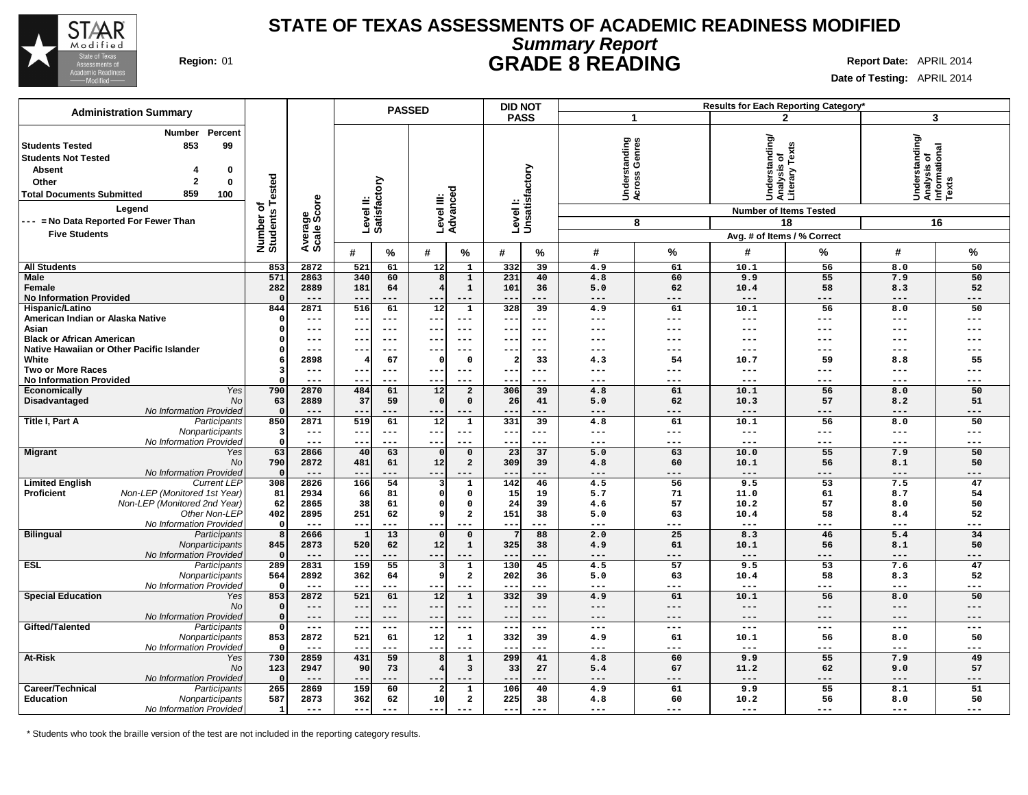

## **Summary Report STATE OF TEXAS ASSESSMENTS OF ACADEMIC READINESS MODIFIED Region:** 01 **GRADE 8 READING Report Date:** APRIL 2014

**Date of Testing:** APRIL 2014

| <b>Administration Summary</b>                                                                                                                                                                                                                                             |                                             |                        |                                              | <b>PASSED</b>                                 | <b>DID NOT</b>                         |                           |                                          |                |                                                                                  | Results for Each Reporting Category' |                                                            |            |
|---------------------------------------------------------------------------------------------------------------------------------------------------------------------------------------------------------------------------------------------------------------------------|---------------------------------------------|------------------------|----------------------------------------------|-----------------------------------------------|----------------------------------------|---------------------------|------------------------------------------|----------------|----------------------------------------------------------------------------------|--------------------------------------|------------------------------------------------------------|------------|
|                                                                                                                                                                                                                                                                           |                                             |                        |                                              |                                               | <b>PASS</b>                            |                           | 1                                        |                |                                                                                  | $\mathbf{2}$                         |                                                            | 3          |
| Percent<br>Number<br>99<br>853<br><b>Students Tested</b><br><b>Students Not Tested</b><br>Absent<br>0<br>$\overline{2}$<br>$\bf{0}$<br>Other<br>859<br>100<br><b>Total Documents Submitted</b><br>Legend<br>--- = No Data Reported For Fewer Than<br><b>Five Students</b> | <b>Tested</b><br>৳<br>Number o'<br>Students | Average<br>Scale Score | Level II:<br>Satisfactory                    | Level III:<br>Advanced                        |                                        | Levell:<br>Unsatisfactory | tanding<br>Genres<br>Underst<br>Across ( | 8              | Understanding/<br>Analysis of<br>Literary Texts<br><b>Number of Items Tested</b> | 18                                   | Understanding/<br> Analysis of<br> Informational<br> Texts | 16         |
|                                                                                                                                                                                                                                                                           |                                             |                        |                                              |                                               |                                        |                           |                                          |                | Avg. # of Items / % Correct                                                      |                                      |                                                            |            |
|                                                                                                                                                                                                                                                                           |                                             |                        | %<br>#                                       | %<br>#                                        | #                                      | %                         | #                                        | %              | #                                                                                | %                                    | #                                                          | %          |
| <b>All Students</b>                                                                                                                                                                                                                                                       | 853                                         | 2872                   | 521<br>61                                    | 12                                            | 332<br>$\mathbf{1}$                    | 39                        | 4.9                                      | 61             | 10.1                                                                             | 56                                   | 8.0                                                        | 50         |
| <b>Male</b>                                                                                                                                                                                                                                                               | 571                                         | 2863                   | 340<br>60                                    | 8<br>4                                        | 231<br>$\mathbf 1$<br>$\mathbf{1}$     | 40                        | 4.8                                      | 60             | 9.9                                                                              | 55                                   | 7.9                                                        | 50         |
| Female<br><b>No Information Provided</b>                                                                                                                                                                                                                                  | 282<br>$\Omega$                             | 2889<br>$---$          | 181<br>64<br>$- -$<br>---                    | --<br>$- - -$                                 | 101<br>$- -$                           | 36<br>---                 | 5.0<br>$---$                             | 62<br>$---$    | 10.4<br>$- - -$                                                                  | 58<br>---                            | 8.3<br>$---$                                               | 52<br>---  |
| Hispanic/Latino                                                                                                                                                                                                                                                           | 844                                         | 2871                   | 516<br>61                                    | 12                                            | 328<br>$\mathbf 1$                     | 39                        | 4.9                                      | 61             | 10.1                                                                             | 56                                   | 8.0                                                        | 50         |
| American Indian or Alaska Native                                                                                                                                                                                                                                          | $\Omega$                                    | $---$                  | ---<br>$- -$                                 | $---$<br>--                                   | ---                                    | $---$                     | $---$                                    | $---$          | $---$                                                                            | ---                                  | $---$                                                      | ---        |
| Asian                                                                                                                                                                                                                                                                     | $\Omega$                                    | ---                    | $\overline{\phantom{m}}$<br>---              | $- - -$<br>--                                 | $--$                                   | $- - -$                   | $---$                                    | $---$          | $---$                                                                            | ---                                  | $---$                                                      | ---        |
| <b>Black or African American</b>                                                                                                                                                                                                                                          | $\Omega$                                    | ---                    | $\overline{\phantom{m}}$<br>$---$            | --<br>$- - -$                                 | $--$                                   | $---$                     | $---$                                    | $---$          | $---$                                                                            | ---                                  | $---$                                                      | ---        |
| Native Hawaiian or Other Pacific Islander                                                                                                                                                                                                                                 | $\Omega$                                    | $---$                  | $- -$<br>---                                 | --<br>$- - -$                                 | $- -$                                  | $- - -$                   | ---                                      | $- - -$        | $---$                                                                            | ---                                  | $---$                                                      | ---        |
| White                                                                                                                                                                                                                                                                     | 6                                           | 2898                   | 67                                           | C                                             | $\Omega$<br>$\overline{\mathbf{2}}$    | 33                        | 4.3                                      | 54             | 10.7                                                                             | 59                                   | 8.8                                                        | 55         |
| <b>Two or More Races</b><br><b>No Information Provided</b>                                                                                                                                                                                                                | 3<br>$\Omega$                               | $---$<br>$- - -$       | $---$<br>$- -$<br>$- -$<br>---               | $\qquad \qquad - -$<br>$- -$<br>--<br>$- - -$ | $--$                                   | $---$<br>---              | $---$<br>$- - -$                         | $---$<br>$---$ | $---$<br>$---$                                                                   | ---<br>---                           | $- - -$<br>$- - -$                                         | ---<br>--- |
| Yes<br><b>Economically</b>                                                                                                                                                                                                                                                | 790                                         | 2870                   | 484<br>61                                    | 12                                            | $\overline{\mathbf{2}}$<br>306         | 39                        | 4.8                                      | 61             | 10.1                                                                             | 56                                   | 8.0                                                        | 50         |
| Disadvantaged<br>No                                                                                                                                                                                                                                                       | 63                                          | 2889                   | 37<br>59                                     | $\Omega$                                      | $\mathbf 0$<br>26                      | 41                        | 5.0                                      | 62             | 10.3                                                                             | 57                                   | 8.2                                                        | 51         |
| No Information Provideo                                                                                                                                                                                                                                                   | $\mathbf 0$                                 | $---$                  | ---                                          | $---$<br>--                                   | ---                                    | ---                       | $---$                                    | $---$          | $---$                                                                            | ---                                  | $---$                                                      | ---        |
| Title I, Part A<br>Participants                                                                                                                                                                                                                                           | 850                                         | 2871                   | 519<br>61                                    | 12                                            | 331<br>$\mathbf{1}$                    | 39                        | 4.8                                      | 61             | 10.1                                                                             | 56                                   | 8.0                                                        | 50         |
| Nonparticipants                                                                                                                                                                                                                                                           | 3                                           | $---$                  | $- -$<br>$---$                               | $- -$<br>$\qquad \qquad - -$                  | $- - -$                                | $- - -$                   | $- - -$                                  | $---$          | $---$                                                                            | $---$                                | $---$                                                      | ---        |
| No Information Provided                                                                                                                                                                                                                                                   | $\mathbf 0$                                 | $---$                  | ---<br>$- -$                                 | --<br>$- - -$                                 |                                        | ---                       | $- - -$                                  | $---$          | $---$                                                                            | ---                                  | $--$                                                       | ---        |
| <b>Migrant</b><br>Yes                                                                                                                                                                                                                                                     | 63                                          | 2866                   | 40<br>63                                     | $\Omega$                                      | 23<br>$\mathbf 0$                      | 37                        | 5.0                                      | 63             | 10.0                                                                             | 55                                   | 7.9                                                        | 50         |
| No<br>No Information Provideo                                                                                                                                                                                                                                             | 790<br>$\mathbf 0$                          | 2872<br>$---$          | 481<br>61<br>---<br>$\overline{\phantom{m}}$ | 12<br>$--$<br>$---$                           | $\overline{\mathbf{c}}$<br>309<br>$--$ | 39<br>---                 | 4.8<br>$---$                             | 60<br>$---$    | 10.1<br>$---$                                                                    | 56<br>---                            | 8.1<br>$---$                                               | 50<br>---  |
| <b>Limited English</b><br><b>Current LEP</b>                                                                                                                                                                                                                              | 308                                         | 2826                   | 166<br>54                                    |                                               | 142<br>$\mathbf{1}$                    | 46                        | 4.5                                      | 56             | 9.5                                                                              | 53                                   | 7.5                                                        | 47         |
| Non-LEP (Monitored 1st Year)<br>Proficient                                                                                                                                                                                                                                | 81                                          | 2934                   | 66<br>81                                     | $\Omega$                                      | 15<br>$\mathbf 0$                      | 19                        | 5.7                                      | 71             | 11.0                                                                             | 61                                   | 8.7                                                        | 54         |
| Non-LEP (Monitored 2nd Year)                                                                                                                                                                                                                                              | 62                                          | 2865                   | 38<br>61                                     | $\Omega$                                      | $\Omega$<br>24                         | 39                        | 4.6                                      | 57             | 10.2                                                                             | 57                                   | 8.0                                                        | 50         |
| Other Non-LEP                                                                                                                                                                                                                                                             | 402                                         | 2895                   | 251<br>62                                    | 9                                             | $\overline{\mathbf{2}}$<br>151         | 38                        | 5.0                                      | 63             | 10.4                                                                             | 58                                   | 8.4                                                        | 52         |
| No Information Provided                                                                                                                                                                                                                                                   | $\mathbf{o}$                                | $---$                  | ---<br>$- -$                                 | $---$                                         | $- -$                                  | ---                       | $- - -$                                  | $---$          | $---$                                                                            | ---                                  | $- - -$                                                    | ---        |
| <b>Bilingual</b><br>Participants                                                                                                                                                                                                                                          | 8                                           | 2666                   | 13<br>-1                                     | $\Omega$                                      | $\mathsf{o}\,$<br>7                    | 88                        | 2.0                                      | 25             | 8.3                                                                              | 46                                   | 5.4                                                        | 34         |
| Nonparticipants<br>No Information Provideo                                                                                                                                                                                                                                | 845<br>$\Omega$                             | 2873<br>$---$          | 520<br>62<br>---<br>$\overline{\phantom{m}}$ | 12<br>$- -$<br>$---$                          | 325<br>$\mathbf{1}$<br>$--$            | 38<br>---                 | 4.9<br>$---$                             | 61<br>$---$    | 10.1<br>$---$                                                                    | 56<br>$---$                          | 8.1<br>$---$                                               | 50<br>---  |
| <b>ESL</b><br>Participants                                                                                                                                                                                                                                                | 289                                         | 2831                   | 159<br>55                                    |                                               | 130<br>1                               | 45                        | 4.5                                      | 57             | 9.5                                                                              | 53                                   | 7.6                                                        | 47         |
| Nonparticipants                                                                                                                                                                                                                                                           | 564                                         | 2892                   | 362<br>64                                    | 9                                             | $\overline{\mathbf{2}}$<br>202         | 36                        | 5.0                                      | 63             | 10.4                                                                             | 58                                   | 8.3                                                        | 52         |
| No Information Provided                                                                                                                                                                                                                                                   | $\mathbf 0$                                 | $- - -$                | $ -$<br>---                                  |                                               |                                        | ---                       | $- - -$                                  | $---$          | $---$                                                                            | ---                                  | $- - -$                                                    | ---        |
| <b>Special Education</b><br>Yes                                                                                                                                                                                                                                           | 853                                         | 2872                   | 521<br>61                                    | 12                                            | 332<br>$\mathbf{1}$                    | 39                        | 4.9                                      | 61             | 10.1                                                                             | 56                                   | 8.0                                                        | 50         |
| No                                                                                                                                                                                                                                                                        | $\mathbf 0$                                 | $---$                  | $- -$<br>$---$                               | $- -$<br>$---$                                | $---$                                  | $---$                     | $---$                                    | $---$          | $---$                                                                            | $---$                                | $---$                                                      | ---        |
| No Information Provideo                                                                                                                                                                                                                                                   | $\mathbf 0$                                 | $---$                  | $- -$<br>---                                 | $- -$<br>$- - -$                              | $---$                                  | $---$                     | $---$                                    | $---$          | $---$                                                                            | $---$                                | $---$                                                      | ---        |
| Gifted/Talented<br>Participants                                                                                                                                                                                                                                           | $\mathbf 0$<br>853                          | $---$<br>2872          | $---$<br>$- -$<br>521<br>61                  | $--$<br>$\qquad \qquad -$<br>12               | $\sim$ $\sim$<br>$\mathbf 1$<br>332    | $---$<br>39               | $- - -$<br>4.9                           | $- - -$<br>61  | $---$<br>10.1                                                                    | $---$<br>56                          | $---$<br>8.0                                               | ---<br>50  |
| Nonparticipants<br>No Information Provided                                                                                                                                                                                                                                | $\Omega$                                    | $---$                  | ---                                          | --<br>$---$                                   |                                        | ---                       | $\frac{1}{2}$                            | $---$          | $---$                                                                            | ---                                  | $---$                                                      | ---        |
| At-Risk<br>Yes                                                                                                                                                                                                                                                            | 730                                         | 2859                   | 431<br>59                                    | 8                                             | 299<br>$\mathbf 1$                     | 41                        | 4.8                                      | 60             | 9.9                                                                              | 55                                   | 7.9                                                        | 49         |
| No                                                                                                                                                                                                                                                                        | 123                                         | 2947                   | 90<br>73                                     | 4                                             | 3<br>33                                | 27                        | 5.4                                      | 67             | 11.2                                                                             | 62                                   | 9.0                                                        | 57         |
| No Information Provideo                                                                                                                                                                                                                                                   | $\Omega$                                    | $---$                  | $- -$<br>---                                 | $- -$<br>$\qquad \qquad - -$                  | $- -$                                  | ---                       | $---$                                    | $---$          | $---$                                                                            | ---                                  | $---$                                                      | ---        |
| Career/Technical<br>Participants                                                                                                                                                                                                                                          | 265                                         | 2869                   | 159<br>60                                    | 2                                             | 106<br>$\mathbf{1}$                    | 40                        | 4.9                                      | 61             | 9.9                                                                              | 55                                   | 8.1                                                        | 51         |
| Education<br>Nonparticipants                                                                                                                                                                                                                                              | 587                                         | 2873                   | 362<br>62                                    | 10                                            | $\mathbf{2}$<br>225                    | 38                        | 4.8                                      | 60             | 10.2                                                                             | 56                                   | 8.0                                                        | 50         |
| No Information Provided                                                                                                                                                                                                                                                   | 1                                           | $---$                  | $---$<br>$---$                               | $---$<br>$- - -$                              | $---$                                  | $---$                     | $- - -$                                  | $---$          | $---$                                                                            | ---                                  | $---$                                                      | ---        |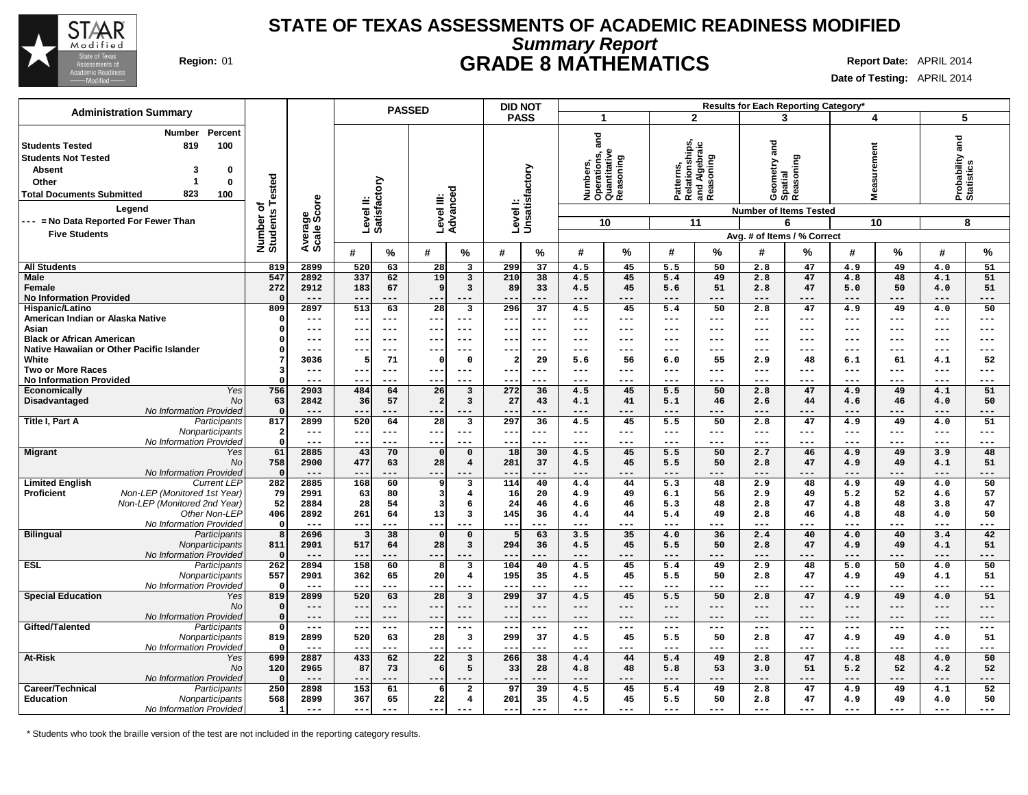

### **Summary Report STATE OF TEXAS ASSESSMENTS OF ACADEMIC READINESS MODIFIED Region:** 01 **GRADE 8 MATHEMATICS Report Date:** APRIL 2014

**Date of Testing:** APRIL 2014

|                                                                                                                                                                                                                                                                                  |                                      |                             |                           | <b>PASSED</b>       |                         |                                        | <b>DID NOT</b>             |                 | Results for Each Reporting Category* |                                                  |                                                           |                   |                  |                                                                                                           |                   |                   |                               |              |  |
|----------------------------------------------------------------------------------------------------------------------------------------------------------------------------------------------------------------------------------------------------------------------------------|--------------------------------------|-----------------------------|---------------------------|---------------------|-------------------------|----------------------------------------|----------------------------|-----------------|--------------------------------------|--------------------------------------------------|-----------------------------------------------------------|-------------------|------------------|-----------------------------------------------------------------------------------------------------------|-------------------|-------------------|-------------------------------|--------------|--|
| <b>Administration Summary</b>                                                                                                                                                                                                                                                    |                                      |                             |                           |                     |                         |                                        | <b>PASS</b>                |                 | $\blacktriangleleft$                 |                                                  | $\overline{2}$                                            |                   |                  | 3                                                                                                         |                   | 4                 | 5                             |              |  |
| Percent<br><b>Number</b><br><b>Students Tested</b><br>819<br>100<br><b>Students Not Tested</b><br><b>Absent</b><br>3<br>0<br>1<br>$\bf{0}$<br>Other<br>823<br><b>Total Documents Submitted</b><br>100<br>Legend<br>--- = No Data Reported For Fewer Than<br><b>Five Students</b> | Tested<br>৳<br>Number of<br>Students | Average<br>Scale Score      | Level II:<br>Satisfactory |                     |                         | Level III:<br>Advanced                 | Level I:<br>Unsatisfactory |                 | and<br>ij,<br>৯<br>Number<br>2       | Operations, a<br>Quantitative<br>Reasoning<br>10 | Patterns,<br>Relationships,<br>and Algebraic<br>Reasoning | 11                |                  | Geometry and<br>Spatial<br>Reasoning<br><b>Number of Items Tested</b><br>6<br>Avg. # of Items / % Correct | ෂී<br>Ś           | surement<br>10    | Probability and<br>Statistics | 8            |  |
|                                                                                                                                                                                                                                                                                  |                                      |                             | #                         | $\%$                | #                       | $\%$                                   | #                          | %               | #                                    | $\frac{9}{6}$                                    | #                                                         | $\%$              | #                | %                                                                                                         | #                 | %                 | #                             | %            |  |
| <b>All Students</b>                                                                                                                                                                                                                                                              | 819                                  | 2899                        | 520                       | 63                  | 28                      | $\overline{\mathbf{3}}$                | 299                        | 37              | 4.5                                  | 45                                               | 5.5                                                       | 50                | 2.8              | 47                                                                                                        | 4.9               | 49                | 4.0                           | 51           |  |
| <b>Male</b>                                                                                                                                                                                                                                                                      | 547                                  | 2892                        | 337                       | 62                  | 19                      | $\overline{\mathbf{3}}$                | 210                        | $\overline{38}$ | 4.5                                  | 45                                               | 5.4                                                       | 49                | 2.8              | 47                                                                                                        | 4.8               | 48                | 4.1                           | 51           |  |
| Female<br><b>No Information Provided</b>                                                                                                                                                                                                                                         | 272<br>$\Omega$                      | 2912<br>$---$               | 183                       | 67<br>---           | 9                       | 3<br>---                               | 89<br>--                   | 33<br>$--$      | 4.5<br>$---$                         | 45<br>$---$                                      | 5.6<br>$---$                                              | 51<br>---         | 2.8<br>$---$     | 47<br>---                                                                                                 | 5.0<br>$---$      | 50<br>---         | 4.0<br>$---$                  | 51<br>---    |  |
| Hispanic/Latino                                                                                                                                                                                                                                                                  | 809                                  | 2897                        | 513                       | 63                  | $\overline{28}$         | $\overline{\mathbf{3}}$                | 296                        | $\overline{37}$ | 4.5                                  | 45                                               | 5.4                                                       | 50                | 2.8              | 47                                                                                                        | 4.9               | 49                | 4.0                           | 50           |  |
| American Indian or Alaska Native                                                                                                                                                                                                                                                 | -0                                   | ---                         | $- -$                     | $--$                | --                      | $---$                                  | --                         | $--$            | $--$                                 | ---                                              | $---$                                                     | ---               | $--$             | ---                                                                                                       | ---               | $---$             | $--$                          | ---          |  |
| Asian                                                                                                                                                                                                                                                                            | $\Omega$                             | ---                         | $- -$                     | $---$               | $- -$                   | $---$                                  | --                         | $---$           | $- - -$                              | ---                                              | $---$                                                     | ---               | $---$            | ---                                                                                                       | $---$             | $---$             | $---$                         | $---$        |  |
| <b>Black or African American</b><br>Native Hawaiian or Other Pacific Islander                                                                                                                                                                                                    | 0                                    | ---<br>---                  | --<br>$- -$               | $--$<br>$--$        | --<br>--                | $---$<br>---                           | --<br>---                  | $--$<br>$- - -$ | $---$<br>$- - -$                     | ---<br>---                                       | $---$<br>$---$                                            | ---<br>---        | $---$<br>$- - -$ | ---<br>---                                                                                                | $---$<br>$---$    | $---$<br>$---$    | $---$<br>$---$                | ---<br>$---$ |  |
| White                                                                                                                                                                                                                                                                            |                                      | 3036                        | 5                         | 71                  | $\Omega$                | $\Omega$                               | $\overline{\mathbf{2}}$    | 29              | 5.6                                  | 56                                               | 6.0                                                       | 55                | 2.9              | 48                                                                                                        | 6.1               | 61                | 4.1                           | 52           |  |
| <b>Two or More Races</b>                                                                                                                                                                                                                                                         |                                      | ---                         |                           | $- - -$             |                         | $---$                                  | $-$                        | ---             | $---$                                | ---                                              | $---$                                                     | ---               | $---$            | ---                                                                                                       | $---$             | ---               | $---$                         | ---          |  |
| <b>No Information Provided</b>                                                                                                                                                                                                                                                   |                                      | ---                         |                           |                     |                         | ---                                    |                            | ---             | $---$                                | ---                                              | $---$                                                     | ---               | ---              |                                                                                                           | ---               | ---               | $---$                         | ---          |  |
| <b>Yes</b><br><b>Economically</b>                                                                                                                                                                                                                                                | 756                                  | 2903                        | 484                       | 64                  | 26                      | 3                                      | 272                        | 36              | 4.5                                  | 45                                               | 5.5                                                       | 50                | 2.8              | 47                                                                                                        | 4.9               | 49                | 4.1                           | 51           |  |
| Disadvantaged<br><b>No</b><br>No Information Provided                                                                                                                                                                                                                            | 63<br>$\Omega$                       | 2842                        | 36                        | 57                  | $\overline{2}$          | $\overline{\mathbf{3}}$                | 27                         | 43              | 4.1<br>$---$                         | 41                                               | 5.1                                                       | 46<br>---         | 2.6              | 44                                                                                                        | 4.6               | 46                | 4.0                           | 50<br>---    |  |
| Title I, Part A<br>Participants                                                                                                                                                                                                                                                  | 817                                  | 2899                        | 520                       | 64                  | 28                      | $\overline{\mathbf{3}}$                | 297                        | 36              | 4.5                                  | ---<br>45                                        | 5.5                                                       | 50                | 2.8              | 47                                                                                                        | 4.9               | 49                | 4.0                           | 51           |  |
| Nonparticipants                                                                                                                                                                                                                                                                  | -2                                   | $\qquad \qquad - -$         | $---$                     | $\qquad \qquad - -$ | $--$                    | $---$                                  | $--$                       | $---$           | $\sim$ $\sim$ $\sim$                 | ---                                              | $- -$                                                     | $\qquad \qquad -$ | $---$            | $---$                                                                                                     | $\qquad \qquad -$ | $\qquad \qquad -$ | $---$                         | $---$        |  |
| No Information Provided                                                                                                                                                                                                                                                          | $\Omega$                             | ---                         | $- -$                     | ---                 | $--$                    | ---                                    | $-$                        | $---$           | $- - -$                              | ---                                              | $\frac{1}{2}$                                             | ---               | $- - -$          | ---                                                                                                       | $- - -$           | $---$             | $---$                         | $---$        |  |
| <b>Migrant</b><br>Yes                                                                                                                                                                                                                                                            | 61                                   | 2885                        | 43                        | 70                  | $\Omega$                | $\Omega$                               | 18                         | 30              | 4.5                                  | 45                                               | 5.5                                                       | 50                | 2.7              | 46                                                                                                        | 4.9               | 49                | 3.9                           | 48           |  |
| No                                                                                                                                                                                                                                                                               | 758                                  | 2900<br>$- - -$             | 477                       | 63<br>---           | 28<br>---               | $\overline{4}$                         | 281                        | 37<br>---       | 4.5<br>$- - -$                       | 45<br>---                                        | 5.5<br>$- - -$                                            | 50<br>---         | 2.8<br>$- - -$   | 47<br>---                                                                                                 | 4.9<br>$- - -$    | 49<br>---         | 4.1<br>$- - -$                | 51<br>---    |  |
| No Information Provided<br><b>Limited English</b><br><b>Current LEP</b>                                                                                                                                                                                                          | $\mathbf 0$<br>282                   | 2885                        | 168                       | 60                  | 9                       | $\overline{\mathbf{3}}$                | 114                        | 40              | 4.4                                  | 44                                               | 5.3                                                       | 48                | 2.9              | 48                                                                                                        | 4.9               | 49                | 4.0                           | 50           |  |
| Non-LEP (Monitored 1st Year)<br><b>Proficient</b>                                                                                                                                                                                                                                | 79                                   | 2991                        | 63                        | 80                  | $\overline{\mathbf{3}}$ | $\overline{\mathbf{4}}$                | 16                         | 20              | 4.9                                  | 49                                               | 6.1                                                       | 56                | 2.9              | 49                                                                                                        | 5.2               | 52                | 4.6                           | 57           |  |
| Non-LEP (Monitored 2nd Year)                                                                                                                                                                                                                                                     | 52                                   | 2884                        | 28                        | 54                  | $\overline{3}$          | 6                                      | 24                         | 46              | 4.6                                  | 46                                               | 5.3                                                       | 48                | 2.8              | 47                                                                                                        | 4.8               | 48                | 3.8                           | 47           |  |
| Other Non-LEP                                                                                                                                                                                                                                                                    | 406                                  | 2892                        | 261                       | 64                  | 13                      | $\overline{\mathbf{3}}$                | 145                        | 36              | 4.4                                  | 44                                               | 5.4                                                       | 49                | 2.8              | 46                                                                                                        | 4.8               | 48                | 4.0                           | 50           |  |
| No Information Provided                                                                                                                                                                                                                                                          | $\Omega$                             | $---$                       | $- -$                     | ---                 | $- - -$                 | $---$                                  | $- -$                      | $---$           | $---$                                | ---                                              | $---$                                                     | ---               | $---$            | ---                                                                                                       | $---$             | $---$             | $---$                         | ---          |  |
| <b>Bilingual</b><br>Participants<br>Nonparticipants                                                                                                                                                                                                                              | 8<br>811                             | 2696<br>2901                | 517                       | 38<br>64            | $\Omega$<br>28          | $\mathbf 0$<br>$\overline{\mathbf{3}}$ | 294                        | 63<br>36        | 3.5<br>4.5                           | 35<br>45                                         | 4.0<br>5.5                                                | 36<br>50          | 2.4<br>2.8       | 40<br>47                                                                                                  | 4.0<br>4.9        | 40<br>49          | 3.4<br>4.1                    | 42<br>51     |  |
| No Information Provided                                                                                                                                                                                                                                                          | $\Omega$                             | $---$                       | $ -$                      | $---$               | ---                     |                                        | $-$ -                      | $---$           | $---$                                | ---                                              | $---$                                                     | ---               | $---$            | ---                                                                                                       | $---$             | ---               | $- - -$                       | ---          |  |
| <b>ESL</b><br>Participants                                                                                                                                                                                                                                                       | 262                                  | 2894                        | 158                       | 60                  | 8                       | $\overline{\mathbf{3}}$                | 104                        | 40              | 4.5                                  | 45                                               | 5.4                                                       | 49                | 2.9              | 48                                                                                                        | 5.0               | 50                | 4.0                           | 50           |  |
| Nonparticipants                                                                                                                                                                                                                                                                  | 557                                  | 2901                        | 362                       | 65                  | 20                      | $\overline{4}$                         | 195                        | 35              | 4.5                                  | 45                                               | 5.5                                                       | 50                | 2.8              | 47                                                                                                        | 4.9               | 49                | 4.1                           | 51           |  |
| No Information Provided                                                                                                                                                                                                                                                          | $\mathsf{C}$                         | $- - -$                     | $- -$                     | $- - -$             | $- -$                   | $---$                                  | $- -$                      | $---$           | $- - -$                              | ---                                              | $---$                                                     | $---$             | $- - -$          | ---                                                                                                       | $---$             | $- - -$           | $-- -$                        | $---$        |  |
| <b>Special Education</b><br>Yes<br>No                                                                                                                                                                                                                                            | 819<br>$\mathbf 0$                   | 2899<br>$---$               | 520<br>$- -$              | 63<br>$---$         | 28<br>$---$             | $\overline{\mathbf{3}}$<br>$---$       | 299<br>$- -$               | 37<br>$---$     | 4.5<br>$---$                         | 45<br>$---$                                      | 5.5<br>$---$                                              | 50<br>---         | 2.8<br>$---$     | 47<br>$---$                                                                                               | 4.9<br>$---$      | 49<br>$---$       | 4.0<br>$---$                  | 51<br>$---$  |  |
| No Information Provided                                                                                                                                                                                                                                                          | $\mathbf 0$                          | ---                         | $- -$                     | $---$               | --                      | $---$                                  | --                         | $---$           | $---$                                | $---$                                            | $---$                                                     | ---               | $---$            | $---$                                                                                                     | $---$             | $---$             | $---$                         | ---          |  |
| Gifted/Talented<br>Participants                                                                                                                                                                                                                                                  | $\Omega$                             | $---$                       | $- -$                     | $- - -$             | $--$                    | $---$                                  | $- -$                      | $---$           | $- - -$                              | ---                                              | $---$                                                     | $---$             | $- - -$          | ---                                                                                                       | $---$             | $---$             | $---$                         | $---$        |  |
| Nonparticipants                                                                                                                                                                                                                                                                  | 819<br>-0                            | 2899<br>$---$               | 520<br>$- -$              | 63<br>$---$         | 28<br>$- - -$           | $\overline{\mathbf{3}}$<br>---         | 299<br>$- -$               | 37<br>$---$     | 4.5<br>$---$                         | 45<br>---                                        | 5.5<br>$---$                                              | 50<br>---         | 2.8<br>$---$     | 47<br>---                                                                                                 | 4.9<br>$---$      | 49<br>$---$       | 4.0<br>$---$                  | 51<br>$---$  |  |
| No Information Provided<br>At-Risk<br>Yes                                                                                                                                                                                                                                        | 699                                  | 2887                        | 433                       | 62                  | $\overline{22}$         | 3                                      | 266                        | 38              | 4.4                                  | 44                                               | 5.4                                                       | 49                | 2.8              | 47                                                                                                        | 4.8               | 48                | 4.0                           | 50           |  |
| <b>No</b>                                                                                                                                                                                                                                                                        | 120                                  | 2965                        | 87                        | 73                  | 6                       | 5                                      | 33                         | 28              | 4.8                                  | 48                                               | 5.8                                                       | 53                | 3.0              | 51                                                                                                        | 5.2               | 52                | 4.2                           | 52           |  |
| No Information Provided                                                                                                                                                                                                                                                          | $\Omega$                             | $---$                       | $- -$                     | ---                 |                         |                                        | --                         | ---             | $---$                                | ---                                              | $---$                                                     | ---               | $---$            | ---                                                                                                       | $---$             | ---               | $---$                         | ---          |  |
| Career/Technical<br>Participants                                                                                                                                                                                                                                                 | 250                                  | 2898                        | 153                       | 61                  | 6                       | $\overline{a}$                         | 97                         | 39              | 4.5                                  | 45                                               | 5.4                                                       | 49                | 2.8              | 47                                                                                                        | 4.9               | 49                | 4.1                           | 52           |  |
| Education<br>Nonparticipants                                                                                                                                                                                                                                                     | 568                                  | 2899<br>$\qquad \qquad - -$ | 367<br>$--$               | 65                  | 22<br>$- -$             | $\overline{\mathbf{4}}$<br>$---$       | 201<br>$-$                 | 35              | 4.5<br>$- - -$                       | 45<br>$---$                                      | 5.5<br>$---$                                              | 50<br>---         | 2.8<br>$---$     | 47<br>---                                                                                                 | 4.9<br>$- - -$    | 49<br>$---$       | 4.0<br>$---$                  | 50<br>---    |  |
| No Information Provided                                                                                                                                                                                                                                                          | $\mathbf{1}$                         |                             |                           |                     |                         |                                        |                            |                 |                                      |                                                  |                                                           |                   |                  |                                                                                                           |                   |                   |                               |              |  |

\* Students who took the braille version of the test are not included in the reporting category results.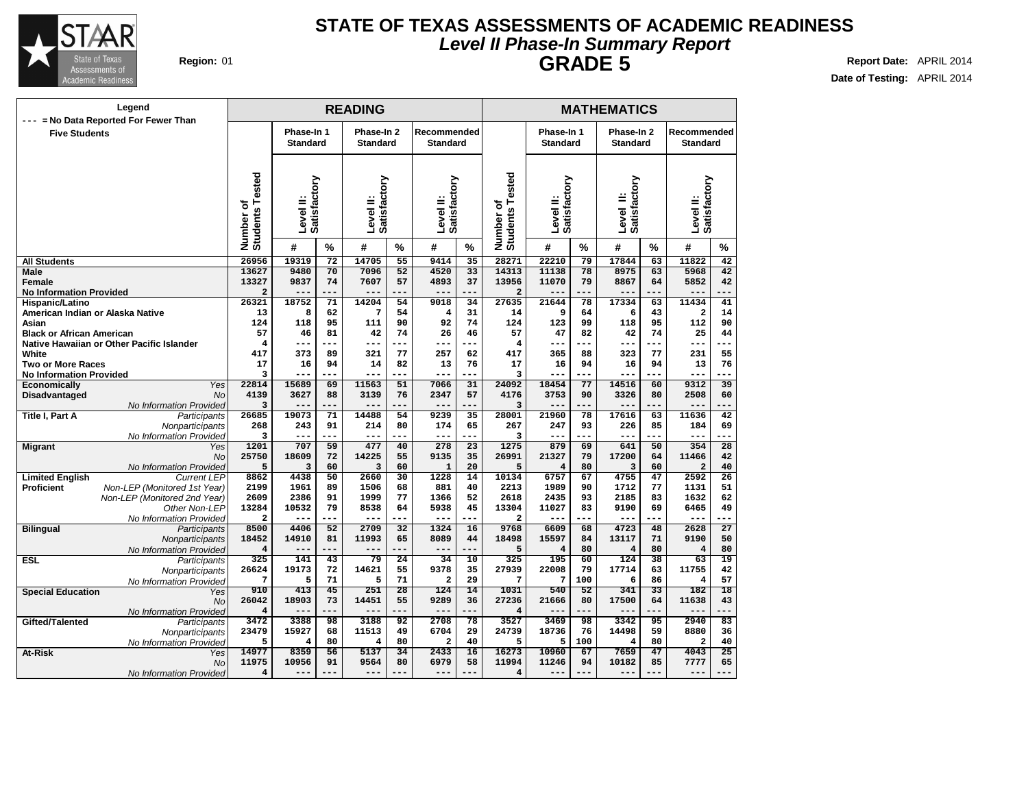

### **Level II Phase-In Summary Report STATE OF TEXAS ASSESSMENTS OF ACADEMIC READINESS GRADE 5 Region:** 01 **Report Date:** APRIL 2014

**Date of Testing:** APRIL 2014

### **READING MATHEMATICS Phase-In 1 Standard Phase-In 2 Standard Recommended Standard Phase-In 1 Standard Phase-In 2 Standard Recommended Standard Level II: Satisfactory Level II: Satisfactory Level II: Satisfactory Number of Students Tested Level II: Satisfactory Level II: Satisfactory Level II: Satisfactory Number of Students Tested # % # % # % # % # % # % All Students Male Female No Information Provided Hispanic/Latino American Indian or Alaska Native Asian Black or African American Native Hawaiian or Other Pacific Islander White Two or More Races No Information Provided Economically** Yes 22814 **Disadvantaged** No No Information Provided 3<br>Participants 26685 **Title I, Part A** Participants **Nonparticipants** No Information Provided **Migrant** Yes 1201 No No Information Provided **Limited English** Current LEP 8862 **Proficient Non-LEP** (Monitored 1st Year) Non-LEP (Monitored 2nd Year) Other Non-LEP 13284 No Information Provided **Bilingual** Participants Nonparticipants 18452 No Information Provided **ESL** Participants 325<br>
Monography 26624 **Nonparticipants** No Information Provided **Special Education** Yes No No Information Provided **Gifted/Talented** Participants 3472<br> **Nonnarticipants** 23479 **Nonparticipants** No Information Provided 5 **At-Risk**  $\begin{array}{c|c} \hline \text{Yes} & 14977 \\ \hline \text{M}_0 & 11975 \\ \hline \end{array}$ No No Information Provided **Legend --- = No Data Reported For Fewer Than Five Students 26956 19319 72 14705 55 9414 35 13627 9480 70 7096 52 4520 33 13327 9837 74 7607 57 4893 37 2 --- --- --- --- --- --- 26321 18752 71 14204 54 9018 34 13 8 62 7 54 4 31 124 118 95 111 90 92 74 57 46 81 42 74 26 46 4 --- --- --- --- --- --- 417 373 89 321 77 257 62 17 16 94 14 82 13 76 3 --- --- --- --- --- --- 22814 15689 69 11563 51 7066 31 4139 3627 88 3139 76 2347 57 3 --- --- --- --- --- --- 26685 19073 71 14488 54 9239 35 268 243 91 214 80 174 65 3 --- --- --- --- --- --- 1201 707 59 477 40 278 23 25750 18609 72 14225 55 9135 35 5 3 60 3 60 1 20 8862 4438 50 2660 30 1228 14 2199 1961 89 1506 68 881 40 2609 2386 91 1999 77 1366 52 13284 10532 79 8538 64 5938 45 2 --- --- --- --- --- --- 8500 4406 52 2709 32 1324 16 18452 14910 81 11993 65 8089 44 4 --- --- --- --- --- --- 325 141 43 79 24 34 10 26624 19173 72 14621 55 9378 35 7 5 71 5 71 2 29 910 413 45 251 28 124 14 26042 18903 73 14451 55 9289 36 4 --- --- --- --- --- --- 3472 3388 98 3188 92 2708 78 23479 15927 68 11513 49 6704 29 5 4 80 4 80 2 40 14977 8359 56 5137 34 2433 16 11975 10956 91 9564 80 6979 58 4 --- --- --- --- --- --- 28271 22210 79 17844 63 11822 42 14313 11138 78 8975 63 5968 42 13956 11070 79 8867 64 5852 42 2 --- --- --- --- --- --- 27635 21644 78 17334 63 11434 41 14 9 64 6 43 2 14 124 123 99 118 95 112 90 57 47 82 42 74 25 44 4 --- --- --- --- --- --- 417 365 88 323 77 231 55 17 16 94 16 94 13 76 3 --- --- --- --- --- --- 24092 18454 77 14516 60 9312 39 4176 3753 90 3326 80 2508 60 3 --- --- --- --- --- --- 28001 21960 78 17616 63 11636 42 267 247 93 226 85 184 69 3 --- --- --- --- --- --- 1275 879 69 641 50 354 28 26991 21327 79 17200 64 11466 42 5 4 80 3 60 2 40 10134 6757 67 4755 47 2592 26 2213 1989 90 1712 77 1131 51 2618 2435 93 2185 83 1632 62 13304 11027 83 9190 69 6465 49 2 --- --- --- --- --- --- 9768 6609 68 4723 48 2628 27 18498 15597 84 13117 71 9190 50 5 4 80 4 80 4 80 325 195 60 124 38 63 19 27939 22008 79 17714 63 11755 42 7 7 100 6 86 4 57 1031 540 52 341 33 182 18 27236 21666 80 17500 64 11638 43 4 --- --- --- --- --- --- 3527 3469 98 3342 95 2940 83 24739 18736 76 14498 59 8880 36 5 5 100 4 80 2 40 16273 10960 67 7659 47 4043 25 11994 11246 94 10182 85 7777 65 4 --- --- --- --- --- ---**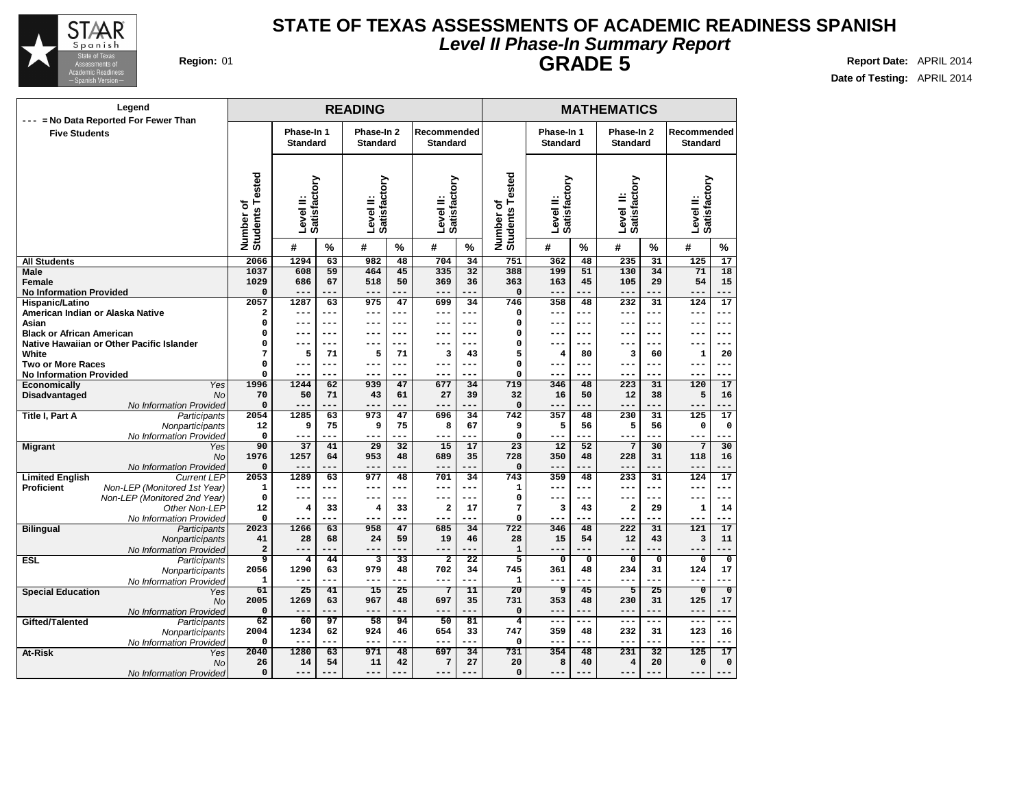

### **Level II Phase-In Summary Report STATE OF TEXAS ASSESSMENTS OF ACADEMIC READINESS SPANISH GRADE 5 Report Date:** APRIL 2014

| Legend                                                             |                              |                               |           | <b>READING</b>                |            |                                |                 |                                   |                               | <b>MATHEMATICS</b> |                               |             |                                |                         |
|--------------------------------------------------------------------|------------------------------|-------------------------------|-----------|-------------------------------|------------|--------------------------------|-----------------|-----------------------------------|-------------------------------|--------------------|-------------------------------|-------------|--------------------------------|-------------------------|
| = No Data Reported For Fewer Than<br>$---$<br><b>Five Students</b> |                              | Phase-In 1<br><b>Standard</b> |           | Phase-In 2<br><b>Standard</b> |            | Recommended<br><b>Standard</b> |                 |                                   | Phase-In 1<br><b>Standard</b> |                    | Phase-In 2<br><b>Standard</b> |             | Recommended<br><b>Standard</b> |                         |
|                                                                    | Number of<br>Students Tested | Satisfactory<br>Level II:     |           | Satisfactory<br>Level II:     |            | Satisfactory<br>Level II:      |                 | ested<br>Number of<br>Students To | Satisfactory<br>Level II:     |                    | Satisfactory<br>≝<br>Level    |             | Satisfactory<br>Level II:      |                         |
|                                                                    |                              | #                             | %         | #                             | $\%$       | #                              | $\%$            |                                   | #                             | %                  | #                             | $\%$        | #<br>$\frac{0}{0}$             |                         |
| <b>All Students</b>                                                | 2066                         | 1294                          | 63        | 982                           | 48         | 704                            | 34              | 751                               | 362                           | 48                 | 235                           | 31          | 125                            | 17                      |
| Male                                                               | 1037                         | 608                           | 59        | 464                           | 45         | 335                            | 32              | 388                               | 199                           | 51                 | 130                           | 34          | 71                             | 18                      |
| Female                                                             | 1029                         | 686                           | 67        | 518                           | 50         | 369                            | 36              | 363                               | 163                           | 45                 | 105                           | 29          | 54                             | 15                      |
| <b>No Information Provided</b>                                     | $\mathbf 0$                  |                               | ---       | $- - -$                       |            | ---                            | ---             | $\Omega$                          | $- - -$                       | ---                | $- - -$                       | ---         | ---                            | ---                     |
| Hispanic/Latino                                                    | 2057                         | 1287                          | 63        | 975                           | 47         | 699                            | 34              | 746                               | 358                           | 48                 | 232                           | 31          | $\overline{124}$               | $\overline{17}$         |
| American Indian or Alaska Native                                   | $\overline{\mathbf{2}}$      | $---$                         | $---$     | $---$                         | $---$      | ---                            | $---$           | $\mathbf 0$                       | $---$                         | ---                | $---$                         | $---$       | $---$                          | ---                     |
| Asian                                                              | $\mathsf{o}\xspace$          | $- -$<br>$- - -$              | ---       | ---<br>---                    | ---<br>--- | ---                            | ---<br>$- - -$  | $\mathbf 0$                       | ---                           | ---                | $- - -$                       | $---$       | ---<br>---                     | $---$                   |
| <b>Black or African American</b>                                   | $\mathbf 0$<br>0             |                               | ---       |                               |            | ---<br>--                      | $---$           | $\mathbf 0$<br>$\mathbf 0$        | ---<br>---                    | ---<br>---         | $- - -$                       | ---<br>---  |                                | $---$<br>$---$          |
| Native Hawaiian or Other Pacific Islander<br>White                 | 7                            | --<br>5                       | 71        | 5                             | 71         | 3                              | 43              | 5                                 | 4                             | 80                 | 3                             | 60          | --<br>1                        | 20                      |
| <b>Two or More Races</b>                                           | $\mathsf{o}\xspace$          | ---                           | ---       | $---$                         | ---        | ---                            | ---             | $\mathbf 0$                       | ---                           | ---                | $--$                          | ---         | ---                            | $--$                    |
| <b>No Information Provided</b>                                     | $\mathbf 0$                  | $--$                          |           | ---                           |            | ---                            | ---             | $\mathbf 0$                       | ---                           | ---                | $--$                          | ---         | ---                            | $---$                   |
| Economically<br>Yes                                                | 1996                         | 1244                          | 62        | 939                           | 47         | 677                            | 34              | 719                               | 346                           | 48                 | 223                           | 31          | 120                            | 17                      |
| Disadvantaged<br><b>No</b>                                         | 70                           | 50                            | 71        | 43                            | 61         | 27                             | 39              | 32                                | 16                            | 50                 | 12                            | 38          | 5                              | 16                      |
| No Information Provided                                            | $\Omega$                     | ---                           |           | ---                           |            |                                | ---             | $\mathbf 0$                       |                               | ---                | $---$                         | ---         |                                |                         |
| Title I, Part A<br>Participants                                    | 2054                         | 1285                          | 63        | 973                           | 47         | 696                            | 34              | 742                               | 357                           | 48                 | 230                           | 31          | $\overline{125}$               | 17                      |
| Nonparticipants                                                    | 12                           | 9                             | 75        | 9                             | 75         | 8                              | 67              | 9                                 | 5                             | 56                 | 5                             | 56          | $\mathbf 0$                    | 0                       |
| No Information Provided                                            | 0                            | $---$                         | ---       | ---                           | ---        | ---                            | ---             | $\mathbf 0$                       | $---$                         | ---                | $- - -$                       | ---         | ---                            |                         |
| <b>Migrant</b><br>Yes                                              | 90                           | 37                            | 41        | 29                            | 32         | 15                             | 17              | 23                                | 12                            | 52                 | 7                             | 30          | 7                              | 30                      |
| No                                                                 | 1976                         | 1257                          | 64        | 953                           | 48         | 689                            | 35              | 728                               | 350                           | 48                 | 228                           | 31          | 118                            | 16                      |
| No Information Provided                                            | $\mathbf 0$                  | $---$                         | ---       | ---                           |            | ---                            | ---             | $\mathbf 0$                       | ---                           | ---                | $---$                         | ---         | ---                            | ---                     |
| <b>Limited English</b><br><b>Current LEP</b>                       | 2053                         | 1289                          | 63        | 977                           | 48         | 701                            | 34              | 743                               | 359                           | 48                 | 233                           | 31          | 124                            | 17                      |
| <b>Proficient</b><br>Non-LEP (Monitored 1st Year)                  | 1                            | $---$                         | ---       | ---                           | $---$      | ---                            | ---             | 1                                 | $---$                         | ---                | $- - -$                       | $---$       | ---                            | ---                     |
| Non-LEP (Monitored 2nd Year)                                       | $\mathbf 0$                  | $---$                         | ---       | ---                           | ---        | ---                            | $- - -$         | $\mathbf 0$                       | ---                           | ---                | $- - -$                       | ---         | ---                            | ---                     |
| Other Non-LEP                                                      | 12                           | 4                             | 33        | 4                             | 33         | $\overline{a}$                 | 17              | $7\phantom{.0}$                   | 3                             | 43                 | $\overline{a}$                | 29          | $\mathbf{1}$                   | 14                      |
| No Information Provided                                            | $\Omega$<br>2023             | $---$<br>1266                 | ---<br>63 | $---$<br>958                  | ---<br>47  | ---<br>685                     | ---<br>34       | $\Omega$<br>722                   | ---<br>346                    | ---<br>48          | $- - -$<br>222                | ---<br>31   | ---<br>121                     | 17                      |
| <b>Bilingual</b><br>Participants                                   | 41                           | 28                            | 68        | 24                            | 59         | 19                             | 46              |                                   | 15                            | 54                 | 12                            | 43          | 3                              | 11                      |
| Nonparticipants<br>No Information Provided                         | $\mathbf 2$                  | $---$                         | ---       | $---$                         | $---$      | ---                            | ---             | 28<br>$\mathbf{1}$                | $---$                         | ---                | $---$                         | ---         | ---                            | ---                     |
| <b>ESL</b><br>Participants                                         | 9                            | $\overline{\mathbf{4}}$       | 44        | 3                             | 33         | $\overline{\mathbf{2}}$        | $\overline{22}$ | 5                                 | 0                             | $\mathbf 0$        | 0                             | $\mathbf 0$ | $\mathbf 0$                    | $\overline{\mathbf{0}}$ |
| Nonparticipants                                                    | 2056                         | 1290                          | 63        | 979                           | 48         | 702                            | 34              | 745                               | 361                           | 48                 | 234                           | 31          | 124                            | 17                      |
| No Information Provided                                            | 1                            | $---$                         | ---       | ---                           | ---        | $---$                          | ---             | 1                                 | ---                           | ---                | $--$                          | ---         | ---                            | $-$                     |
| <b>Special Education</b><br>Yes                                    | 61                           | 25                            | 41        | 15                            | 25         | 7                              | $\overline{11}$ | 20                                | 9                             | 45                 | $\overline{5}$                | 25          | $\overline{\mathfrak{o}}$      | $\overline{0}$          |
| <b>No</b>                                                          | 2005                         | 1269                          | 63        | 967                           | 48         | 697                            | 35              | 731                               | 353                           | 48                 | 230                           | 31          | 125                            | 17                      |
| No Information Provided                                            | $\mathbf 0$                  | ---                           | ---       | ---                           |            | ---                            | ---             | $\mathbf 0$                       | $---$                         | ---                | $---$                         | ---         | ---                            | $---$                   |
| Gifted/Talented<br>Participants                                    | 62                           | 60                            | 97        | 58                            | 94         | 50                             | 81              | $\overline{4}$                    | $---$                         | ---                | $- - -$                       | ---         | $---$                          | ---                     |
| Nonparticipants                                                    | 2004                         | 1234                          | 62        | 924                           | 46         | 654                            | 33              | 747                               | 359                           | 48                 | 232                           | 31          | 123                            | 16                      |
| No Information Provideo                                            | $\mathbf 0$                  |                               | ---       | ---                           |            | ---                            | ---             | $\mathbf 0$                       | ---                           |                    |                               | ---         |                                |                         |
| At-Risk<br>Yes                                                     | 2040                         | 1280                          | 63        | 971                           | 48         | 697                            | 34              | 731                               | 354                           | 48                 | 231                           | 32          | 125                            | 17                      |
| <b>No</b>                                                          | 26                           | 14                            | 54        | 11                            | 42         | 7                              | 27              | 20                                | 8                             | 40                 | $\overline{4}$                | 20          | $\mathbf 0$                    | 0                       |
| No Information Provided                                            | 0                            | ---                           | ---       | ---                           |            | ---                            | ---             | $\mathbf 0$                       | ---                           | ---                | $---$                         | ---         | ---                            | $---$                   |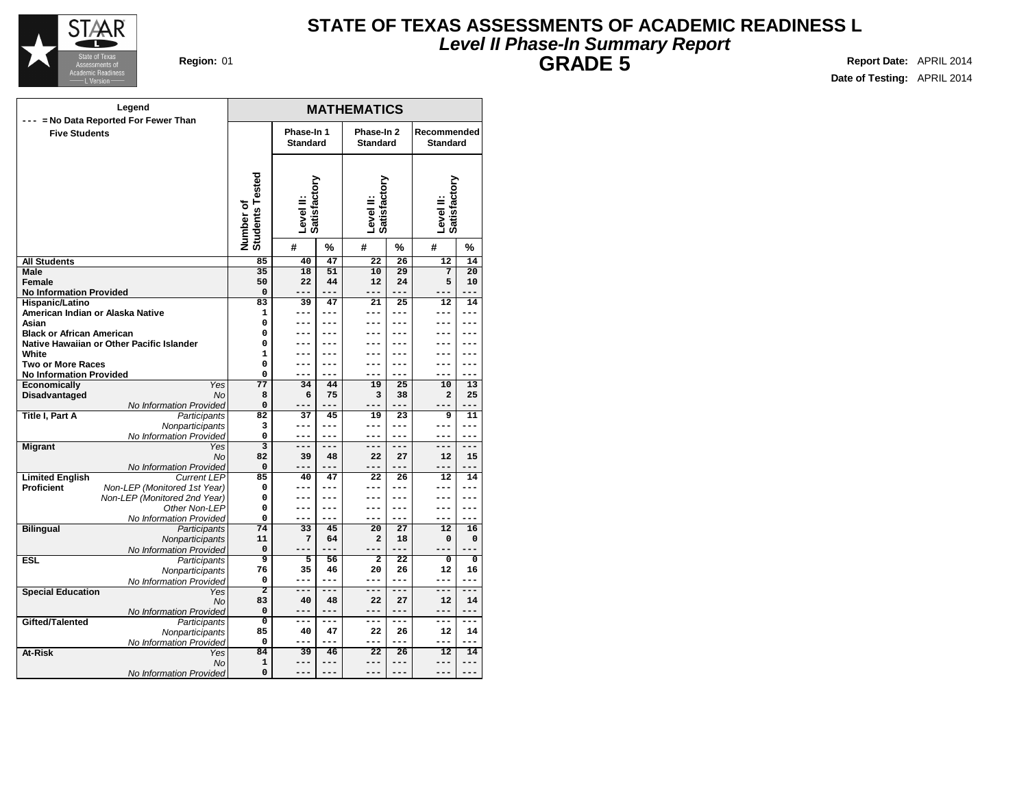

### **Level II Phase-In Summary Report STATE OF TEXAS ASSESSMENTS OF ACADEMIC READINESS L GRADE 5 Report Date:** APRIL 2014

| Phase-In 1<br>Phase-In 2<br>Recommended<br><b>Five Students</b><br><b>Standard</b><br><b>Standard</b><br><b>Standard</b><br>Number of<br>Students Tested<br>Level II:<br>Satisfactory<br>Satisfactory<br>Level II:<br>Satisfactory<br>Level II:<br>#<br>%<br>%<br>#<br>%<br>#<br>$\overline{22}$<br>$\overline{12}$<br>85<br>40<br>47<br>26<br>14<br><b>All Students</b><br>$\overline{20}$<br>35<br>18<br>51<br>10<br>29<br>7<br>Male<br>5<br>Female<br>50<br>22<br>44<br>12<br>24<br>10<br><b>No Information Provided</b><br>$\Omega$<br>---<br>---<br>$---$<br>---<br>Hispanic/Latino<br>83<br>39<br>47<br>12<br>21<br>25<br>14<br>American Indian or Alaska Native<br>1<br>---<br>---<br>---<br>$---$<br>---<br>---<br>Asian<br>0<br>---<br>---<br><b>Black or African American</b><br>0<br>---<br>---<br>$\mathbf 0$<br>Native Hawaiian or Other Pacific Islander<br>---<br>---<br>---<br>---<br>---<br>---<br>White<br>$\mathbf{1}$<br><b>Two or More Races</b><br>0<br>---<br>---<br>---<br>---<br>---<br>---<br><b>No Information Provided</b><br>0<br>---<br>---<br>---<br>---<br>---<br><b>Economically</b><br>Yes<br>77<br>34<br>44<br>19<br>25<br>10<br>13<br>Disadvantaged<br><b>No</b><br>8<br>75<br>3<br>$\mathbf 2$<br>6<br>38<br>25<br>No Information Provided<br>0<br>$- - -$<br>---<br>Title I, Part A<br>Participants<br>82<br>37<br>45<br>19<br>9<br>11<br>23<br>3<br>Nonparticipants<br>---<br>---<br>---<br>---<br>---<br>---<br>No Information Provided<br>0<br>$---$<br>---<br>$---$<br>---<br>---<br>---<br>$\overline{\mathbf{3}}$<br><b>Migrant</b><br>Yes<br>---<br>$---$<br>---<br>$---$<br>$---$<br>$---$<br>82<br>No<br>27<br>39<br>48<br>22<br>12<br>15<br>No Information Provided<br>$\Omega$<br>---<br>---<br>---<br>$---$<br>---<br><b>Limited English</b><br><b>Current LEP</b><br>85<br>40<br>47<br>22<br>26<br>12<br>14<br><b>Proficient</b><br>Non-LEP (Monitored 1st Year)<br>0<br>---<br>---<br>---<br>---<br>---<br>---<br>Non-LEP (Monitored 2nd Year)<br>0<br>$---$<br>$---$<br>---<br>---<br>---<br>---<br>Other Non-LEP<br>0<br>$---$<br>---<br>---<br>---<br>---<br>---<br>No Information Provided<br>0<br>---<br>---<br>---<br>---<br>$---$<br>---<br><b>Bilingual</b><br>74<br>27<br>33<br>45<br>20<br>12<br>16<br>Participants<br>Nonparticipants<br>11<br>7<br>$\overline{a}$<br>$\mathbf 0$<br>64<br>18<br>0<br>0<br>No Information Provided<br>---<br>$-$<br>---<br>9<br>$\overline{2}$<br>$\overline{22}$<br><b>ESL</b><br>Participants<br>5<br>56<br>$\mathbf 0$<br>0<br>76<br>35<br>46<br>20<br>26<br>12<br>16<br>Nonparticipants<br>0<br>---<br>---<br>---<br>No Information Provided<br>---<br>---<br>---<br>$\overline{2}$<br>===<br>$---$<br>---<br>---<br>===<br>---<br><b>Special Education</b><br>Yes<br>83<br>40<br>22<br>27<br>12<br>No<br>48<br>14<br>0<br>No Information Provided<br>$---$<br>---<br>$---$<br>---<br>---<br>---<br>Gifted/Talented<br>Participants<br>O<br>$---$<br>$---$<br>$---$<br>$---$<br>---<br>---<br>Nonparticipants<br>85<br>47<br>40<br>22<br>26<br>12<br>14<br>No Information Provided<br>0<br>---<br>---<br>---<br>---<br>---<br>---<br>At-Risk<br>84<br>39<br>$\overline{22}$<br>$\overline{26}$<br>12<br>14<br>Yes<br>46<br>1<br>No<br>$---$<br>$---$<br>---<br>$---$<br>---<br>--- | Legend                                |   |  | <b>MATHEMATICS</b> |  |  |  |
|---------------------------------------------------------------------------------------------------------------------------------------------------------------------------------------------------------------------------------------------------------------------------------------------------------------------------------------------------------------------------------------------------------------------------------------------------------------------------------------------------------------------------------------------------------------------------------------------------------------------------------------------------------------------------------------------------------------------------------------------------------------------------------------------------------------------------------------------------------------------------------------------------------------------------------------------------------------------------------------------------------------------------------------------------------------------------------------------------------------------------------------------------------------------------------------------------------------------------------------------------------------------------------------------------------------------------------------------------------------------------------------------------------------------------------------------------------------------------------------------------------------------------------------------------------------------------------------------------------------------------------------------------------------------------------------------------------------------------------------------------------------------------------------------------------------------------------------------------------------------------------------------------------------------------------------------------------------------------------------------------------------------------------------------------------------------------------------------------------------------------------------------------------------------------------------------------------------------------------------------------------------------------------------------------------------------------------------------------------------------------------------------------------------------------------------------------------------------------------------------------------------------------------------------------------------------------------------------------------------------------------------------------------------------------------------------------------------------------------------------------------------------------------------------------------------------------------------------------------------------------------------------------------------------------------------------------------------------------------------------------------------------------------------------------------------------------------------------------------------------------------------------------------------------------------------------------------------------------------------------------------------------------------------|---------------------------------------|---|--|--------------------|--|--|--|
|                                                                                                                                                                                                                                                                                                                                                                                                                                                                                                                                                                                                                                                                                                                                                                                                                                                                                                                                                                                                                                                                                                                                                                                                                                                                                                                                                                                                                                                                                                                                                                                                                                                                                                                                                                                                                                                                                                                                                                                                                                                                                                                                                                                                                                                                                                                                                                                                                                                                                                                                                                                                                                                                                                                                                                                                                                                                                                                                                                                                                                                                                                                                                                                                                                                                                       | --- = No Data Reported For Fewer Than |   |  |                    |  |  |  |
|                                                                                                                                                                                                                                                                                                                                                                                                                                                                                                                                                                                                                                                                                                                                                                                                                                                                                                                                                                                                                                                                                                                                                                                                                                                                                                                                                                                                                                                                                                                                                                                                                                                                                                                                                                                                                                                                                                                                                                                                                                                                                                                                                                                                                                                                                                                                                                                                                                                                                                                                                                                                                                                                                                                                                                                                                                                                                                                                                                                                                                                                                                                                                                                                                                                                                       |                                       |   |  |                    |  |  |  |
|                                                                                                                                                                                                                                                                                                                                                                                                                                                                                                                                                                                                                                                                                                                                                                                                                                                                                                                                                                                                                                                                                                                                                                                                                                                                                                                                                                                                                                                                                                                                                                                                                                                                                                                                                                                                                                                                                                                                                                                                                                                                                                                                                                                                                                                                                                                                                                                                                                                                                                                                                                                                                                                                                                                                                                                                                                                                                                                                                                                                                                                                                                                                                                                                                                                                                       |                                       |   |  |                    |  |  |  |
|                                                                                                                                                                                                                                                                                                                                                                                                                                                                                                                                                                                                                                                                                                                                                                                                                                                                                                                                                                                                                                                                                                                                                                                                                                                                                                                                                                                                                                                                                                                                                                                                                                                                                                                                                                                                                                                                                                                                                                                                                                                                                                                                                                                                                                                                                                                                                                                                                                                                                                                                                                                                                                                                                                                                                                                                                                                                                                                                                                                                                                                                                                                                                                                                                                                                                       |                                       |   |  |                    |  |  |  |
|                                                                                                                                                                                                                                                                                                                                                                                                                                                                                                                                                                                                                                                                                                                                                                                                                                                                                                                                                                                                                                                                                                                                                                                                                                                                                                                                                                                                                                                                                                                                                                                                                                                                                                                                                                                                                                                                                                                                                                                                                                                                                                                                                                                                                                                                                                                                                                                                                                                                                                                                                                                                                                                                                                                                                                                                                                                                                                                                                                                                                                                                                                                                                                                                                                                                                       |                                       |   |  |                    |  |  |  |
|                                                                                                                                                                                                                                                                                                                                                                                                                                                                                                                                                                                                                                                                                                                                                                                                                                                                                                                                                                                                                                                                                                                                                                                                                                                                                                                                                                                                                                                                                                                                                                                                                                                                                                                                                                                                                                                                                                                                                                                                                                                                                                                                                                                                                                                                                                                                                                                                                                                                                                                                                                                                                                                                                                                                                                                                                                                                                                                                                                                                                                                                                                                                                                                                                                                                                       |                                       |   |  |                    |  |  |  |
|                                                                                                                                                                                                                                                                                                                                                                                                                                                                                                                                                                                                                                                                                                                                                                                                                                                                                                                                                                                                                                                                                                                                                                                                                                                                                                                                                                                                                                                                                                                                                                                                                                                                                                                                                                                                                                                                                                                                                                                                                                                                                                                                                                                                                                                                                                                                                                                                                                                                                                                                                                                                                                                                                                                                                                                                                                                                                                                                                                                                                                                                                                                                                                                                                                                                                       |                                       |   |  |                    |  |  |  |
|                                                                                                                                                                                                                                                                                                                                                                                                                                                                                                                                                                                                                                                                                                                                                                                                                                                                                                                                                                                                                                                                                                                                                                                                                                                                                                                                                                                                                                                                                                                                                                                                                                                                                                                                                                                                                                                                                                                                                                                                                                                                                                                                                                                                                                                                                                                                                                                                                                                                                                                                                                                                                                                                                                                                                                                                                                                                                                                                                                                                                                                                                                                                                                                                                                                                                       |                                       |   |  |                    |  |  |  |
|                                                                                                                                                                                                                                                                                                                                                                                                                                                                                                                                                                                                                                                                                                                                                                                                                                                                                                                                                                                                                                                                                                                                                                                                                                                                                                                                                                                                                                                                                                                                                                                                                                                                                                                                                                                                                                                                                                                                                                                                                                                                                                                                                                                                                                                                                                                                                                                                                                                                                                                                                                                                                                                                                                                                                                                                                                                                                                                                                                                                                                                                                                                                                                                                                                                                                       |                                       |   |  |                    |  |  |  |
|                                                                                                                                                                                                                                                                                                                                                                                                                                                                                                                                                                                                                                                                                                                                                                                                                                                                                                                                                                                                                                                                                                                                                                                                                                                                                                                                                                                                                                                                                                                                                                                                                                                                                                                                                                                                                                                                                                                                                                                                                                                                                                                                                                                                                                                                                                                                                                                                                                                                                                                                                                                                                                                                                                                                                                                                                                                                                                                                                                                                                                                                                                                                                                                                                                                                                       |                                       |   |  |                    |  |  |  |
|                                                                                                                                                                                                                                                                                                                                                                                                                                                                                                                                                                                                                                                                                                                                                                                                                                                                                                                                                                                                                                                                                                                                                                                                                                                                                                                                                                                                                                                                                                                                                                                                                                                                                                                                                                                                                                                                                                                                                                                                                                                                                                                                                                                                                                                                                                                                                                                                                                                                                                                                                                                                                                                                                                                                                                                                                                                                                                                                                                                                                                                                                                                                                                                                                                                                                       |                                       |   |  |                    |  |  |  |
|                                                                                                                                                                                                                                                                                                                                                                                                                                                                                                                                                                                                                                                                                                                                                                                                                                                                                                                                                                                                                                                                                                                                                                                                                                                                                                                                                                                                                                                                                                                                                                                                                                                                                                                                                                                                                                                                                                                                                                                                                                                                                                                                                                                                                                                                                                                                                                                                                                                                                                                                                                                                                                                                                                                                                                                                                                                                                                                                                                                                                                                                                                                                                                                                                                                                                       |                                       |   |  |                    |  |  |  |
|                                                                                                                                                                                                                                                                                                                                                                                                                                                                                                                                                                                                                                                                                                                                                                                                                                                                                                                                                                                                                                                                                                                                                                                                                                                                                                                                                                                                                                                                                                                                                                                                                                                                                                                                                                                                                                                                                                                                                                                                                                                                                                                                                                                                                                                                                                                                                                                                                                                                                                                                                                                                                                                                                                                                                                                                                                                                                                                                                                                                                                                                                                                                                                                                                                                                                       |                                       |   |  |                    |  |  |  |
|                                                                                                                                                                                                                                                                                                                                                                                                                                                                                                                                                                                                                                                                                                                                                                                                                                                                                                                                                                                                                                                                                                                                                                                                                                                                                                                                                                                                                                                                                                                                                                                                                                                                                                                                                                                                                                                                                                                                                                                                                                                                                                                                                                                                                                                                                                                                                                                                                                                                                                                                                                                                                                                                                                                                                                                                                                                                                                                                                                                                                                                                                                                                                                                                                                                                                       |                                       |   |  |                    |  |  |  |
|                                                                                                                                                                                                                                                                                                                                                                                                                                                                                                                                                                                                                                                                                                                                                                                                                                                                                                                                                                                                                                                                                                                                                                                                                                                                                                                                                                                                                                                                                                                                                                                                                                                                                                                                                                                                                                                                                                                                                                                                                                                                                                                                                                                                                                                                                                                                                                                                                                                                                                                                                                                                                                                                                                                                                                                                                                                                                                                                                                                                                                                                                                                                                                                                                                                                                       |                                       |   |  |                    |  |  |  |
|                                                                                                                                                                                                                                                                                                                                                                                                                                                                                                                                                                                                                                                                                                                                                                                                                                                                                                                                                                                                                                                                                                                                                                                                                                                                                                                                                                                                                                                                                                                                                                                                                                                                                                                                                                                                                                                                                                                                                                                                                                                                                                                                                                                                                                                                                                                                                                                                                                                                                                                                                                                                                                                                                                                                                                                                                                                                                                                                                                                                                                                                                                                                                                                                                                                                                       |                                       |   |  |                    |  |  |  |
|                                                                                                                                                                                                                                                                                                                                                                                                                                                                                                                                                                                                                                                                                                                                                                                                                                                                                                                                                                                                                                                                                                                                                                                                                                                                                                                                                                                                                                                                                                                                                                                                                                                                                                                                                                                                                                                                                                                                                                                                                                                                                                                                                                                                                                                                                                                                                                                                                                                                                                                                                                                                                                                                                                                                                                                                                                                                                                                                                                                                                                                                                                                                                                                                                                                                                       |                                       |   |  |                    |  |  |  |
|                                                                                                                                                                                                                                                                                                                                                                                                                                                                                                                                                                                                                                                                                                                                                                                                                                                                                                                                                                                                                                                                                                                                                                                                                                                                                                                                                                                                                                                                                                                                                                                                                                                                                                                                                                                                                                                                                                                                                                                                                                                                                                                                                                                                                                                                                                                                                                                                                                                                                                                                                                                                                                                                                                                                                                                                                                                                                                                                                                                                                                                                                                                                                                                                                                                                                       |                                       |   |  |                    |  |  |  |
|                                                                                                                                                                                                                                                                                                                                                                                                                                                                                                                                                                                                                                                                                                                                                                                                                                                                                                                                                                                                                                                                                                                                                                                                                                                                                                                                                                                                                                                                                                                                                                                                                                                                                                                                                                                                                                                                                                                                                                                                                                                                                                                                                                                                                                                                                                                                                                                                                                                                                                                                                                                                                                                                                                                                                                                                                                                                                                                                                                                                                                                                                                                                                                                                                                                                                       |                                       |   |  |                    |  |  |  |
|                                                                                                                                                                                                                                                                                                                                                                                                                                                                                                                                                                                                                                                                                                                                                                                                                                                                                                                                                                                                                                                                                                                                                                                                                                                                                                                                                                                                                                                                                                                                                                                                                                                                                                                                                                                                                                                                                                                                                                                                                                                                                                                                                                                                                                                                                                                                                                                                                                                                                                                                                                                                                                                                                                                                                                                                                                                                                                                                                                                                                                                                                                                                                                                                                                                                                       |                                       |   |  |                    |  |  |  |
|                                                                                                                                                                                                                                                                                                                                                                                                                                                                                                                                                                                                                                                                                                                                                                                                                                                                                                                                                                                                                                                                                                                                                                                                                                                                                                                                                                                                                                                                                                                                                                                                                                                                                                                                                                                                                                                                                                                                                                                                                                                                                                                                                                                                                                                                                                                                                                                                                                                                                                                                                                                                                                                                                                                                                                                                                                                                                                                                                                                                                                                                                                                                                                                                                                                                                       |                                       |   |  |                    |  |  |  |
|                                                                                                                                                                                                                                                                                                                                                                                                                                                                                                                                                                                                                                                                                                                                                                                                                                                                                                                                                                                                                                                                                                                                                                                                                                                                                                                                                                                                                                                                                                                                                                                                                                                                                                                                                                                                                                                                                                                                                                                                                                                                                                                                                                                                                                                                                                                                                                                                                                                                                                                                                                                                                                                                                                                                                                                                                                                                                                                                                                                                                                                                                                                                                                                                                                                                                       |                                       |   |  |                    |  |  |  |
|                                                                                                                                                                                                                                                                                                                                                                                                                                                                                                                                                                                                                                                                                                                                                                                                                                                                                                                                                                                                                                                                                                                                                                                                                                                                                                                                                                                                                                                                                                                                                                                                                                                                                                                                                                                                                                                                                                                                                                                                                                                                                                                                                                                                                                                                                                                                                                                                                                                                                                                                                                                                                                                                                                                                                                                                                                                                                                                                                                                                                                                                                                                                                                                                                                                                                       |                                       |   |  |                    |  |  |  |
|                                                                                                                                                                                                                                                                                                                                                                                                                                                                                                                                                                                                                                                                                                                                                                                                                                                                                                                                                                                                                                                                                                                                                                                                                                                                                                                                                                                                                                                                                                                                                                                                                                                                                                                                                                                                                                                                                                                                                                                                                                                                                                                                                                                                                                                                                                                                                                                                                                                                                                                                                                                                                                                                                                                                                                                                                                                                                                                                                                                                                                                                                                                                                                                                                                                                                       |                                       |   |  |                    |  |  |  |
|                                                                                                                                                                                                                                                                                                                                                                                                                                                                                                                                                                                                                                                                                                                                                                                                                                                                                                                                                                                                                                                                                                                                                                                                                                                                                                                                                                                                                                                                                                                                                                                                                                                                                                                                                                                                                                                                                                                                                                                                                                                                                                                                                                                                                                                                                                                                                                                                                                                                                                                                                                                                                                                                                                                                                                                                                                                                                                                                                                                                                                                                                                                                                                                                                                                                                       |                                       |   |  |                    |  |  |  |
|                                                                                                                                                                                                                                                                                                                                                                                                                                                                                                                                                                                                                                                                                                                                                                                                                                                                                                                                                                                                                                                                                                                                                                                                                                                                                                                                                                                                                                                                                                                                                                                                                                                                                                                                                                                                                                                                                                                                                                                                                                                                                                                                                                                                                                                                                                                                                                                                                                                                                                                                                                                                                                                                                                                                                                                                                                                                                                                                                                                                                                                                                                                                                                                                                                                                                       |                                       |   |  |                    |  |  |  |
|                                                                                                                                                                                                                                                                                                                                                                                                                                                                                                                                                                                                                                                                                                                                                                                                                                                                                                                                                                                                                                                                                                                                                                                                                                                                                                                                                                                                                                                                                                                                                                                                                                                                                                                                                                                                                                                                                                                                                                                                                                                                                                                                                                                                                                                                                                                                                                                                                                                                                                                                                                                                                                                                                                                                                                                                                                                                                                                                                                                                                                                                                                                                                                                                                                                                                       |                                       |   |  |                    |  |  |  |
|                                                                                                                                                                                                                                                                                                                                                                                                                                                                                                                                                                                                                                                                                                                                                                                                                                                                                                                                                                                                                                                                                                                                                                                                                                                                                                                                                                                                                                                                                                                                                                                                                                                                                                                                                                                                                                                                                                                                                                                                                                                                                                                                                                                                                                                                                                                                                                                                                                                                                                                                                                                                                                                                                                                                                                                                                                                                                                                                                                                                                                                                                                                                                                                                                                                                                       |                                       |   |  |                    |  |  |  |
|                                                                                                                                                                                                                                                                                                                                                                                                                                                                                                                                                                                                                                                                                                                                                                                                                                                                                                                                                                                                                                                                                                                                                                                                                                                                                                                                                                                                                                                                                                                                                                                                                                                                                                                                                                                                                                                                                                                                                                                                                                                                                                                                                                                                                                                                                                                                                                                                                                                                                                                                                                                                                                                                                                                                                                                                                                                                                                                                                                                                                                                                                                                                                                                                                                                                                       |                                       |   |  |                    |  |  |  |
|                                                                                                                                                                                                                                                                                                                                                                                                                                                                                                                                                                                                                                                                                                                                                                                                                                                                                                                                                                                                                                                                                                                                                                                                                                                                                                                                                                                                                                                                                                                                                                                                                                                                                                                                                                                                                                                                                                                                                                                                                                                                                                                                                                                                                                                                                                                                                                                                                                                                                                                                                                                                                                                                                                                                                                                                                                                                                                                                                                                                                                                                                                                                                                                                                                                                                       |                                       |   |  |                    |  |  |  |
|                                                                                                                                                                                                                                                                                                                                                                                                                                                                                                                                                                                                                                                                                                                                                                                                                                                                                                                                                                                                                                                                                                                                                                                                                                                                                                                                                                                                                                                                                                                                                                                                                                                                                                                                                                                                                                                                                                                                                                                                                                                                                                                                                                                                                                                                                                                                                                                                                                                                                                                                                                                                                                                                                                                                                                                                                                                                                                                                                                                                                                                                                                                                                                                                                                                                                       |                                       |   |  |                    |  |  |  |
|                                                                                                                                                                                                                                                                                                                                                                                                                                                                                                                                                                                                                                                                                                                                                                                                                                                                                                                                                                                                                                                                                                                                                                                                                                                                                                                                                                                                                                                                                                                                                                                                                                                                                                                                                                                                                                                                                                                                                                                                                                                                                                                                                                                                                                                                                                                                                                                                                                                                                                                                                                                                                                                                                                                                                                                                                                                                                                                                                                                                                                                                                                                                                                                                                                                                                       |                                       |   |  |                    |  |  |  |
|                                                                                                                                                                                                                                                                                                                                                                                                                                                                                                                                                                                                                                                                                                                                                                                                                                                                                                                                                                                                                                                                                                                                                                                                                                                                                                                                                                                                                                                                                                                                                                                                                                                                                                                                                                                                                                                                                                                                                                                                                                                                                                                                                                                                                                                                                                                                                                                                                                                                                                                                                                                                                                                                                                                                                                                                                                                                                                                                                                                                                                                                                                                                                                                                                                                                                       |                                       |   |  |                    |  |  |  |
|                                                                                                                                                                                                                                                                                                                                                                                                                                                                                                                                                                                                                                                                                                                                                                                                                                                                                                                                                                                                                                                                                                                                                                                                                                                                                                                                                                                                                                                                                                                                                                                                                                                                                                                                                                                                                                                                                                                                                                                                                                                                                                                                                                                                                                                                                                                                                                                                                                                                                                                                                                                                                                                                                                                                                                                                                                                                                                                                                                                                                                                                                                                                                                                                                                                                                       |                                       |   |  |                    |  |  |  |
|                                                                                                                                                                                                                                                                                                                                                                                                                                                                                                                                                                                                                                                                                                                                                                                                                                                                                                                                                                                                                                                                                                                                                                                                                                                                                                                                                                                                                                                                                                                                                                                                                                                                                                                                                                                                                                                                                                                                                                                                                                                                                                                                                                                                                                                                                                                                                                                                                                                                                                                                                                                                                                                                                                                                                                                                                                                                                                                                                                                                                                                                                                                                                                                                                                                                                       |                                       |   |  |                    |  |  |  |
|                                                                                                                                                                                                                                                                                                                                                                                                                                                                                                                                                                                                                                                                                                                                                                                                                                                                                                                                                                                                                                                                                                                                                                                                                                                                                                                                                                                                                                                                                                                                                                                                                                                                                                                                                                                                                                                                                                                                                                                                                                                                                                                                                                                                                                                                                                                                                                                                                                                                                                                                                                                                                                                                                                                                                                                                                                                                                                                                                                                                                                                                                                                                                                                                                                                                                       |                                       |   |  |                    |  |  |  |
|                                                                                                                                                                                                                                                                                                                                                                                                                                                                                                                                                                                                                                                                                                                                                                                                                                                                                                                                                                                                                                                                                                                                                                                                                                                                                                                                                                                                                                                                                                                                                                                                                                                                                                                                                                                                                                                                                                                                                                                                                                                                                                                                                                                                                                                                                                                                                                                                                                                                                                                                                                                                                                                                                                                                                                                                                                                                                                                                                                                                                                                                                                                                                                                                                                                                                       |                                       |   |  |                    |  |  |  |
|                                                                                                                                                                                                                                                                                                                                                                                                                                                                                                                                                                                                                                                                                                                                                                                                                                                                                                                                                                                                                                                                                                                                                                                                                                                                                                                                                                                                                                                                                                                                                                                                                                                                                                                                                                                                                                                                                                                                                                                                                                                                                                                                                                                                                                                                                                                                                                                                                                                                                                                                                                                                                                                                                                                                                                                                                                                                                                                                                                                                                                                                                                                                                                                                                                                                                       |                                       |   |  |                    |  |  |  |
|                                                                                                                                                                                                                                                                                                                                                                                                                                                                                                                                                                                                                                                                                                                                                                                                                                                                                                                                                                                                                                                                                                                                                                                                                                                                                                                                                                                                                                                                                                                                                                                                                                                                                                                                                                                                                                                                                                                                                                                                                                                                                                                                                                                                                                                                                                                                                                                                                                                                                                                                                                                                                                                                                                                                                                                                                                                                                                                                                                                                                                                                                                                                                                                                                                                                                       |                                       |   |  |                    |  |  |  |
|                                                                                                                                                                                                                                                                                                                                                                                                                                                                                                                                                                                                                                                                                                                                                                                                                                                                                                                                                                                                                                                                                                                                                                                                                                                                                                                                                                                                                                                                                                                                                                                                                                                                                                                                                                                                                                                                                                                                                                                                                                                                                                                                                                                                                                                                                                                                                                                                                                                                                                                                                                                                                                                                                                                                                                                                                                                                                                                                                                                                                                                                                                                                                                                                                                                                                       |                                       |   |  |                    |  |  |  |
|                                                                                                                                                                                                                                                                                                                                                                                                                                                                                                                                                                                                                                                                                                                                                                                                                                                                                                                                                                                                                                                                                                                                                                                                                                                                                                                                                                                                                                                                                                                                                                                                                                                                                                                                                                                                                                                                                                                                                                                                                                                                                                                                                                                                                                                                                                                                                                                                                                                                                                                                                                                                                                                                                                                                                                                                                                                                                                                                                                                                                                                                                                                                                                                                                                                                                       |                                       |   |  |                    |  |  |  |
|                                                                                                                                                                                                                                                                                                                                                                                                                                                                                                                                                                                                                                                                                                                                                                                                                                                                                                                                                                                                                                                                                                                                                                                                                                                                                                                                                                                                                                                                                                                                                                                                                                                                                                                                                                                                                                                                                                                                                                                                                                                                                                                                                                                                                                                                                                                                                                                                                                                                                                                                                                                                                                                                                                                                                                                                                                                                                                                                                                                                                                                                                                                                                                                                                                                                                       |                                       |   |  |                    |  |  |  |
|                                                                                                                                                                                                                                                                                                                                                                                                                                                                                                                                                                                                                                                                                                                                                                                                                                                                                                                                                                                                                                                                                                                                                                                                                                                                                                                                                                                                                                                                                                                                                                                                                                                                                                                                                                                                                                                                                                                                                                                                                                                                                                                                                                                                                                                                                                                                                                                                                                                                                                                                                                                                                                                                                                                                                                                                                                                                                                                                                                                                                                                                                                                                                                                                                                                                                       |                                       |   |  |                    |  |  |  |
|                                                                                                                                                                                                                                                                                                                                                                                                                                                                                                                                                                                                                                                                                                                                                                                                                                                                                                                                                                                                                                                                                                                                                                                                                                                                                                                                                                                                                                                                                                                                                                                                                                                                                                                                                                                                                                                                                                                                                                                                                                                                                                                                                                                                                                                                                                                                                                                                                                                                                                                                                                                                                                                                                                                                                                                                                                                                                                                                                                                                                                                                                                                                                                                                                                                                                       |                                       |   |  |                    |  |  |  |
|                                                                                                                                                                                                                                                                                                                                                                                                                                                                                                                                                                                                                                                                                                                                                                                                                                                                                                                                                                                                                                                                                                                                                                                                                                                                                                                                                                                                                                                                                                                                                                                                                                                                                                                                                                                                                                                                                                                                                                                                                                                                                                                                                                                                                                                                                                                                                                                                                                                                                                                                                                                                                                                                                                                                                                                                                                                                                                                                                                                                                                                                                                                                                                                                                                                                                       |                                       |   |  |                    |  |  |  |
|                                                                                                                                                                                                                                                                                                                                                                                                                                                                                                                                                                                                                                                                                                                                                                                                                                                                                                                                                                                                                                                                                                                                                                                                                                                                                                                                                                                                                                                                                                                                                                                                                                                                                                                                                                                                                                                                                                                                                                                                                                                                                                                                                                                                                                                                                                                                                                                                                                                                                                                                                                                                                                                                                                                                                                                                                                                                                                                                                                                                                                                                                                                                                                                                                                                                                       |                                       |   |  |                    |  |  |  |
|                                                                                                                                                                                                                                                                                                                                                                                                                                                                                                                                                                                                                                                                                                                                                                                                                                                                                                                                                                                                                                                                                                                                                                                                                                                                                                                                                                                                                                                                                                                                                                                                                                                                                                                                                                                                                                                                                                                                                                                                                                                                                                                                                                                                                                                                                                                                                                                                                                                                                                                                                                                                                                                                                                                                                                                                                                                                                                                                                                                                                                                                                                                                                                                                                                                                                       | No Information Provided               | 0 |  | ---                |  |  |  |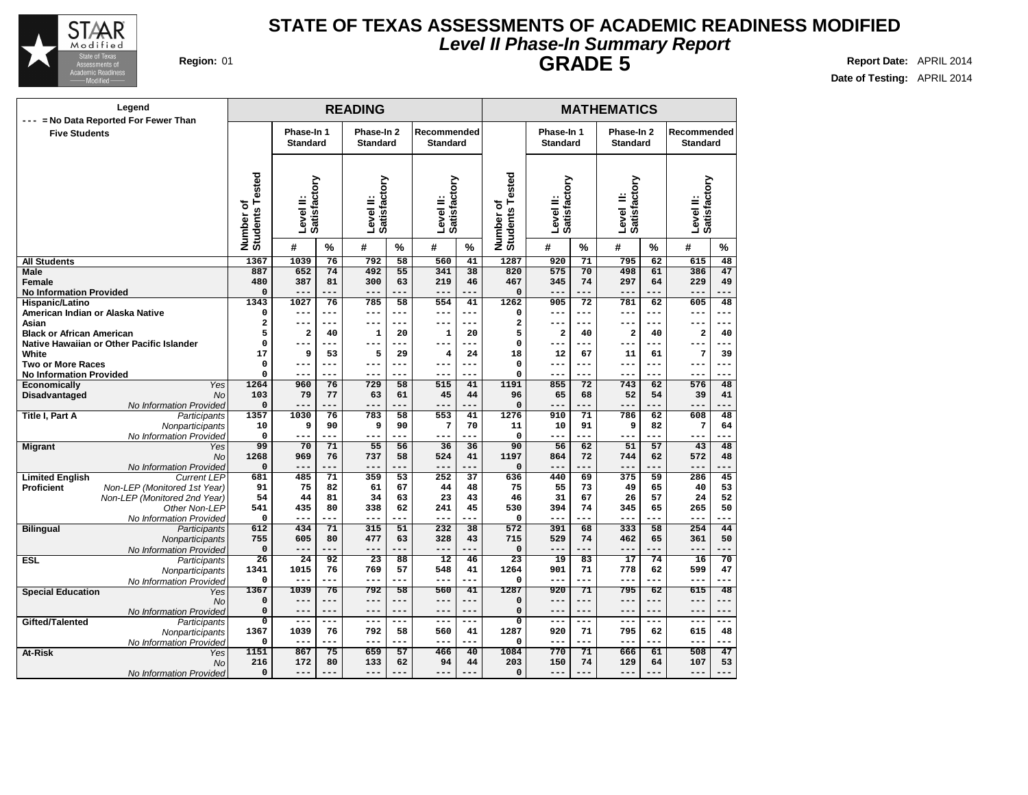

### **Level II Phase-In Summary Report STATE OF TEXAS ASSESSMENTS OF ACADEMIC READINESS MODIFIED GRADE 5 Report Date:** APRIL 2014

| Legend<br>= No Data Reported For Fewer Than        |                              |                               |           | <b>READING</b>                |           |                                | <b>MATHEMATICS</b> |                                   |                               |               |                               |           |                                |               |
|----------------------------------------------------|------------------------------|-------------------------------|-----------|-------------------------------|-----------|--------------------------------|--------------------|-----------------------------------|-------------------------------|---------------|-------------------------------|-----------|--------------------------------|---------------|
| ---<br><b>Five Students</b>                        |                              | Phase-In 1<br><b>Standard</b> |           | Phase-In 2<br><b>Standard</b> |           | Recommended<br><b>Standard</b> |                    |                                   | Phase-In 1<br><b>Standard</b> |               | Phase-In 2<br><b>Standard</b> |           | Recommended<br><b>Standard</b> |               |
|                                                    | Number of<br>Students Tested | Satisfactory<br>Level II:     |           | Satisfactory<br>Level II:     |           | Satisfactory<br>Level II:      |                    | ested<br>Number of<br>Students Te | Satisfactory<br>Level II:     |               | Satisfactory<br>≝<br>Level    |           | Satisfactory<br>Level II:      |               |
|                                                    |                              | #                             | $\%$      | #                             | $\%$      | #                              | $\frac{9}{6}$      |                                   | #                             | $\frac{9}{6}$ | #                             | %         | #                              | $\frac{9}{6}$ |
| <b>All Students</b>                                | 1367                         | 1039                          | 76        | 792                           | 58        | 560                            | 41                 | 1287                              | 920                           | 71            | 795                           | 62        | 615                            | 48            |
| <b>Male</b>                                        | 887                          | 652                           | 74        | 492                           | 55        | 341                            | $\overline{38}$    | 820                               | 575                           | 70            | 498                           | 61        | 386                            | 47            |
| Female                                             | 480                          | 387                           | 81        | 300                           | 63        | 219                            | 46                 | 467                               | 345                           | 74            | 297                           | 64        | 229                            | 49            |
| <b>No Information Provided</b>                     | 0                            | ---                           | ---       | ---                           | ---       | $- - -$                        |                    | $\mathbf 0$                       | $- - -$                       | ---           | ---                           | ---       | ---                            |               |
| Hispanic/Latino                                    | 1343                         | 1027                          | 76        | 785                           | 58        | 554                            | 41                 | 1262                              | 905                           | 72            | 781                           | 62        | 605                            | 48            |
| American Indian or Alaska Native                   | 0                            | $---$                         | $---$     | ---                           | $---$     | $---$                          | $---$              | $\Omega$                          | $---$                         | ---           | $---$                         | ---       | ---                            | ---           |
| Asian                                              | 2                            | ---                           |           | ---                           |           | $---$                          |                    | $\mathbf{2}$                      | $- - -$                       | ---           | ---                           | ---       | ---                            | $ -$          |
| <b>Black or African American</b>                   | 5<br>0                       | $\overline{\mathbf{2}}$       | 40        | 1                             | 20        | 1                              | 20<br>---          | 5<br>$\mathbf 0$                  | $\overline{a}$<br>$--$        | 40<br>---     | $\overline{\mathbf{2}}$       | 40<br>--- | $\overline{\mathbf{2}}$        | 40<br>$---$   |
| Native Hawaiian or Other Pacific Islander<br>White | 17                           | 9                             | 53        | 5                             | 29        | 4                              | 24                 | 18                                | 12                            | 67            | 11                            | 61        | 7                              | 39            |
| <b>Two or More Races</b>                           | 0                            | ---                           | ---       | ---                           |           | ---                            | ---                | $\mathbf 0$                       | $--$                          | ---           | $- -$                         | ---       | ---                            | $--$          |
| <b>No Information Provided</b>                     | 0                            |                               |           | ---                           |           | $---$                          | $-$                | 0                                 | $--$                          | ---           |                               | ---       | ---                            | $---$         |
| Yes<br><b>Economically</b>                         | 1264                         | 960                           | 76        | 729                           | 58        | 515                            | 41                 | 1191                              | 855                           | 72            | 743                           | 62        | 576                            | 48            |
| <b>Disadvantaged</b><br>N <sub>O</sub>             | 103                          | 79                            | 77        | 63                            | 61        | 45                             | 44                 | 96                                | 65                            | 68            | 52                            | 54        | 39                             | 41            |
| No Information Provided                            | 0                            | ---                           |           | ---                           | --        |                                | ---                | $\Omega$                          |                               | ---           | ---                           | ---       | ---                            |               |
| <b>Title I, Part A</b><br>Participants             | 1357                         | 1030                          | 76        | 783                           | 58        | 553                            | 41                 | 1276                              | 910                           | 71            | 786                           | 62        | 608                            | 48            |
| Nonparticipants                                    | 10                           | 9                             | 90        | 9                             | 90        | $\overline{7}$                 | 70                 | 11                                | 10                            | 91            | 9                             | 82        | 7                              | 64            |
| No Information Provided                            | 0                            | $- - -$                       | ---       | ---                           | ---       | $---$                          | ---                | $\mathbf 0$                       | $---$                         | ---           | $---$                         | ---       | ---                            |               |
| <b>Migrant</b><br>Yes                              | 99                           | 70                            | 71        | 55                            | 56        | 36                             | 36                 | 90                                | 56                            | 62            | 51                            | 57        | 43                             | 48            |
| No                                                 | 1268                         | 969                           | 76        | 737                           | 58        | 524                            | 41                 | 1197                              | 864                           | 72            | 744                           | 62        | 572                            | 48            |
| No Information Provided                            | 0                            | ---                           | ---       | ---                           | ---       | $---$                          | ---                | $\mathbf 0$                       | ---                           | ---           | $---$                         | ---       | ---                            |               |
| <b>Limited English</b><br><b>Current LEP</b>       | 681                          | 485                           | 71        | 359                           | 53        | 252                            | $\overline{37}$    | 636                               | 440                           | 69            | 375                           | 59        | 286                            | 45            |
| <b>Proficient</b><br>Non-LEP (Monitored 1st Year)  | 91                           | 75                            | 82        | 61                            | 67        | 44                             | 48                 | 75                                | 55                            | 73            | 49                            | 65        | 40                             | 53            |
| Non-LEP (Monitored 2nd Year)                       | 54                           | 44                            | 81        | 34                            | 63        | 23                             | 43                 | 46                                | 31                            | 67            | 26                            | 57        | 24                             | 52            |
| Other Non-LEP                                      | 541<br>0                     | 435<br>---                    | 80<br>--- | 338<br>---                    | 62<br>--- | 241<br>$---$                   | 45<br>$-$          | 530<br>$\Omega$                   | 394<br>$---$                  | 74<br>---     | 345<br>$---$                  | 65<br>--- | 265                            | 50            |
| No Information Provided<br>Participants            | 612                          | 434                           | 71        | 315                           | 51        | 232                            | 38                 | 572                               | 391                           | 68            | 333                           | 58        | 254                            | 44            |
| <b>Bilingual</b><br>Nonparticipants                | 755                          | 605                           | 80        | 477                           | 63        | 328                            | 43                 | 715                               | 529                           | 74            | 462                           | 65        | 361                            | 50            |
| No Information Provided                            | 0                            | ---                           | ---       | ---                           | ---       | $---$                          | ---                | $\mathbf 0$                       | $---$                         | ---           | $---$                         | ---       | ---                            | ---           |
| <b>ESL</b><br>Participants                         | 26                           | 24                            | 92        | 23                            | 88        | 12                             | 46                 | 23                                | 19                            | 83            | 17                            | 74        | 16                             | 70            |
| Nonparticipants                                    | 1341                         | 1015                          | 76        | 769                           | 57        | 548                            | 41                 | 1264                              | 901                           | 71            | 778                           | 62        | 599                            | 47            |
| No Information Provided                            | 0                            | $---$                         | ---       | ---                           | ---       | $---$                          | ---                | 0                                 | $---$                         | ---           | $--$                          | ---       | ---                            | ---           |
| <b>Special Education</b><br>Yes                    | 1367                         | 1039                          | 76        | 792                           | 58        | 560                            | 41                 | 1287                              | 920                           | 71            | 795                           | 62        | 615                            | 48            |
| <b>No</b>                                          | 0                            | $---$                         | $- - -$   | $---$                         | ---       | $---$                          | $- - -$            | $\mathbf 0$                       | $---$                         | ---           | $- -$                         | ---       | $---$                          | $- - -$       |
| No Information Provided                            | 0                            | ---                           | $---$     | ---                           |           |                                | $---$              | $\mathbf 0$                       | ---                           | ---           | $- -$                         | ---       | ---                            | $---$         |
| Gifted/Talented<br>Participants                    | $\overline{0}$               | $---$                         | $---$     | $---$                         | $---$     | $---$                          | $---$              | $\mathbf 0$                       | $- - -$                       | ---           | $- - -$                       | ---       | $---$                          | $---$         |
| Nonparticipants                                    | 1367                         | 1039                          | 76        | 792                           | 58        | 560                            | 41                 | 1287                              | 920                           | 71            | 795                           | 62        | 615                            | 48            |
| No Information Provided                            | 0                            | $---$                         |           | ---                           |           |                                | ---                | $\mathbf 0$                       |                               | ---           |                               | ---       |                                |               |
| At-Risk<br>Yes                                     | 1151                         | 867                           | 75        | 659                           | 57        | 466                            | 40                 | 1084                              | 770                           | 71            | 666                           | 61        | 508                            | 47            |
| No                                                 | 216                          | 172                           | 80        | 133                           | 62        | 94                             | 44                 | 203                               | 150                           | 74            | 129                           | 64        | 107                            | 53            |
| No Information Provided                            | 0                            | ---                           | ---       | $---$                         | ---       |                                | ---                | 0                                 | $---$                         | ---           | ---                           | ---       | ---                            | $---$         |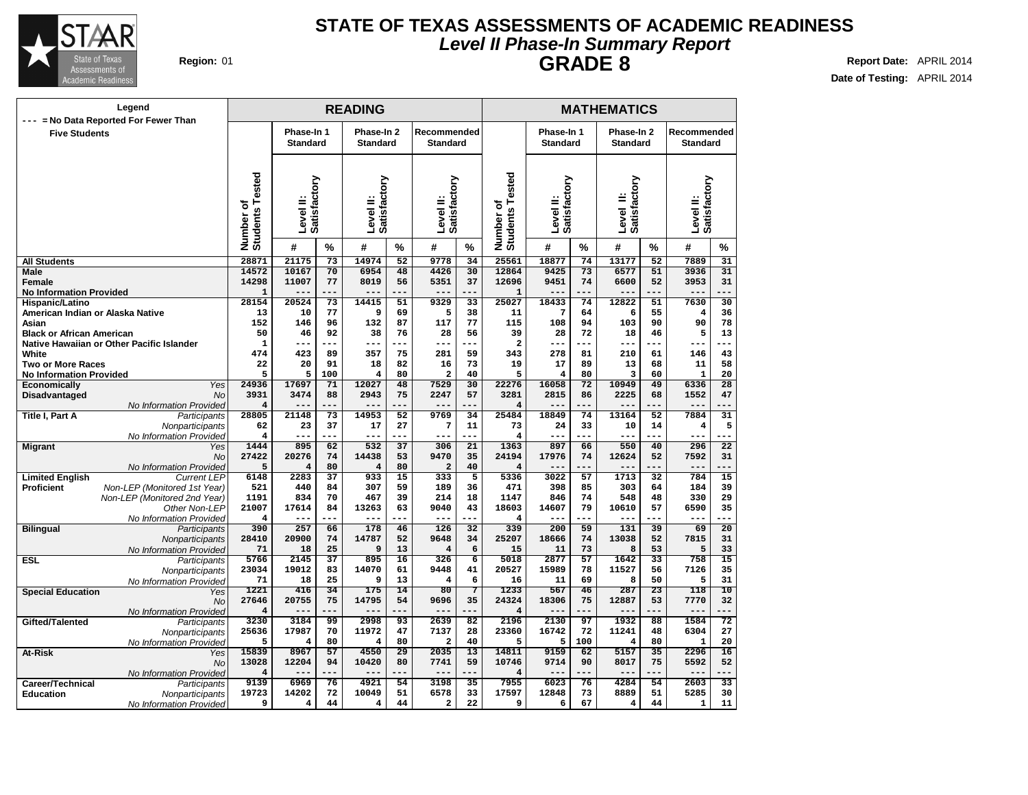

### **Level II Phase-In Summary Report STATE OF TEXAS ASSESSMENTS OF ACADEMIC READINESS GRADE 8 Report Date:** APRIL 2014

| Legend                                                                                            |                              |                               |                       | <b>READING</b>                |                 |                                | <b>MATHEMATICS</b>    |                                     |                               |                       |                               |                 |                                |                       |
|---------------------------------------------------------------------------------------------------|------------------------------|-------------------------------|-----------------------|-------------------------------|-----------------|--------------------------------|-----------------------|-------------------------------------|-------------------------------|-----------------------|-------------------------------|-----------------|--------------------------------|-----------------------|
| --- = No Data Reported For Fewer Than<br><b>Five Students</b>                                     |                              | Phase-In 1<br><b>Standard</b> |                       | Phase-In 2<br><b>Standard</b> |                 | Recommended<br><b>Standard</b> |                       |                                     | Phase-In 1<br><b>Standard</b> |                       | Phase-In 2<br><b>Standard</b> |                 | Recommended<br><b>Standard</b> |                       |
|                                                                                                   | Number of<br>Students Tested | Level II:<br>Satisfactory     |                       | Satisfactory<br>Level II:     |                 | Satisfactory<br>Level II:      |                       | ested<br>đ<br>Number of<br>Students | Level II:<br>Satisfactory     |                       | Satisfactory<br>≐<br>Level    |                 | Level II:<br>Satisfactory      |                       |
|                                                                                                   |                              | #                             | $\%$                  | #                             | %               | #                              | $\%$                  |                                     | #                             | $\%$                  | #                             | %               | #                              | $\frac{9}{6}$         |
| <b>All Students</b>                                                                               | 28871                        | 21175                         | $\overline{73}$       | 14974                         | $\overline{52}$ | 9778                           | $\overline{34}$       | 25561                               | 18877                         | $\overline{74}$       | 13177                         | $\overline{52}$ | 7889                           | $\overline{31}$       |
| Male                                                                                              | 14572                        | 10167                         | 70                    | 6954                          | 48              | 4426                           | $\overline{30}$       | 12864                               | 9425                          | 73                    | 6577                          | 51              | 3936                           | 31                    |
| Female                                                                                            | 14298<br>$\mathbf{1}$        | 11007                         | 77<br>---             | 8019                          | 56              | 5351<br>---                    | 37<br>---             | 12696                               | 9451                          | 74<br>---             | 6600<br>$---$                 | 52<br>$- -$     | 3953<br>$- -$                  | 31<br>$-$             |
| <b>No Information Provided</b><br>Hispanic/Latino                                                 | 28154                        | 20524                         | 73                    | 14415                         | 51              | 9329                           | 33                    | $\mathbf{1}$<br>25027               | 18433                         | 74                    | 12822                         | 51              | 7630                           | 30                    |
| American Indian or Alaska Native                                                                  | 13                           | 10                            | 77                    | 9                             | 69              | 5                              | 38                    | 11                                  | 7                             | 64                    | 6                             | 55              | 4                              | 36                    |
| Asian                                                                                             | 152                          | 146                           | 96                    | 132                           | 87              | 117                            | 77                    | 115                                 | 108                           | 94                    | 103                           | 90              | 90                             | 78                    |
| <b>Black or African American</b>                                                                  | 50                           | 46                            | 92                    | 38                            | 76              | 28                             | 56                    | 39                                  | 28                            | 72                    | 18                            | 46              | 5                              | 13                    |
| Native Hawaiian or Other Pacific Islander                                                         | 1                            | ---                           | ---                   | $---$                         |                 | ---                            |                       | $\overline{\mathbf{2}}$             | ---                           | ---                   | $---$                         | ---             |                                |                       |
| White                                                                                             | 474                          | 423                           | 89                    | 357                           | 75              | 281                            | 59                    | 343                                 | 278                           | 81                    | 210                           | 61              | 146                            | 43                    |
| <b>Two or More Races</b>                                                                          | 22                           | 20                            | 91                    | 18                            | 82              | 16                             | 73                    | 19                                  | 17                            | 89                    | 13                            | 68              | 11                             | 58                    |
| <b>No Information Provided</b><br>Yes                                                             | 5<br>24936                   | 5                             | 100                   | 4<br>12027                    | 80<br>48        | $\overline{a}$<br>7529         | 40<br>$\overline{30}$ | 5<br>22276                          | 4<br>16058                    | 80<br>$\overline{72}$ | 3<br>10949                    | 60<br>49        | $\mathbf{1}$                   | 20<br>$\overline{28}$ |
| <b>Economically</b><br><b>Disadvantaged</b><br>No                                                 | 3931                         | 17697<br>3474                 | 71<br>88              | 2943                          | 75              | 2247                           | 57                    | 3281                                | 2815                          | 86                    | 2225                          | 68              | 6336<br>1552                   | 47                    |
| No Information Provided                                                                           | $\overline{\mathbf{4}}$      |                               | ---                   | $---$                         | ---             | ---                            | ---                   | $\overline{4}$                      | ---                           | ---                   | $---$                         | ---             | ---                            |                       |
| Title I, Part A<br>Participants                                                                   | 28805                        | 21148                         | 73                    | 14953                         | 52              | 9769                           | 34                    | 25484                               | 18849                         | 74                    | 13164                         | 52              | 7884                           | 31                    |
| Nonparticipants                                                                                   | 62                           | 23                            | 37                    | 17                            | 27              | $\overline{7}$                 | 11                    | 73                                  | 24                            | 33                    | 10                            | 14              | 4                              | 5                     |
| No Information Provided                                                                           | 4                            | ---                           | ---                   | $---$                         | ---             | ---                            | ---                   | $\overline{4}$                      | $---$                         | ---                   | $---$                         | ---             | ---                            |                       |
| <b>Migrant</b><br>Yes                                                                             | 1444                         | 895                           | 62                    | 532                           | 37              | 306                            | 21                    | 1363                                | 897                           | 66                    | 550                           | 40              | 296                            | $\overline{22}$       |
| <b>No</b>                                                                                         | 27422                        | 20276                         | 74                    | 14438                         | 53              | 9470                           | 35                    | 24194                               | 17976                         | 74                    | 12624                         | 52              | 7592                           | 31                    |
| No Information Provided                                                                           | 5<br>6148                    | 4<br>2283                     | 80<br>37              | $\overline{4}$<br>933         | 80<br>15        | $\overline{a}$<br>333          | 40<br>$\overline{5}$  | $\overline{\mathbf{4}}$<br>5336     | $- -$<br>3022                 | ---<br>57             | $- -$<br>1713                 | ---<br>32       | $---$<br>784                   | $\overline{15}$       |
| <b>Limited English</b><br><b>Current LEP</b><br>Non-LEP (Monitored 1st Year)<br><b>Proficient</b> | 521                          | 440                           | 84                    | 307                           | 59              | 189                            | 36                    | 471                                 | 398                           | 85                    | 303                           | 64              | 184                            | 39                    |
| Non-LEP (Monitored 2nd Year)                                                                      | 1191                         | 834                           | 70                    | 467                           | 39              | 214                            | 18                    | 1147                                | 846                           | 74                    | 548                           | 48              | 330                            | 29                    |
| Other Non-LEP                                                                                     | 21007                        | 17614                         | 84                    | 13263                         | 63              | 9040                           | 43                    | 18603                               | 14607                         | 79                    | 10610                         | 57              | 6590                           | 35                    |
| No Information Provided                                                                           | $\overline{\mathbf{4}}$      | ---                           | ---                   | $---$                         |                 | $---$                          | $- - -$               | $\overline{4}$                      | $---$                         | ---                   | $---$                         | ---             | ---                            | ---                   |
| <b>Bilingual</b><br>Participants                                                                  | 390                          | 257                           | 66                    | 178                           | 46              | 126                            | $\overline{32}$       | 339                                 | 200                           | 59                    | 131                           | 39              | 69                             | $\overline{20}$       |
| Nonparticipants                                                                                   | 28410                        | 20900                         | 74                    | 14787                         | 52              | 9648                           | 34                    | 25207                               | 18666                         | 74                    | 13038                         | 52              | 7815                           | 31                    |
| No Information Provided                                                                           | 71                           | 18                            | 25                    | 9                             | 13              | 4                              | 6                     | 15                                  | 11                            | 73                    | 8                             | 53              | 5                              | 33                    |
| <b>ESL</b><br>Participants                                                                        | 5766<br>23034                | 2145<br>19012                 | $\overline{37}$<br>83 | 895<br>14070                  | 16<br>61        | 326<br>9448                    | $\overline{6}$<br>41  | 5018<br>20527                       | 2877<br>15989                 | 57<br>78              | 1642<br>11527                 | 33<br>56        | 758<br>7126                    | 15<br>35              |
| Nonparticipants<br>No Information Provided                                                        | 71                           | 18                            | 25                    | 9                             | 13              | 4                              | 6                     | 16                                  | 11                            | 69                    | 8                             | 50              | 5                              | 31                    |
| <b>Special Education</b><br>Yes                                                                   | 1221                         | 416                           | 34                    | 175                           | 14              | 80                             | 7                     | 1233                                | 567                           | 46                    | 287                           | $\overline{23}$ | 118                            | 10                    |
| No                                                                                                | 27646                        | 20755                         | 75                    | 14795                         | 54              | 9696                           | 35                    | 24324                               | 18306                         | 75                    | 12887                         | 53              | 7770                           | 32                    |
| No Information Provided                                                                           | $\overline{\mathbf{4}}$      | ---                           | ---                   | $- - -$                       |                 | ---                            | ---                   | $\overline{4}$                      |                               |                       | $---$                         | ---             | $---$                          |                       |
| Gifted/Talented<br>Participants                                                                   | 3230                         | 3184                          | 99                    | 2998                          | 93              | 2639                           | $\overline{82}$       | 2196                                | 2130                          | 97                    | 1932                          | 88              | 1584                           | 72                    |
| Nonparticipants                                                                                   | 25636                        | 17987                         | 70                    | 11972                         | 47              | 7137                           | 28                    | 23360                               | 16742                         | 72                    | 11241                         | 48              | 6304                           | 27                    |
| No Information Provided                                                                           | 5                            | 4                             | 80                    | $\overline{4}$                | 80              | $\overline{\mathbf{2}}$        | 40                    | 5                                   | 5                             | 100                   | 4                             | 80              | $\mathbf{1}$                   | 20                    |
| At-Risk<br>Yes<br>No                                                                              | 15839<br>13028               | 8967<br>12204                 | 57<br>94              | 4550<br>10420                 | 29<br>80        | 2035<br>7741                   | $\overline{13}$<br>59 | 14811<br>10746                      | 9159<br>9714                  | 62<br>90              | 5157<br>8017                  | 35<br>75        | 2296<br>5592                   | 16<br>52              |
| No Information Provided                                                                           | 4                            |                               | ---                   | $---$                         |                 | $---$                          | ---                   | $\overline{4}$                      | $---$                         | ---                   | $---$                         | ---             | $---$                          | ---                   |
| Career/Technical<br>Participants                                                                  | 9139                         | 6969                          | 76                    | 4921                          | 54              | 3198                           | $\overline{35}$       | 7955                                | 6023                          | 76                    | 4284                          | 54              | 2603                           | $\overline{33}$       |
| <b>Education</b><br>Nonparticipants                                                               | 19723                        | 14202                         | 72                    | 10049                         | 51              | 6578                           | 33                    | 17597                               | 12848                         | 73                    | 8889                          | 51              | 5285                           | 30                    |
| No Information Provided                                                                           | 9                            | 4                             | 44                    | 4                             | 44              | 2                              | 22                    | 9                                   | 6                             | 67                    | 4                             | 44              | $\mathbf{1}$                   | 11                    |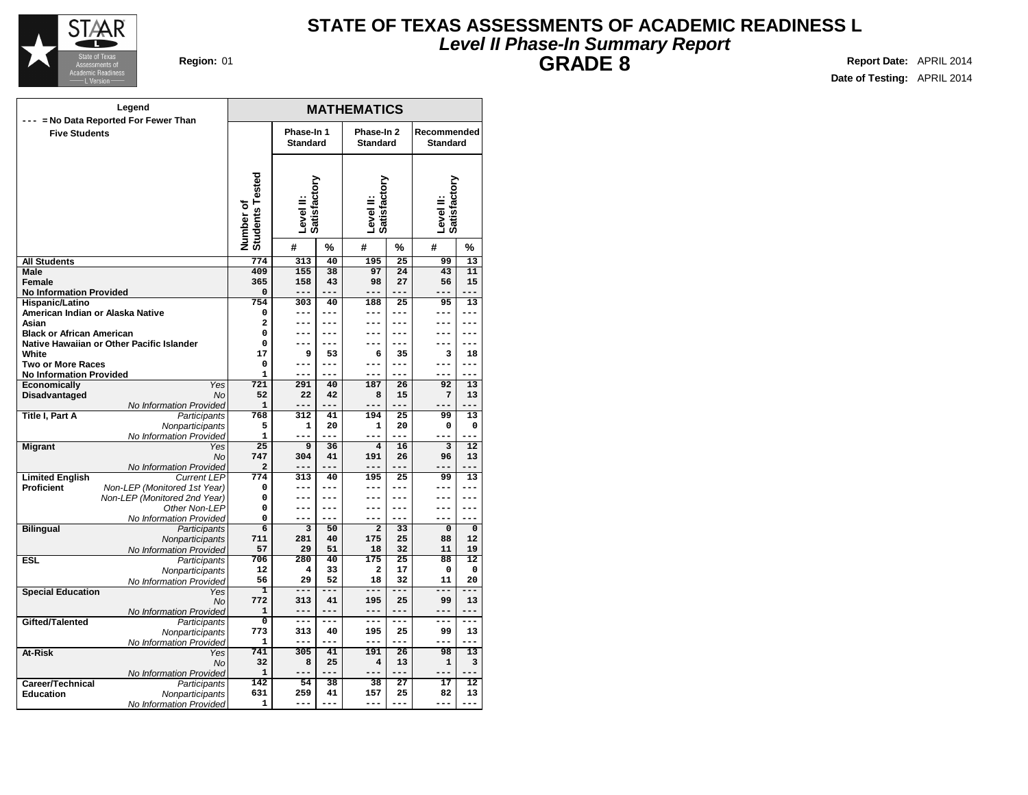

### **Level II Phase-In Summary Report STATE OF TEXAS ASSESSMENTS OF ACADEMIC READINESS L GRADE 8 Region:** 01 **Report Date:** APRIL 2014

**MATHEMATICS Phase-In 1 Standard Phase-In 2 Standard Recommended Standard Level II: Satisfactory Level II: Satisfactory Level II: Satisfactory Number of Students Tested # % # % # % All Students Male Female No Information Provided Hispanic/Latino American Indian or Alaska Native Asian Black or African American Native Hawaiian or Other Pacific Islander White Two or More Races No Information Provided Economically** Yes **Disadvantaged** No No Information Provided **Title I, Part A** Participants **Nonparticipants** No Information Provided **Migrant** Yes No No Information Provided **Limited English Proficient** Non-LEP (Monitored 1st Year) Non-LEP (Monitored 2nd Year) Other Non-LEP No Information Provided **Bilingual** Participants **Nonparticipants** No Information Provided **ESL** Participants **Nonparticipants** No Information Provided **Special Education** Yes No No Information Provided Gifted/Talented **Participants Nonparticipants** No Information Provided **At-Risk** Yes No No Information Provided **Career/Technical** Participants<br> **Education** Monparticipants **Nonparticipants** No Information Provided **Legend --- = No Data Reported For Fewer Than Five Students 774 313 40 195 25 99 13 409 155 38 97 24 43 11 365 158 43 98 27 56 15 0 --- --- --- --- --- --- 754 303 40 188 25 95 13 0 --- --- --- --- --- --- 2 --- --- --- --- --- --- 0 --- --- --- --- --- --- 0 --- --- --- --- --- --- 17 9 53 6 35 3 18 0 --- --- --- --- --- --- 1 --- --- --- --- --- --- 721 291 40 187 26 92 13 52 22 42 8 15 7 13 1 --- --- --- --- --- --- 768 312 41 194 25 99 13 5 1 20 1 20 0 0 1 --- --- --- --- --- --- 25 9 36 4 16 3 12 747 304 41 191 26 96 13 2 --- --- --- --- --- --- 774 313 40 195 25 99 13 0 --- --- --- --- --- --- 0 --- --- --- --- --- --- 0 --- --- --- --- --- --- 0 --- --- --- --- --- --- 6 3 50 2 33 0 0 711 281 40 175 25 88 12 57 29 51 18 32 11 19 706 280 40 175 25 88 12 12 4 33 2 17 0 0 56 29 52 18 32 11 20 1 --- --- --- --- --- --- 772 313 41 195 25 99 13 1 --- --- --- --- --- --- 0 --- --- --- --- --- --- 773 313 40 195 25 99 13 1 --- --- --- --- --- --- 741 305 41 191 26 98 13 32 8 25 4 13 1 3 1 --- --- --- --- --- --- 142 54 38 38 27 17 12 631 259 41 157 25 82 13 1 --- --- --- --- --- ---**